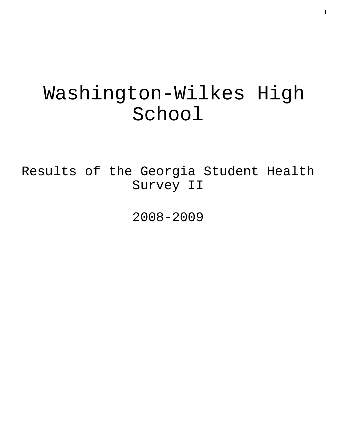# Washington-Wilkes High School

Results of the Georgia Student Health Survey II

2008-2009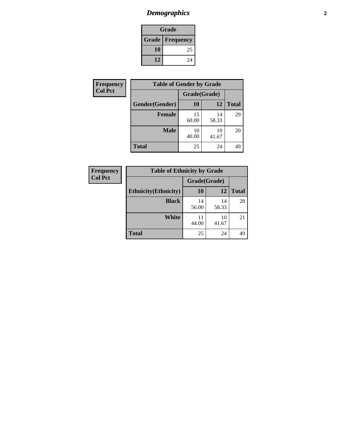# *Demographics* **2**

| Grade                    |    |  |  |
|--------------------------|----|--|--|
| <b>Grade   Frequency</b> |    |  |  |
| 10                       | 25 |  |  |
| 12                       | 24 |  |  |

| <b>Frequency</b> | <b>Table of Gender by Grade</b> |              |             |              |
|------------------|---------------------------------|--------------|-------------|--------------|
| <b>Col Pct</b>   |                                 | Grade(Grade) |             |              |
|                  | Gender(Gender)                  | <b>10</b>    | 12          | <b>Total</b> |
|                  | <b>Female</b>                   | 15<br>60.00  | 14<br>58.33 | 29           |
|                  | <b>Male</b>                     | 10<br>40.00  | 10<br>41.67 | 20           |
|                  | <b>Total</b>                    | 25           | 24          | 49           |

| <b>Frequency</b> | <b>Table of I</b>          |
|------------------|----------------------------|
| <b>Col Pct</b>   | <b>Ethnicity</b> (Ethnicit |
|                  | Blac                       |

| <b>Table of Ethnicity by Grade</b> |              |             |              |  |  |  |  |
|------------------------------------|--------------|-------------|--------------|--|--|--|--|
|                                    | Grade(Grade) |             |              |  |  |  |  |
| <b>Ethnicity</b> (Ethnicity)       | 10           | 12          | <b>Total</b> |  |  |  |  |
| <b>Black</b>                       | 14<br>56.00  | 14<br>58.33 | 28           |  |  |  |  |
| <b>White</b>                       | 11<br>44.00  | 10<br>41.67 | 21           |  |  |  |  |
| <b>Total</b>                       | 25           | 24          |              |  |  |  |  |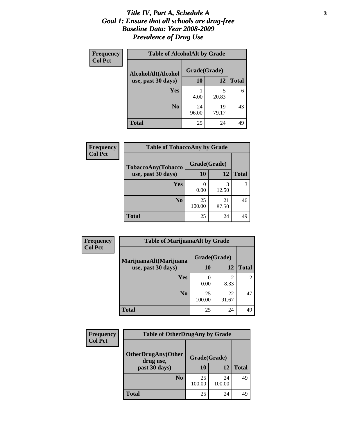### *Title IV, Part A, Schedule A* **3** *Goal 1: Ensure that all schools are drug-free Baseline Data: Year 2008-2009 Prevalence of Drug Use*

| Frequency<br><b>Col Pct</b> | <b>Table of AlcoholAlt by Grade</b> |              |             |              |  |
|-----------------------------|-------------------------------------|--------------|-------------|--------------|--|
|                             | AlcoholAlt(Alcohol                  | Grade(Grade) |             |              |  |
|                             | use, past 30 days)                  | <b>10</b>    | 12          | <b>Total</b> |  |
|                             | Yes                                 | 4.00         | 5<br>20.83  | 6            |  |
|                             | N <sub>0</sub>                      | 24<br>96.00  | 19<br>79.17 | 43           |  |
|                             | <b>Total</b>                        | 25           | 24          | 49           |  |

| Frequency      | <b>Table of TobaccoAny by Grade</b> |              |             |              |  |
|----------------|-------------------------------------|--------------|-------------|--------------|--|
| <b>Col Pct</b> | <b>TobaccoAny(Tobacco</b>           | Grade(Grade) |             |              |  |
|                | use, past 30 days)                  | 10           | 12          | <b>Total</b> |  |
|                | Yes                                 | 0.00         | 3<br>12.50  | 3            |  |
|                | N <sub>0</sub>                      | 25<br>100.00 | 21<br>87.50 | 46           |  |
|                | <b>Total</b>                        | 25           | 24          | 49           |  |

| Frequency<br><b>Col Pct</b> | <b>Table of MarijuanaAlt by Grade</b> |                          |                        |                |  |
|-----------------------------|---------------------------------------|--------------------------|------------------------|----------------|--|
|                             | MarijuanaAlt(Marijuana                | Grade(Grade)             |                        |                |  |
|                             | use, past 30 days)                    | 10                       | 12                     | <b>Total</b>   |  |
|                             | Yes                                   | $\left( \right)$<br>0.00 | $\mathfrak{D}$<br>8.33 | $\mathfrak{D}$ |  |
|                             | N <sub>0</sub>                        | 25<br>100.00             | 22<br>91.67            | 47             |  |
|                             | <b>Total</b>                          | 25                       | 24                     | 49             |  |

| <b>Frequency</b><br><b>Col Pct</b> | <b>Table of OtherDrugAny by Grade</b>  |              |              |    |
|------------------------------------|----------------------------------------|--------------|--------------|----|
|                                    | <b>OtherDrugAny(Other</b><br>drug use, | Grade(Grade) |              |    |
| past 30 days)                      | 10                                     | 12           | <b>Total</b> |    |
|                                    | N <sub>0</sub>                         | 25<br>100.00 | 24<br>100.00 | 49 |
|                                    | <b>Total</b>                           | 25           | 24           | 49 |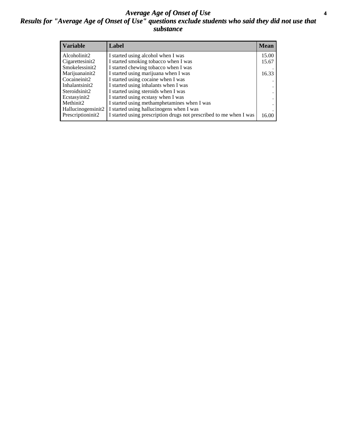### *Average Age of Onset of Use* **4** *Results for "Average Age of Onset of Use" questions exclude students who said they did not use that substance*

| <b>Variable</b>    | Label                                                              | <b>Mean</b> |
|--------------------|--------------------------------------------------------------------|-------------|
| Alcoholinit2       | I started using alcohol when I was                                 | 15.00       |
| Cigarettesinit2    | I started smoking tobacco when I was                               | 15.67       |
| Smokelessinit2     | I started chewing tobacco when I was                               |             |
| Marijuanainit2     | I started using marijuana when I was                               | 16.33       |
| Cocaineinit2       | I started using cocaine when I was                                 |             |
| Inhalantsinit2     | I started using inhalants when I was                               |             |
| Steroidsinit2      | I started using steroids when I was                                |             |
| Ecstasyinit2       | I started using ecstasy when I was                                 |             |
| Methinit2          | I started using methamphetamines when I was                        |             |
| Hallucinogensinit2 | I started using hallucinogens when I was                           |             |
| Prescriptioninit2  | I started using prescription drugs not prescribed to me when I was | 16.00       |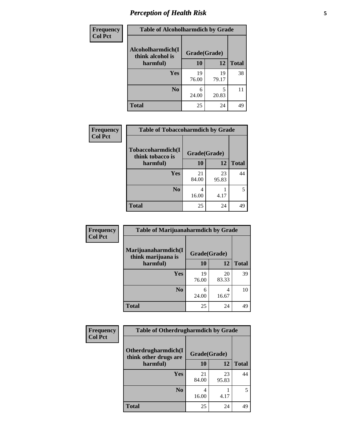# *Perception of Health Risk* **5**

| <b>Frequency</b> | <b>Table of Alcoholharmdich by Grade</b> |              |             |              |  |
|------------------|------------------------------------------|--------------|-------------|--------------|--|
| <b>Col Pct</b>   | Alcoholharmdich(I<br>think alcohol is    | Grade(Grade) |             |              |  |
|                  | harmful)                                 | 10           | 12          | <b>Total</b> |  |
|                  | Yes                                      | 19<br>76.00  | 19<br>79.17 | 38           |  |
|                  | N <sub>0</sub>                           | 6<br>24.00   | 5<br>20.83  | 11           |  |
|                  | <b>Total</b>                             | 25           | 24          | 49           |  |

| Frequency      | <b>Table of Tobaccoharmdich by Grade</b> |              |             |              |
|----------------|------------------------------------------|--------------|-------------|--------------|
| <b>Col Pct</b> | Tobaccoharmdich(I<br>think tobacco is    | Grade(Grade) |             |              |
|                | harmful)                                 | 10           | 12          | <b>Total</b> |
|                | Yes                                      | 21<br>84.00  | 23<br>95.83 | 44           |
|                | N <sub>0</sub>                           | 16.00        | 4.17        | $\sim$       |
|                | <b>Total</b>                             | 25           | 24          | 49           |

| Frequency      | <b>Table of Marijuanaharmdich by Grade</b> |              |             |              |  |
|----------------|--------------------------------------------|--------------|-------------|--------------|--|
| <b>Col Pct</b> | Marijuanaharmdich(I<br>think marijuana is  | Grade(Grade) |             |              |  |
|                | harmful)                                   | <b>10</b>    | 12          | <b>Total</b> |  |
|                | Yes                                        | 19<br>76.00  | 20<br>83.33 | 39           |  |
|                | N <sub>0</sub>                             | 6<br>24.00   | 4<br>16.67  | 10           |  |
|                | <b>Total</b>                               | 25           | 24          | 49           |  |

| <b>Frequency</b> | <b>Table of Otherdrugharmdich by Grade</b>   |              |             |              |  |
|------------------|----------------------------------------------|--------------|-------------|--------------|--|
| <b>Col Pct</b>   | Otherdrugharmdich(I<br>think other drugs are | Grade(Grade) |             |              |  |
|                  | harmful)                                     | 10           | 12          | <b>Total</b> |  |
|                  | <b>Yes</b>                                   | 21<br>84.00  | 23<br>95.83 | 44           |  |
|                  | N <sub>0</sub>                               | 16.00        | 4.17        | 5            |  |
|                  | <b>Total</b>                                 | 25           | 24          | 49           |  |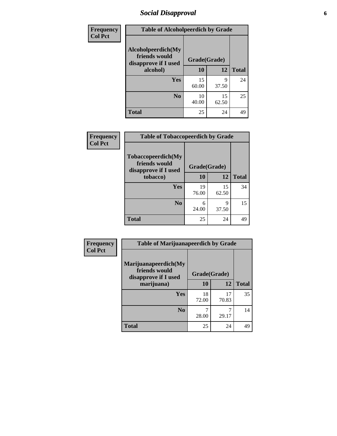# *Social Disapproval* **6**

| Frequency      | <b>Table of Alcoholpeerdich by Grade</b>                    |              |             |              |  |  |  |
|----------------|-------------------------------------------------------------|--------------|-------------|--------------|--|--|--|
| <b>Col Pct</b> | Alcoholpeerdich(My<br>friends would<br>disapprove if I used | Grade(Grade) |             |              |  |  |  |
|                | alcohol)                                                    | 10           | 12          | <b>Total</b> |  |  |  |
|                | <b>Yes</b>                                                  | 15<br>60.00  | 9<br>37.50  | 24           |  |  |  |
|                | N <sub>0</sub>                                              | 10<br>40.00  | 15<br>62.50 | 25           |  |  |  |
|                | <b>Total</b>                                                | 25           | 24          | 49           |  |  |  |

| <b>Frequency</b> |
|------------------|
| <b>Col Pct</b>   |

| <b>Table of Tobaccopeerdich by Grade</b>                    |              |             |              |  |  |  |
|-------------------------------------------------------------|--------------|-------------|--------------|--|--|--|
| Tobaccopeerdich(My<br>friends would<br>disapprove if I used | Grade(Grade) |             |              |  |  |  |
| tobacco)                                                    | 10           | 12          | <b>Total</b> |  |  |  |
| Yes                                                         | 19<br>76.00  | 15<br>62.50 | 34           |  |  |  |
| N <sub>0</sub>                                              | 6<br>24.00   | 9<br>37.50  | 15           |  |  |  |
| <b>Total</b>                                                | 25           | 24          | 49           |  |  |  |

| <b>Frequency</b> | <b>Table of Marijuanapeerdich by Grade</b>                    |              |             |              |  |
|------------------|---------------------------------------------------------------|--------------|-------------|--------------|--|
| <b>Col Pct</b>   | Marijuanapeerdich(My<br>friends would<br>disapprove if I used | Grade(Grade) |             |              |  |
|                  | marijuana)                                                    | 10           | 12          | <b>Total</b> |  |
|                  | <b>Yes</b>                                                    | 18<br>72.00  | 17<br>70.83 | 35           |  |
|                  | N <sub>0</sub>                                                | 28.00        | 29.17       | 14           |  |
|                  | <b>Total</b>                                                  | 25           | 24          | 49           |  |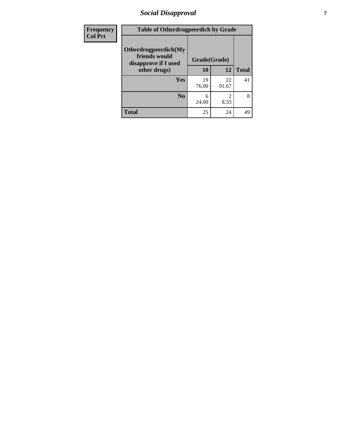# *Social Disapproval* **7**

| Frequency      | <b>Table of Otherdrugpeerdich by Grade</b>                    |              |             |              |  |  |
|----------------|---------------------------------------------------------------|--------------|-------------|--------------|--|--|
| <b>Col Pct</b> | Otherdrugpeerdich(My<br>friends would<br>disapprove if I used | Grade(Grade) |             |              |  |  |
|                | other drugs)                                                  | 10           | 12          | <b>Total</b> |  |  |
|                | Yes                                                           | 19<br>76.00  | 22<br>91.67 | 41           |  |  |
|                | N <sub>0</sub>                                                | 6<br>24.00   | 2<br>8.33   | 8            |  |  |
|                | <b>Total</b>                                                  | 25           | 24          | 49           |  |  |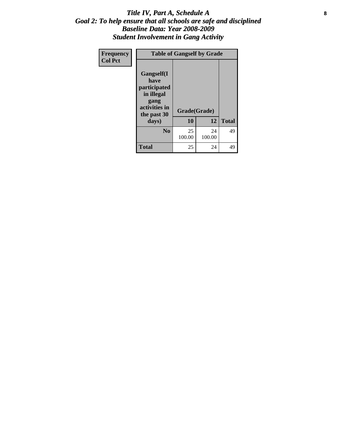### Title IV, Part A, Schedule A **8** *Goal 2: To help ensure that all schools are safe and disciplined Baseline Data: Year 2008-2009 Student Involvement in Gang Activity*

| Frequency      | <b>Table of Gangself by Grade</b>                                                        |              |              |              |
|----------------|------------------------------------------------------------------------------------------|--------------|--------------|--------------|
| <b>Col Pct</b> | Gangself(I<br>have<br>participated<br>in illegal<br>gang<br>activities in<br>the past 30 | Grade(Grade) |              |              |
|                | days)                                                                                    | 10           | 12           | <b>Total</b> |
|                | N <sub>0</sub>                                                                           | 25<br>100.00 | 24<br>100.00 | 49           |
|                | <b>Total</b>                                                                             | 25           | 24           | 49           |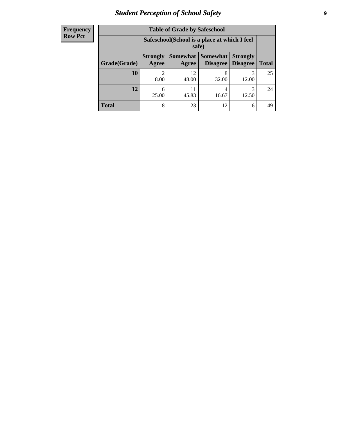# *Student Perception of School Safety* **9**

| <b>Frequency</b><br>Row Pct |
|-----------------------------|
|                             |

| <b>Table of Grade by Safeschool</b> |                          |                                                                                                               |            |            |    |  |  |
|-------------------------------------|--------------------------|---------------------------------------------------------------------------------------------------------------|------------|------------|----|--|--|
|                                     |                          | Safeschool (School is a place at which I feel<br>safe)                                                        |            |            |    |  |  |
| Grade(Grade)                        | <b>Strongly</b><br>Agree | Somewhat<br><b>Somewhat</b><br><b>Strongly</b><br><b>Disagree</b><br><b>Disagree</b><br><b>Total</b><br>Agree |            |            |    |  |  |
| <b>10</b>                           | 8.00                     | 12<br>48.00                                                                                                   | 8<br>32.00 | 3<br>12.00 | 25 |  |  |
| 12                                  | 6<br>25.00               | 11<br>45.83                                                                                                   | 4<br>16.67 | 3<br>12.50 | 24 |  |  |
| Total                               | 8                        | 23                                                                                                            | 12         | 6          | 49 |  |  |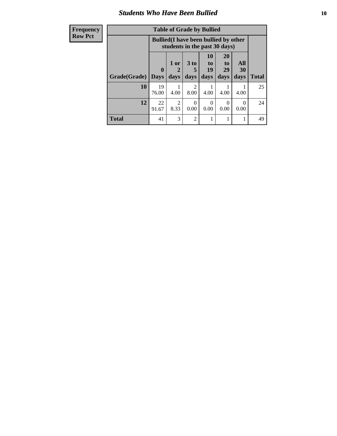### *Students Who Have Been Bullied* **10**

| <b>Frequency</b> | <b>Table of Grade by Bullied</b> |                                                                               |                        |                                     |                  |                       |           |              |
|------------------|----------------------------------|-------------------------------------------------------------------------------|------------------------|-------------------------------------|------------------|-----------------------|-----------|--------------|
| <b>Row Pct</b>   |                                  | <b>Bullied</b> (I have been bullied by other<br>students in the past 30 days) |                        |                                     |                  |                       |           |              |
|                  |                                  | $\mathbf{0}$                                                                  | 1 or<br>2              | 3 <sub>to</sub><br>5                | 10<br>to  <br>19 | <b>20</b><br>to<br>29 | All<br>30 |              |
|                  | Grade(Grade)                     | Days                                                                          | days                   | days                                | days             | days                  | days      | <b>Total</b> |
|                  | 10                               | 19<br>76.00                                                                   | 4.00                   | $\mathcal{D}_{\mathcal{L}}$<br>8.00 | 4.00             | 4.00                  | 4.00      | 25           |
|                  | 12                               | 22<br>91.67                                                                   | $\mathfrak{D}$<br>8.33 | $\Omega$<br>0.00                    | $\Omega$<br>0.00 | $\Omega$<br>0.00      | 0<br>0.00 | 24           |
|                  | <b>Total</b>                     | 41                                                                            | 3                      | 2                                   |                  |                       | 1         | 49           |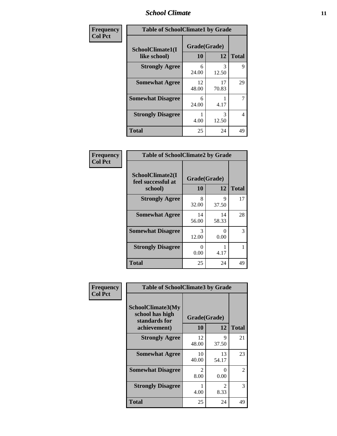### *School Climate* **11**

| <b>Frequency</b> | <b>Table of SchoolClimate1 by Grade</b> |                    |             |              |  |  |
|------------------|-----------------------------------------|--------------------|-------------|--------------|--|--|
| <b>Col Pct</b>   | SchoolClimate1(I<br>like school)        | Grade(Grade)<br>10 | 12          | <b>Total</b> |  |  |
|                  | <b>Strongly Agree</b>                   | 6<br>24.00         | 3<br>12.50  | 9            |  |  |
|                  | <b>Somewhat Agree</b>                   | 12<br>48.00        | 17<br>70.83 | 29           |  |  |
|                  | <b>Somewhat Disagree</b>                | 6<br>24.00         | 4.17        | 7            |  |  |
|                  | <b>Strongly Disagree</b>                | 4.00               | 3<br>12.50  | 4            |  |  |
|                  | <b>Total</b>                            | 25                 | 24          | 49           |  |  |

| <b>Frequency</b> |
|------------------|
| <b>Col Pct</b>   |

| <b>Table of SchoolClimate2 by Grade</b>           |                    |             |              |  |  |
|---------------------------------------------------|--------------------|-------------|--------------|--|--|
| SchoolClimate2(I<br>feel successful at<br>school) | Grade(Grade)<br>10 | 12          | <b>Total</b> |  |  |
| <b>Strongly Agree</b>                             | 8<br>32.00         | 9<br>37.50  | 17           |  |  |
| <b>Somewhat Agree</b>                             | 14<br>56.00        | 14<br>58.33 | 28           |  |  |
| <b>Somewhat Disagree</b>                          | 3<br>12.00         | 0.00        | 3            |  |  |
| <b>Strongly Disagree</b>                          | 0<br>0.00          | 4.17        |              |  |  |
| <b>Total</b>                                      | 25                 | 24          | 49           |  |  |

| Frequency      | <b>Table of SchoolClimate3 by Grade</b>                      |                                     |                                  |              |  |
|----------------|--------------------------------------------------------------|-------------------------------------|----------------------------------|--------------|--|
| <b>Col Pct</b> | <b>SchoolClimate3(My</b><br>school has high<br>standards for | Grade(Grade)                        |                                  |              |  |
|                | achievement)                                                 | 10                                  | 12                               | <b>Total</b> |  |
|                | <b>Strongly Agree</b>                                        | 12<br>48.00                         | 9<br>37.50                       | 21           |  |
|                | <b>Somewhat Agree</b>                                        | 10<br>40.00                         | 13<br>54.17                      | 23           |  |
|                | <b>Somewhat Disagree</b>                                     | $\mathcal{D}_{\mathcal{L}}$<br>8.00 | ∩<br>0.00                        | 2            |  |
|                | <b>Strongly Disagree</b>                                     | 4.00                                | $\overline{\mathcal{L}}$<br>8.33 | 3            |  |
|                | Total                                                        | 25                                  | 24                               | 49           |  |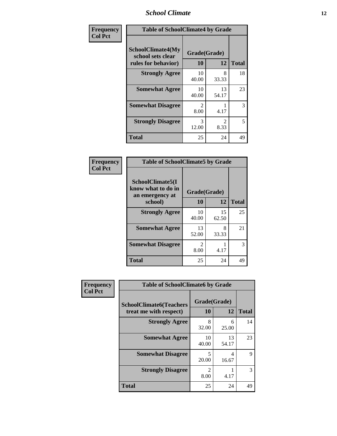### *School Climate* **12**

| Frequency      |                                                                      | <b>Table of SchoolClimate4 by Grade</b> |                        |              |  |
|----------------|----------------------------------------------------------------------|-----------------------------------------|------------------------|--------------|--|
| <b>Col Pct</b> | <b>SchoolClimate4(My</b><br>school sets clear<br>rules for behavior) | Grade(Grade)<br>10                      | 12                     | <b>Total</b> |  |
|                | <b>Strongly Agree</b>                                                | 10<br>40.00                             | 8<br>33.33             | 18           |  |
|                | <b>Somewhat Agree</b>                                                | 10<br>40.00                             | 13<br>54.17            | 23           |  |
|                | <b>Somewhat Disagree</b>                                             | $\mathcal{D}_{\mathcal{L}}$<br>8.00     | 4.17                   | 3            |  |
|                | <b>Strongly Disagree</b>                                             | 3<br>12.00                              | $\mathfrak{D}$<br>8.33 | 5            |  |
|                | Total                                                                | 25                                      | 24                     | 49           |  |

| <b>Table of SchoolClimate5 by Grade</b>                   |                        |             |              |  |  |
|-----------------------------------------------------------|------------------------|-------------|--------------|--|--|
| SchoolClimate5(I<br>know what to do in<br>an emergency at | Grade(Grade)           |             |              |  |  |
| school)                                                   | 10                     | 12          | <b>Total</b> |  |  |
| <b>Strongly Agree</b>                                     | 10<br>40.00            | 15<br>62.50 | 25           |  |  |
| <b>Somewhat Agree</b>                                     | 13<br>52.00            | 8<br>33.33  | 21           |  |  |
| <b>Somewhat Disagree</b>                                  | $\mathfrak{D}$<br>8.00 | 4.17        | 3            |  |  |
| <b>Total</b>                                              | 25                     | 24          | 49           |  |  |

| Frequency      | <b>Table of SchoolClimate6 by Grade</b>                  |                        |             |              |  |
|----------------|----------------------------------------------------------|------------------------|-------------|--------------|--|
| <b>Col Pct</b> | <b>SchoolClimate6(Teachers</b><br>treat me with respect) | Grade(Grade)<br>10     | 12          | <b>Total</b> |  |
|                | <b>Strongly Agree</b>                                    | 8<br>32.00             | 6<br>25.00  | 14           |  |
|                | <b>Somewhat Agree</b>                                    | 10<br>40.00            | 13<br>54.17 | 23           |  |
|                | <b>Somewhat Disagree</b>                                 | 5<br>20.00             | 4<br>16.67  | 9            |  |
|                | <b>Strongly Disagree</b>                                 | $\mathfrak{D}$<br>8.00 | 4.17        | 3            |  |
|                | <b>Total</b>                                             | 25                     | 24          | 49           |  |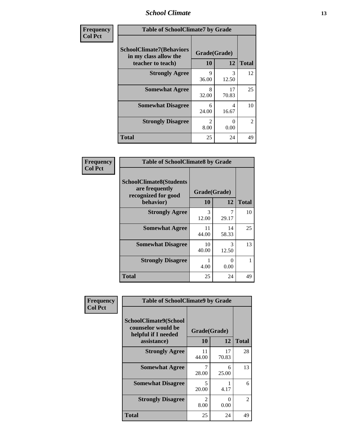### *School Climate* **13**

| Frequency      | <b>Table of SchoolClimate7 by Grade</b>                                       |                           |             |                |
|----------------|-------------------------------------------------------------------------------|---------------------------|-------------|----------------|
| <b>Col Pct</b> | <b>SchoolClimate7(Behaviors</b><br>in my class allow the<br>teacher to teach) | Grade(Grade)<br><b>10</b> | 12          | <b>Total</b>   |
|                | <b>Strongly Agree</b>                                                         | 9<br>36.00                | 3<br>12.50  | 12             |
|                | <b>Somewhat Agree</b>                                                         | 8<br>32.00                | 17<br>70.83 | 25             |
|                | <b>Somewhat Disagree</b>                                                      | 6<br>24.00                | 4<br>16.67  | 10             |
|                | <b>Strongly Disagree</b>                                                      | $\mathfrak{D}$<br>8.00    | 0<br>0.00   | $\mathfrak{D}$ |
|                | <b>Total</b>                                                                  | 25                        | 24          | 49             |

| Frequency      | <b>Table of SchoolClimate8 by Grade</b>                                 |                        |                       |              |
|----------------|-------------------------------------------------------------------------|------------------------|-----------------------|--------------|
| <b>Col Pct</b> | <b>SchoolClimate8(Students</b><br>are frequently<br>recognized for good | Grade(Grade)           |                       |              |
|                | behavior)                                                               | 10                     | 12                    | <b>Total</b> |
|                | <b>Strongly Agree</b>                                                   | $\mathcal{R}$<br>12.00 | 7<br>29.17            | 10           |
|                | <b>Somewhat Agree</b>                                                   | 11<br>44.00            | 14<br>58.33           | 25           |
|                | <b>Somewhat Disagree</b>                                                | 10<br>40.00            | 3<br>12.50            | 13           |
|                | <b>Strongly Disagree</b>                                                | 4.00                   | $\mathcal{O}$<br>0.00 |              |
|                | <b>Total</b>                                                            | 25                     | 24                    | 49           |

| Frequency      | <b>Table of SchoolClimate9 by Grade</b>                                           |                                     |             |                |
|----------------|-----------------------------------------------------------------------------------|-------------------------------------|-------------|----------------|
| <b>Col Pct</b> | SchoolClimate9(School<br>counselor would be<br>helpful if I needed<br>assistance) | Grade(Grade)<br>10                  | 12          | <b>Total</b>   |
|                | <b>Strongly Agree</b>                                                             | 11<br>44.00                         | 17<br>70.83 | 28             |
|                | <b>Somewhat Agree</b>                                                             | 28.00                               | 6<br>25.00  | 13             |
|                | <b>Somewhat Disagree</b>                                                          | $\overline{\mathcal{L}}$<br>20.00   | 4.17        | 6              |
|                | <b>Strongly Disagree</b>                                                          | $\mathcal{D}_{\mathcal{L}}$<br>8.00 | 0<br>0.00   | $\overline{2}$ |
|                | <b>Total</b>                                                                      | 25                                  | 24          | 49             |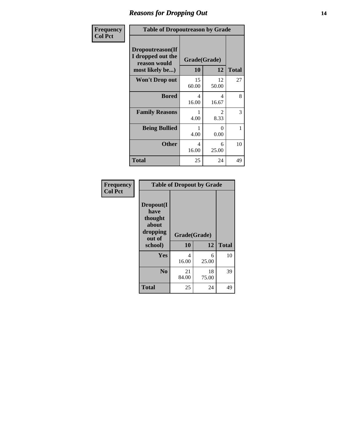### *Reasons for Dropping Out* **14**

| Frequency      |                                                                          | <b>Table of Dropoutreason by Grade</b> |                        |              |  |
|----------------|--------------------------------------------------------------------------|----------------------------------------|------------------------|--------------|--|
| <b>Col Pct</b> | Dropoutreason(If<br>I dropped out the<br>reason would<br>most likely be) | Grade(Grade)<br>10                     | 12                     | <b>Total</b> |  |
|                | <b>Won't Drop out</b>                                                    | 15<br>60.00                            | 12<br>50.00            | 27           |  |
|                | <b>Bored</b>                                                             | 4<br>16.00                             | 4<br>16.67             | 8            |  |
|                | <b>Family Reasons</b>                                                    | 4.00                                   | $\mathfrak{D}$<br>8.33 | 3            |  |
|                | <b>Being Bullied</b>                                                     | 4.00                                   | 0<br>0.00              | 1            |  |
|                | <b>Other</b>                                                             | 4<br>16.00                             | 6<br>25.00             | 10           |  |
|                | <b>Total</b>                                                             | 25                                     | 24                     | 49           |  |

| Frequency      | <b>Table of Dropout by Grade</b>                            |             |              |              |  |  |
|----------------|-------------------------------------------------------------|-------------|--------------|--------------|--|--|
| <b>Col Pct</b> | Dropout(I<br>have<br>thought<br>about<br>dropping<br>out of |             | Grade(Grade) |              |  |  |
|                | school)                                                     | 10          | 12           | <b>Total</b> |  |  |
|                | Yes                                                         | 4<br>16.00  | 6<br>25.00   | 10           |  |  |
|                | N <sub>0</sub>                                              | 21<br>84.00 | 18<br>75.00  | 39           |  |  |
|                | <b>Total</b>                                                | 25          | 24           | 49           |  |  |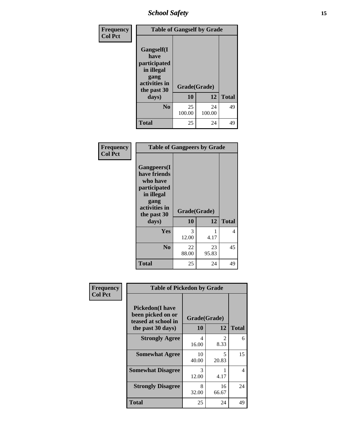# *School Safety* **15**

| Frequency      | <b>Table of Gangself by Grade</b>                                                        |              |              |              |
|----------------|------------------------------------------------------------------------------------------|--------------|--------------|--------------|
| <b>Col Pct</b> | Gangself(I<br>have<br>participated<br>in illegal<br>gang<br>activities in<br>the past 30 | Grade(Grade) |              |              |
|                | days)                                                                                    | 10           | 12           | <b>Total</b> |
|                | N <sub>0</sub>                                                                           | 25<br>100.00 | 24<br>100.00 | 49           |
|                | Total                                                                                    | 25           | 24           | 49           |

| Frequency<br><b>Col Pct</b> | <b>Table of Gangpeers by Grade</b>                                                                                             |                    |             |              |
|-----------------------------|--------------------------------------------------------------------------------------------------------------------------------|--------------------|-------------|--------------|
|                             | <b>Gangpeers</b> (I<br>have friends<br>who have<br>participated<br>in illegal<br>gang<br>activities in<br>the past 30<br>days) | Grade(Grade)<br>10 | 12          | <b>Total</b> |
|                             | Yes                                                                                                                            | 3<br>12.00         | 1<br>4.17   | 4            |
|                             | N <sub>0</sub>                                                                                                                 | 22<br>88.00        | 23<br>95.83 | 45           |
|                             | <b>Total</b>                                                                                                                   | 25                 | 24          | 49           |

| Frequency      | <b>Table of Pickedon by Grade</b>                                                        |                    |                                     |              |  |  |
|----------------|------------------------------------------------------------------------------------------|--------------------|-------------------------------------|--------------|--|--|
| <b>Col Pct</b> | <b>Pickedon</b> (I have<br>been picked on or<br>teased at school in<br>the past 30 days) | Grade(Grade)<br>10 | 12                                  | <b>Total</b> |  |  |
|                | <b>Strongly Agree</b>                                                                    | 4<br>16.00         | $\mathcal{D}_{\mathcal{L}}$<br>8.33 | 6            |  |  |
|                | <b>Somewhat Agree</b>                                                                    | 10<br>40.00        | 5<br>20.83                          | 15           |  |  |
|                | <b>Somewhat Disagree</b>                                                                 | 3<br>12.00         | 4.17                                | 4            |  |  |
|                | <b>Strongly Disagree</b>                                                                 | 8<br>32.00         | 16<br>66.67                         | 24           |  |  |
|                | <b>Total</b>                                                                             | 25                 | 24                                  | 49           |  |  |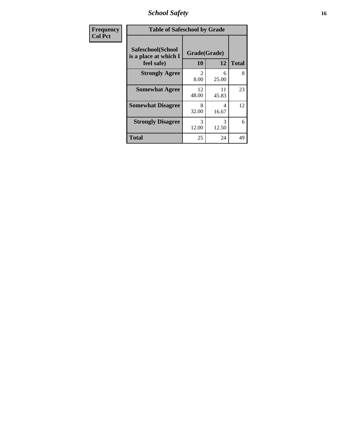*School Safety* **16**

| Frequency<br><b>Col Pct</b> | <b>Table of Safeschool by Grade</b>                      |                                     |             |              |  |
|-----------------------------|----------------------------------------------------------|-------------------------------------|-------------|--------------|--|
|                             | Safeschool(School<br>is a place at which I<br>feel safe) | Grade(Grade)<br>10                  | 12          | <b>Total</b> |  |
|                             | <b>Strongly Agree</b>                                    | $\mathcal{D}_{\mathcal{L}}$<br>8.00 | 6<br>25.00  | 8            |  |
|                             | <b>Somewhat Agree</b>                                    | 12<br>48.00                         | 11<br>45.83 | 23           |  |
|                             | <b>Somewhat Disagree</b>                                 | 8<br>32.00                          | 4<br>16.67  | 12           |  |
|                             | <b>Strongly Disagree</b>                                 | 3<br>12.00                          | 3<br>12.50  | 6            |  |
|                             | <b>Total</b>                                             | 25                                  | 24          | 49           |  |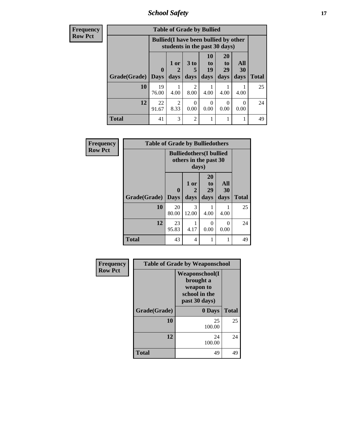*School Safety* **17**

| <b>Frequency</b> |              | <b>Table of Grade by Bullied</b>                                              |           |                        |                  |                  |                  |              |
|------------------|--------------|-------------------------------------------------------------------------------|-----------|------------------------|------------------|------------------|------------------|--------------|
| <b>Row Pct</b>   |              | <b>Bullied</b> (I have been bullied by other<br>students in the past 30 days) |           |                        |                  |                  |                  |              |
|                  |              | $\mathbf{0}$                                                                  | 1 or      | 3 <sub>to</sub><br>5   | 10<br>to<br>19   | 20<br>to<br>29   | All<br>30        |              |
|                  | Grade(Grade) | <b>Days</b>                                                                   | days      | days                   | days             | days             | days             | <b>Total</b> |
|                  | 10           | 19<br>76.00                                                                   | 4.00      | $\mathfrak{D}$<br>8.00 | 4.00             | 4.00             | 4.00             | 25           |
|                  | 12           | 22<br>91.67                                                                   | 2<br>8.33 | 0<br>0.00              | $\theta$<br>0.00 | $\Omega$<br>0.00 | $\Omega$<br>0.00 | 24           |
|                  | <b>Total</b> | 41                                                                            | 3         | $\overline{c}$         |                  | 1                |                  | 49           |

| Frequency      | <b>Table of Grade by Bulliedothers</b> |                                                                  |                   |                               |                   |              |
|----------------|----------------------------------------|------------------------------------------------------------------|-------------------|-------------------------------|-------------------|--------------|
| <b>Row Pct</b> |                                        | <b>Bulliedothers(I bullied</b><br>others in the past 30<br>days) |                   |                               |                   |              |
|                | Grade(Grade)   Days                    | $\bf{0}$                                                         | 1 or<br>2<br>days | <b>20</b><br>to<br>29<br>days | All<br>30<br>days | <b>Total</b> |
|                | 10                                     | 20<br>80.00                                                      | 3<br>12.00        | 4.00                          | 4.00              | 25           |
|                | 12                                     | 23<br>95.83                                                      | 4.17              | 0<br>0.00                     | $\Omega$<br>0.00  | 24           |
|                | <b>Total</b>                           | 43                                                               | 4                 |                               | 1                 | 49           |

| <b>Frequency</b> | <b>Table of Grade by Weaponschool</b> |                                                                                    |              |  |
|------------------|---------------------------------------|------------------------------------------------------------------------------------|--------------|--|
| <b>Row Pct</b>   |                                       | <b>Weaponschool</b> (I<br>brought a<br>weapon to<br>school in the<br>past 30 days) |              |  |
|                  | Grade(Grade)                          | 0 Days                                                                             | <b>Total</b> |  |
|                  | 10                                    | 25<br>100.00                                                                       | 25           |  |
|                  | 12                                    | 24<br>100.00                                                                       | 24           |  |
|                  | Total                                 | 49                                                                                 | 49           |  |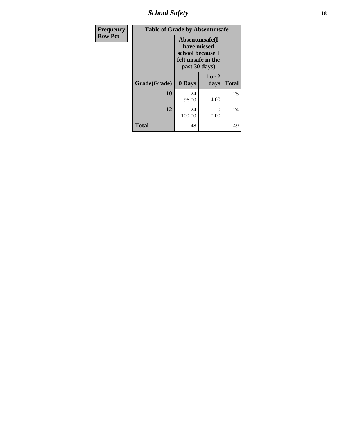*School Safety* **18**

| Frequency      | <b>Table of Grade by Absentunsafe</b>                                                     |              |                |              |  |  |
|----------------|-------------------------------------------------------------------------------------------|--------------|----------------|--------------|--|--|
| <b>Row Pct</b> | Absentunsafe(I)<br>have missed<br>school because I<br>felt unsafe in the<br>past 30 days) |              |                |              |  |  |
|                | Grade(Grade)                                                                              | 0 Days       | 1 or 2<br>days | <b>Total</b> |  |  |
|                | 10                                                                                        | 24<br>96.00  | 4.00           | 25           |  |  |
|                | 12                                                                                        | 24<br>100.00 | 0<br>0.00      | 24           |  |  |
|                | <b>Total</b>                                                                              | 48           | 1              | 49           |  |  |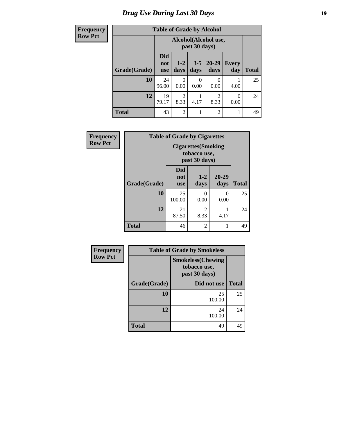# *Drug Use During Last 30 Days* **19**

### **Freq Row**

| quency | <b>Table of Grade by Alcohol</b> |                                 |                                       |                 |                   |                     |              |
|--------|----------------------------------|---------------------------------|---------------------------------------|-----------------|-------------------|---------------------|--------------|
| v Pct  |                                  |                                 | Alcohol(Alcohol use,<br>past 30 days) |                 |                   |                     |              |
|        | Grade(Grade)                     | <b>Did</b><br>not<br><b>use</b> | $1 - 2$<br>days                       | $3 - 5$<br>days | $20 - 29$<br>days | <b>Every</b><br>day | <b>Total</b> |
|        | 10                               | 24<br>96.00                     | 0<br>0.00                             | 0<br>0.00       | 0<br>0.00         | 4.00                | 25           |
|        | 12                               | 19<br>79.17                     | $\overline{2}$<br>8.33                | 4.17            | 2<br>8.33         | $\theta$<br>0.00    | 24           |
|        | <b>Total</b>                     | 43                              | $\overline{2}$                        | 1               | 2                 | 1                   | 49           |
|        |                                  |                                 |                                       |                 |                   |                     |              |

| Frequency      | <b>Table of Grade by Cigarettes</b> |                                                             |                 |               |              |  |  |
|----------------|-------------------------------------|-------------------------------------------------------------|-----------------|---------------|--------------|--|--|
| <b>Row Pct</b> |                                     | <b>Cigarettes</b> (Smoking<br>tobacco use,<br>past 30 days) |                 |               |              |  |  |
|                | Grade(Grade)                        | <b>Did</b><br>not<br><b>use</b>                             | $1 - 2$<br>days | 20-29<br>days | <b>Total</b> |  |  |
|                | 10                                  | 25<br>100.00                                                | 0<br>0.00       | 0<br>0.00     | 25           |  |  |
|                | 12                                  | 21<br>87.50                                                 | 2<br>8.33       | 4.17          | 24           |  |  |
|                | <b>Total</b>                        | 46                                                          | 2               | 1             | 49           |  |  |

| Frequency      |              | <b>Table of Grade by Smokeless</b>                         |              |  |  |  |
|----------------|--------------|------------------------------------------------------------|--------------|--|--|--|
| <b>Row Pct</b> |              | <b>Smokeless</b> (Chewing<br>tobacco use,<br>past 30 days) |              |  |  |  |
|                | Grade(Grade) | Did not use                                                | <b>Total</b> |  |  |  |
|                | 10           | 25<br>100.00                                               | 25           |  |  |  |
|                | 12           | 24<br>100.00                                               | 24           |  |  |  |
|                | <b>Total</b> | 49                                                         | 49           |  |  |  |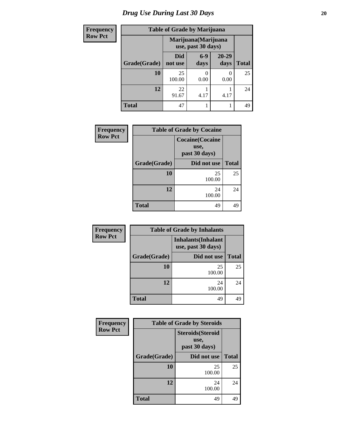# *Drug Use During Last 30 Days* 20

| <b>Frequency</b> | <b>Table of Grade by Marijuana</b> |                       |                 |                                            |              |  |  |
|------------------|------------------------------------|-----------------------|-----------------|--------------------------------------------|--------------|--|--|
| <b>Row Pct</b>   |                                    |                       |                 | Marijuana (Marijuana<br>use, past 30 days) |              |  |  |
|                  | Grade(Grade)                       | <b>Did</b><br>not use | $6 - 9$<br>days | 20-29<br>days                              | <b>Total</b> |  |  |
|                  | 10                                 | 25<br>100.00          | 0.00            | 0<br>0.00                                  | 25           |  |  |
|                  | 12                                 | 22<br>91.67           | 4.17            | 4.17                                       | 24           |  |  |
|                  | <b>Total</b>                       | 47                    |                 |                                            | 49           |  |  |

| <b>Frequency</b> | <b>Table of Grade by Cocaine</b> |                                                  |              |  |  |
|------------------|----------------------------------|--------------------------------------------------|--------------|--|--|
| <b>Row Pct</b>   |                                  | <b>Cocaine</b> (Cocaine<br>use,<br>past 30 days) |              |  |  |
|                  | Grade(Grade)                     | Did not use                                      | <b>Total</b> |  |  |
|                  | 10                               | 25<br>100.00                                     | 25           |  |  |
|                  | 12                               | 24<br>100.00                                     | 24           |  |  |
|                  | <b>Total</b>                     | 49                                               | 49           |  |  |

| Frequency      |              | <b>Table of Grade by Inhalants</b>               |              |
|----------------|--------------|--------------------------------------------------|--------------|
| <b>Row Pct</b> |              | <b>Inhalants</b> (Inhalant<br>use, past 30 days) |              |
|                | Grade(Grade) | Did not use                                      | <b>Total</b> |
|                | <b>10</b>    | 25<br>100.00                                     | 25           |
|                | 12           | 24<br>100.00                                     | 24           |
|                | <b>Total</b> | 49                                               | 49           |

| Frequency      | <b>Table of Grade by Steroids</b> |                                                   |              |  |
|----------------|-----------------------------------|---------------------------------------------------|--------------|--|
| <b>Row Pct</b> |                                   | <b>Steroids</b> (Steroid<br>use,<br>past 30 days) |              |  |
|                | Grade(Grade)                      | Did not use                                       | <b>Total</b> |  |
|                | 10                                | 25<br>100.00                                      | 25           |  |
|                | 12                                | 24<br>100.00                                      | 24           |  |
|                | <b>Total</b>                      | 49                                                | 49           |  |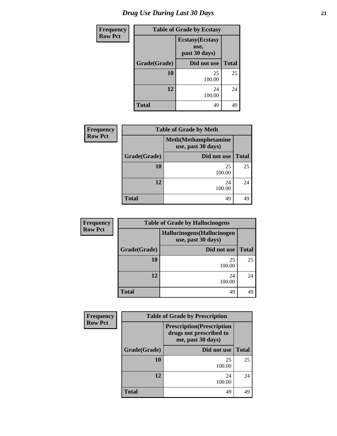| <b>Frequency</b> | <b>Table of Grade by Ecstasy</b>                 |              |              |  |
|------------------|--------------------------------------------------|--------------|--------------|--|
| <b>Row Pct</b>   | <b>Ecstasy</b> (Ecstasy<br>use,<br>past 30 days) |              |              |  |
|                  | Grade(Grade)                                     | Did not use  | <b>Total</b> |  |
|                  | 10                                               | 25<br>100.00 | 25           |  |
|                  | 12                                               | 24<br>100.00 | 24           |  |
|                  | <b>Total</b>                                     | 49           | 49           |  |

| <b>Frequency</b> | <b>Table of Grade by Meth</b> |                                                    |              |  |
|------------------|-------------------------------|----------------------------------------------------|--------------|--|
| <b>Row Pct</b>   |                               | <b>Meth</b> (Methamphetamine<br>use, past 30 days) |              |  |
|                  | Grade(Grade)                  | Did not use                                        | <b>Total</b> |  |
|                  | 10                            | 25<br>100.00                                       | 25           |  |
|                  | 12                            | 24<br>100.00                                       | 24           |  |
|                  | <b>Total</b>                  | 49                                                 | 49           |  |

| <b>Frequency</b>                                                    | <b>Table of Grade by Hallucinogens</b> |              |              |  |
|---------------------------------------------------------------------|----------------------------------------|--------------|--------------|--|
| <b>Row Pct</b><br>Hallucinogens (Hallucinogen<br>use, past 30 days) |                                        |              |              |  |
|                                                                     | Grade(Grade)                           | Did not use  | <b>Total</b> |  |
|                                                                     | 10                                     | 25<br>100.00 | 25           |  |
|                                                                     | 12                                     | 24<br>100.00 | 24           |  |
|                                                                     | <b>Total</b>                           | 49           | 49           |  |

| <b>Frequency</b> | <b>Table of Grade by Prescription</b> |              |              |  |  |
|------------------|---------------------------------------|--------------|--------------|--|--|
| <b>Row Pct</b>   |                                       |              |              |  |  |
|                  | Grade(Grade)                          | Did not use  | <b>Total</b> |  |  |
|                  | 10                                    | 25<br>100.00 | 25           |  |  |
|                  | 12                                    | 24<br>100.00 | 24           |  |  |
|                  | <b>Total</b>                          | 49           | 49           |  |  |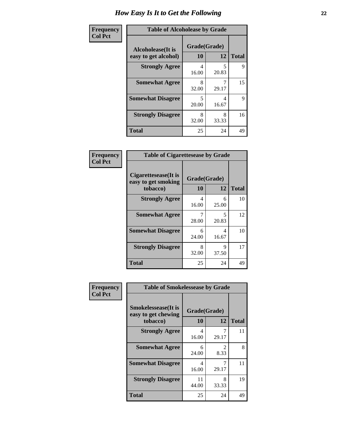| Frequency      | <b>Table of Alcoholease by Grade</b>              |                    |            |              |  |
|----------------|---------------------------------------------------|--------------------|------------|--------------|--|
| <b>Col Pct</b> | <b>Alcoholease</b> (It is<br>easy to get alcohol) | Grade(Grade)<br>10 | 12         | <b>Total</b> |  |
|                | <b>Strongly Agree</b>                             | 4<br>16.00         | 5<br>20.83 | 9            |  |
|                | <b>Somewhat Agree</b>                             | 8<br>32.00         | 29.17      | 15           |  |
|                | <b>Somewhat Disagree</b>                          | 5<br>20.00         | 4<br>16.67 | 9            |  |
|                | <b>Strongly Disagree</b>                          | 8<br>32.00         | 8<br>33.33 | 16           |  |
|                | <b>Total</b>                                      | 25                 | 24         | 49           |  |

| Frequency<br>Col Pct |
|----------------------|

| <b>Table of Cigarettesease by Grade</b>                 |                          |            |    |  |  |
|---------------------------------------------------------|--------------------------|------------|----|--|--|
| Cigarettesease(It is<br>easy to get smoking<br>tobacco) | Grade(Grade)<br>10<br>12 |            |    |  |  |
| <b>Strongly Agree</b>                                   | 4<br>16.00               | 6<br>25.00 | 10 |  |  |
| <b>Somewhat Agree</b>                                   | 28.00                    | 5<br>20.83 | 12 |  |  |
| <b>Somewhat Disagree</b>                                | 6<br>24.00               | Δ<br>16.67 | 10 |  |  |
| <b>Strongly Disagree</b>                                | 8<br>32.00               | Q<br>37.50 | 17 |  |  |
| Total                                                   | 25                       | 24         | 49 |  |  |

| Frequency      | <b>Table of Smokelessease by Grade</b>             |              |                        |              |  |
|----------------|----------------------------------------------------|--------------|------------------------|--------------|--|
| <b>Col Pct</b> | <b>Smokelessease</b> (It is<br>easy to get chewing | Grade(Grade) |                        |              |  |
|                | tobacco)                                           | 10           | 12                     | <b>Total</b> |  |
|                | <b>Strongly Agree</b>                              | 4<br>16.00   | 7<br>29.17             | 11           |  |
|                | <b>Somewhat Agree</b>                              | 6<br>24.00   | $\mathfrak{D}$<br>8.33 | 8            |  |
|                | <b>Somewhat Disagree</b>                           | 4<br>16.00   | 7<br>29.17             | 11           |  |
|                | <b>Strongly Disagree</b>                           | 11<br>44.00  | 8<br>33.33             | 19           |  |
|                | <b>Total</b>                                       | 25           | 24                     | 49           |  |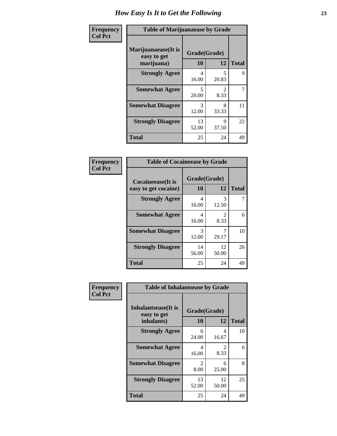| Frequency      | <b>Table of Marijuanaease by Grade</b>           |                    |                        |              |
|----------------|--------------------------------------------------|--------------------|------------------------|--------------|
| <b>Col Pct</b> | Marijuanaease(It is<br>easy to get<br>marijuana) | Grade(Grade)<br>10 | 12                     | <b>Total</b> |
|                | <b>Strongly Agree</b>                            | 4<br>16.00         | 5<br>20.83             | 9            |
|                | <b>Somewhat Agree</b>                            | 5<br>20.00         | $\mathfrak{D}$<br>8.33 | 7            |
|                | <b>Somewhat Disagree</b>                         | 3<br>12.00         | 8<br>33.33             | 11           |
|                | <b>Strongly Disagree</b>                         | 13<br>52.00        | 9<br>37.50             | 22           |
|                | <b>Total</b>                                     | 25                 | 24                     | 49           |

| <b>Table of Cocaineease by Grade</b> |              |             |              |  |  |
|--------------------------------------|--------------|-------------|--------------|--|--|
| <b>Cocaineease</b> (It is            | Grade(Grade) |             |              |  |  |
| easy to get cocaine)                 | 10           | 12          | <b>Total</b> |  |  |
| <b>Strongly Agree</b>                | 4<br>16.00   | 3<br>12.50  |              |  |  |
| <b>Somewhat Agree</b>                | 4<br>16.00   | 2<br>8.33   | 6            |  |  |
| <b>Somewhat Disagree</b>             | 3<br>12.00   | 29.17       | 10           |  |  |
| <b>Strongly Disagree</b>             | 14<br>56.00  | 12<br>50.00 | 26           |  |  |
| <b>Total</b>                         | 25           | 24          | 49           |  |  |

| Frequency      | <b>Table of Inhalantsease by Grade</b>                   |                        |                        |              |
|----------------|----------------------------------------------------------|------------------------|------------------------|--------------|
| <b>Col Pct</b> | <b>Inhalantsease</b> (It is<br>easy to get<br>inhalants) | Grade(Grade)<br>10     | 12                     | <b>Total</b> |
|                | <b>Strongly Agree</b>                                    | 6<br>24.00             | 4<br>16.67             | 10           |
|                | <b>Somewhat Agree</b>                                    | 4<br>16.00             | $\mathfrak{D}$<br>8.33 | 6            |
|                | <b>Somewhat Disagree</b>                                 | $\mathfrak{D}$<br>8.00 | 6<br>25.00             | 8            |
|                | <b>Strongly Disagree</b>                                 | 13<br>52.00            | 12<br>50.00            | 25           |
|                | <b>Total</b>                                             | 25                     | 24                     | 49           |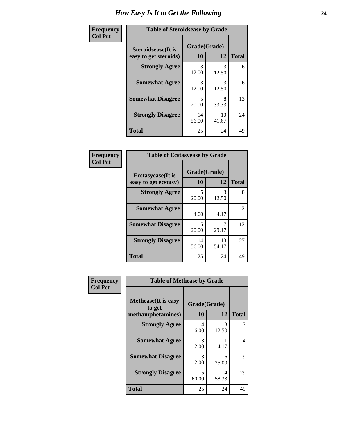| Frequency      | <b>Table of Steroidsease by Grade</b>               |                    |             |              |
|----------------|-----------------------------------------------------|--------------------|-------------|--------------|
| <b>Col Pct</b> | <b>Steroidsease</b> (It is<br>easy to get steroids) | Grade(Grade)<br>10 | 12          | <b>Total</b> |
|                | <b>Strongly Agree</b>                               | 3<br>12.00         | 3<br>12.50  | 6            |
|                | <b>Somewhat Agree</b>                               | 3<br>12.00         | 3<br>12.50  | 6            |
|                | <b>Somewhat Disagree</b>                            | 5<br>20.00         | 8<br>33.33  | 13           |
|                | <b>Strongly Disagree</b>                            | 14<br>56.00        | 10<br>41.67 | 24           |
|                | <b>Total</b>                                        | 25                 | 24          | 49           |

| Frequency      | <b>Table of Ecstasyease by Grade</b>              |                           |             |              |  |
|----------------|---------------------------------------------------|---------------------------|-------------|--------------|--|
| <b>Col Pct</b> | <b>Ecstasyease</b> (It is<br>easy to get ecstasy) | Grade(Grade)<br><b>10</b> | 12          | <b>Total</b> |  |
|                | <b>Strongly Agree</b>                             | 5<br>20.00                | 3<br>12.50  | 8            |  |
|                | <b>Somewhat Agree</b>                             | 4.00                      | 4.17        | 2            |  |
|                | <b>Somewhat Disagree</b>                          | 5<br>20.00                | 29.17       | 12           |  |
|                | <b>Strongly Disagree</b>                          | 14<br>56.00               | 13<br>54.17 | 27           |  |
|                | <b>Total</b>                                      | 25                        | 24          | 49           |  |

| Frequency      | <b>Table of Methease by Grade</b>                          |                         |             |              |
|----------------|------------------------------------------------------------|-------------------------|-------------|--------------|
| <b>Col Pct</b> | <b>Methease</b> (It is easy<br>to get<br>methamphetamines) | Grade(Grade)<br>10      | 12          | <b>Total</b> |
|                | <b>Strongly Agree</b>                                      | $\overline{4}$<br>16.00 | 3<br>12.50  |              |
|                | <b>Somewhat Agree</b>                                      | 3<br>12.00              | 4.17        | 4            |
|                | <b>Somewhat Disagree</b>                                   | 3<br>12.00              | 6<br>25.00  | 9            |
|                | <b>Strongly Disagree</b>                                   | 15<br>60.00             | 14<br>58.33 | 29           |
|                | <b>Total</b>                                               | 25                      | 24          | 49           |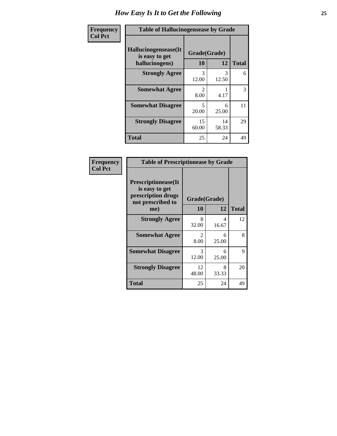| Frequency      | <b>Table of Hallucinogensease by Grade</b>               |                        |             |              |
|----------------|----------------------------------------------------------|------------------------|-------------|--------------|
| <b>Col Pct</b> | Hallucinogensease(It<br>is easy to get<br>hallucinogens) | Grade(Grade)<br>10     | 12          | <b>Total</b> |
|                | <b>Strongly Agree</b>                                    | 3<br>12.00             | 3<br>12.50  | 6            |
|                | <b>Somewhat Agree</b>                                    | $\mathfrak{D}$<br>8.00 | 4.17        | 3            |
|                | <b>Somewhat Disagree</b>                                 | 5<br>20.00             | 6<br>25.00  | 11           |
|                | <b>Strongly Disagree</b>                                 | 15<br>60.00            | 14<br>58.33 | 29           |
|                | <b>Total</b>                                             | 25                     | 24          | 49           |

| Frequency<br>  Col Pct |
|------------------------|
|                        |

| <b>Table of Prescriptionease by Grade</b>                                                |             |              |              |
|------------------------------------------------------------------------------------------|-------------|--------------|--------------|
| <b>Prescriptionease</b> (It<br>is easy to get<br>prescription drugs<br>not prescribed to |             | Grade(Grade) |              |
| me)                                                                                      | 10          | 12           | <b>Total</b> |
| <b>Strongly Agree</b>                                                                    | 8<br>32.00  | 4<br>16.67   | 12           |
| <b>Somewhat Agree</b>                                                                    | 2<br>8.00   | 6<br>25.00   | 8            |
| <b>Somewhat Disagree</b>                                                                 | 3<br>12.00  | 6<br>25.00   | 9            |
| <b>Strongly Disagree</b>                                                                 | 12<br>48.00 | 8<br>33.33   | 20           |
| <b>Total</b>                                                                             | 25          | 24           | 49           |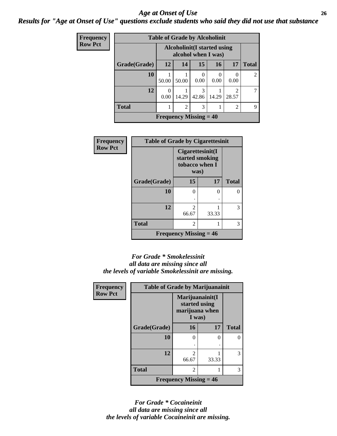### *Age at Onset of Use* **26** *Results for "Age at Onset of Use" questions exclude students who said they did not use that substance*

| <b>Frequency</b> | <b>Table of Grade by Alcoholinit</b> |                                                            |                |            |           |       |              |
|------------------|--------------------------------------|------------------------------------------------------------|----------------|------------|-----------|-------|--------------|
| <b>Row Pct</b>   |                                      | <b>Alcoholinit</b> (I started using<br>alcohol when I was) |                |            |           |       |              |
|                  | Grade(Grade)                         | <b>12</b>                                                  | 14             | 15         | 16        | 17    | <b>Total</b> |
|                  | 10                                   | 50.00                                                      | 50.00          | 0.00       | 0<br>0.00 | 0.00  |              |
|                  | 12                                   | 0.00                                                       | 14.29          | 3<br>42.86 | 14.29     | 28.57 |              |
|                  | <b>Total</b>                         |                                                            | $\overline{2}$ | 3          |           | 2     | 9            |
|                  |                                      | Frequency Missing $=$ 40                                   |                |            |           |       |              |

| <b>Frequency</b> | <b>Table of Grade by Cigarettesinit</b> |                                                               |       |              |  |
|------------------|-----------------------------------------|---------------------------------------------------------------|-------|--------------|--|
| <b>Row Pct</b>   |                                         | Cigarettesinit(I<br>started smoking<br>tobacco when I<br>was) |       |              |  |
|                  | Grade(Grade)                            | 15                                                            | 17    | <b>Total</b> |  |
|                  | 10                                      | 0                                                             | 0     | ∩            |  |
|                  | 12                                      | $\mathfrak{D}$<br>66.67                                       | 33.33 | 3            |  |
|                  | <b>Total</b>                            | 2                                                             |       | 3            |  |
|                  |                                         | <b>Frequency Missing = 46</b>                                 |       |              |  |

#### *For Grade \* Smokelessinit all data are missing since all the levels of variable Smokelessinit are missing.*

| Frequency      | <b>Table of Grade by Marijuanainit</b> |                                                              |       |              |
|----------------|----------------------------------------|--------------------------------------------------------------|-------|--------------|
| <b>Row Pct</b> |                                        | Marijuanainit(I<br>started using<br>marijuana when<br>I was) |       |              |
|                | Grade(Grade)                           | <b>16</b>                                                    | 17    | <b>Total</b> |
|                | 10                                     | 0                                                            | 0     |              |
|                |                                        |                                                              |       |              |
|                | 12                                     | $\mathcal{D}_{\mathcal{L}}$<br>66.67                         | 33.33 | 3            |
|                | <b>Total</b>                           | 2                                                            |       | 3            |
|                |                                        | <b>Frequency Missing = 46</b>                                |       |              |

*For Grade \* Cocaineinit all data are missing since all the levels of variable Cocaineinit are missing.*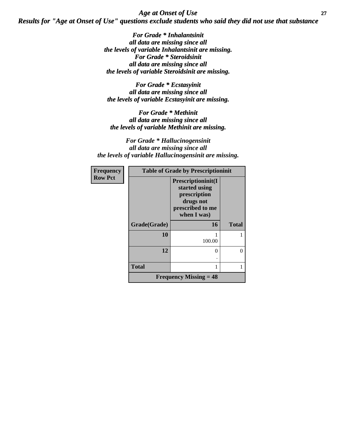*Age at Onset of Use* **27** *Results for "Age at Onset of Use" questions exclude students who said they did not use that substance*

> *For Grade \* Inhalantsinit all data are missing since all the levels of variable Inhalantsinit are missing. For Grade \* Steroidsinit all data are missing since all the levels of variable Steroidsinit are missing.*

*For Grade \* Ecstasyinit all data are missing since all the levels of variable Ecstasyinit are missing.*

*For Grade \* Methinit all data are missing since all the levels of variable Methinit are missing.*

*For Grade \* Hallucinogensinit all data are missing since all the levels of variable Hallucinogensinit are missing.*

| <b>Frequency</b><br><b>Row Pct</b> | <b>Table of Grade by Prescriptioninit</b> |                                                                                                     |              |  |
|------------------------------------|-------------------------------------------|-----------------------------------------------------------------------------------------------------|--------------|--|
|                                    |                                           | Prescriptioninit(I<br>started using<br>prescription<br>drugs not<br>prescribed to me<br>when I was) |              |  |
|                                    | Grade(Grade)                              | 16                                                                                                  | <b>Total</b> |  |
|                                    | 10                                        | 100.00                                                                                              |              |  |
|                                    | 12                                        | $\theta$                                                                                            | 0            |  |
|                                    | <b>Total</b>                              |                                                                                                     |              |  |
|                                    |                                           | Frequency Missing $= 48$                                                                            |              |  |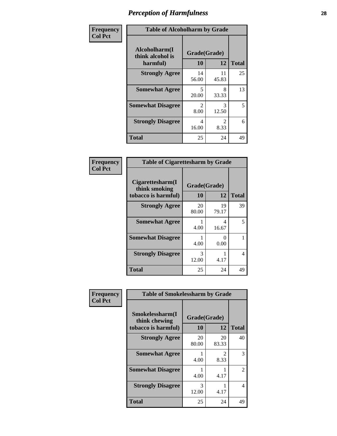| Frequency      | <b>Table of Alcoholharm by Grade</b>          |                        |                                     |              |
|----------------|-----------------------------------------------|------------------------|-------------------------------------|--------------|
| <b>Col Pct</b> | Alcoholharm(I<br>think alcohol is<br>harmful) | Grade(Grade)<br>10     | 12                                  | <b>Total</b> |
|                | <b>Strongly Agree</b>                         | 14<br>56.00            | 11<br>45.83                         | 25           |
|                | <b>Somewhat Agree</b>                         | 5<br>20.00             | 8<br>33.33                          | 13           |
|                | <b>Somewhat Disagree</b>                      | $\mathfrak{D}$<br>8.00 | 3<br>12.50                          | 5            |
|                | <b>Strongly Disagree</b>                      | 4<br>16.00             | $\mathcal{D}_{\mathcal{L}}$<br>8.33 | 6            |
|                | <b>Total</b>                                  | 25                     | 24                                  | 49           |

| <b>Table of Cigarettesharm by Grade</b>                  |                    |                           |              |  |
|----------------------------------------------------------|--------------------|---------------------------|--------------|--|
| Cigarettesharm(I<br>think smoking<br>tobacco is harmful) | Grade(Grade)<br>10 | 12                        | <b>Total</b> |  |
| <b>Strongly Agree</b>                                    | 20<br>80.00        | 19<br>79.17               | 39           |  |
| <b>Somewhat Agree</b>                                    | 4.00               | 4<br>16.67                | 5            |  |
| <b>Somewhat Disagree</b>                                 | 1<br>4.00          | $\mathbf{\Omega}$<br>0.00 |              |  |
| <b>Strongly Disagree</b>                                 | 3<br>12.00         | 4.17                      | 4            |  |
| <b>Total</b>                                             | 25                 | 24                        | 49           |  |

| Frequency      | <b>Table of Smokelessharm by Grade</b>                  |                    |                        |              |
|----------------|---------------------------------------------------------|--------------------|------------------------|--------------|
| <b>Col Pct</b> | Smokelessharm(I<br>think chewing<br>tobacco is harmful) | Grade(Grade)<br>10 | 12                     | <b>Total</b> |
|                | <b>Strongly Agree</b>                                   | 20<br>80.00        | 20<br>83.33            | 40           |
|                | <b>Somewhat Agree</b>                                   | 4.00               | $\mathfrak{D}$<br>8.33 | 3            |
|                | <b>Somewhat Disagree</b>                                | 4.00               | 4.17                   | 2            |
|                | <b>Strongly Disagree</b>                                | 3<br>12.00         | 4.17                   | 4            |
|                | <b>Total</b>                                            | 25                 | 24                     | 49           |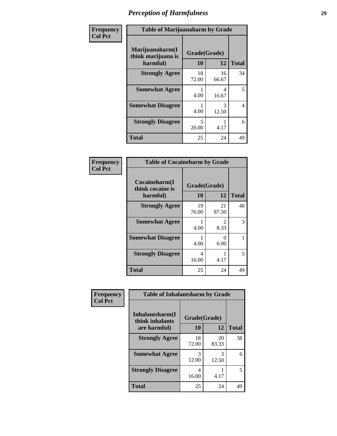| Frequency      | <b>Table of Marijuanaharm by Grade</b>            |                                   |             |              |
|----------------|---------------------------------------------------|-----------------------------------|-------------|--------------|
| <b>Col Pct</b> | Marijuanaharm(I<br>think marijuana is<br>harmful) | Grade(Grade)<br>10                | 12          | <b>Total</b> |
|                | <b>Strongly Agree</b>                             | 18<br>72.00                       | 16<br>66.67 | 34           |
|                | <b>Somewhat Agree</b>                             | 4.00                              | 4<br>16.67  | 5            |
|                | <b>Somewhat Disagree</b>                          | 4.00                              | 3<br>12.50  | 4            |
|                | <b>Strongly Disagree</b>                          | $\overline{\phantom{0}}$<br>20.00 | 4.17        | 6            |
|                | <b>Total</b>                                      | 25                                | 24          | 49           |

| <b>Table of Cocaineharm by Grade</b>          |              |                           |    |  |  |
|-----------------------------------------------|--------------|---------------------------|----|--|--|
| Cocaineharm(I<br>think cocaine is<br>harmful) | <b>Total</b> |                           |    |  |  |
| <b>Strongly Agree</b>                         | 19<br>76.00  | 21<br>87.50               | 40 |  |  |
| <b>Somewhat Agree</b>                         | 1<br>4.00    | $\mathfrak{D}$<br>8.33    | 3  |  |  |
| <b>Somewhat Disagree</b>                      | 1<br>4.00    | $\mathbf{\Omega}$<br>0.00 |    |  |  |
| <b>Strongly Disagree</b>                      | 4<br>16.00   | 4.17                      | 5  |  |  |
| <b>Total</b>                                  | 25           | 24                        | 49 |  |  |

| Frequency      | <b>Table of Inhalantsharm by Grade</b> |              |             |              |  |
|----------------|----------------------------------------|--------------|-------------|--------------|--|
| <b>Col Pct</b> | Inhalantsharm(I<br>think inhalants     | Grade(Grade) |             |              |  |
|                | are harmful)                           | 10           | 12          | <b>Total</b> |  |
|                | <b>Strongly Agree</b>                  | 18<br>72.00  | 20<br>83.33 | 38           |  |
|                | <b>Somewhat Agree</b>                  | 3<br>12.00   | 3<br>12.50  | 6            |  |
|                | <b>Strongly Disagree</b>               | 4<br>16.00   | 4.17        | 5.           |  |
|                | <b>Total</b>                           | 25           | 24          | 49           |  |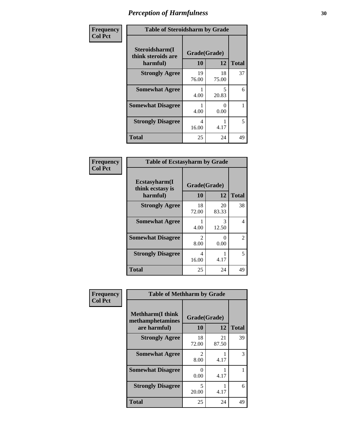| Frequency      | <b>Table of Steroidsharm by Grade</b>            |                    |             |              |
|----------------|--------------------------------------------------|--------------------|-------------|--------------|
| <b>Col Pct</b> | Steroidsharm(I<br>think steroids are<br>harmful) | Grade(Grade)<br>10 | 12          | <b>Total</b> |
|                | <b>Strongly Agree</b>                            | 19<br>76.00        | 18<br>75.00 | 37           |
|                | <b>Somewhat Agree</b>                            | 4.00               | 5<br>20.83  | 6            |
|                | <b>Somewhat Disagree</b>                         | 4.00               | 0<br>0.00   |              |
|                | <b>Strongly Disagree</b>                         | 4<br>16.00         | 4.17        | 5            |
|                | <b>Total</b>                                     | 25                 | 24          | 49           |

| <b>Table of Ecstasyharm by Grade</b>          |                    |              |    |  |  |  |
|-----------------------------------------------|--------------------|--------------|----|--|--|--|
| Ecstasyharm(I<br>think ecstasy is<br>harmful) | Grade(Grade)<br>10 | <b>Total</b> |    |  |  |  |
| <b>Strongly Agree</b>                         | 18<br>72.00        | 20<br>83.33  | 38 |  |  |  |
| <b>Somewhat Agree</b>                         | 4.00               | 3<br>12.50   | 4  |  |  |  |
| <b>Somewhat Disagree</b>                      | 2<br>8.00          | 0<br>0.00    | 2  |  |  |  |
| <b>Strongly Disagree</b>                      | 4<br>16.00         | 4.17         | 5  |  |  |  |
| <b>Total</b>                                  | 25                 | 24           | 49 |  |  |  |

| Frequency      | <b>Table of Methharm by Grade</b>                            |                           |             |              |
|----------------|--------------------------------------------------------------|---------------------------|-------------|--------------|
| <b>Col Pct</b> | <b>Methharm</b> (I think<br>methamphetamines<br>are harmful) | Grade(Grade)<br><b>10</b> | 12          | <b>Total</b> |
|                | <b>Strongly Agree</b>                                        | 18<br>72.00               | 21<br>87.50 | 39           |
|                | <b>Somewhat Agree</b>                                        | 2<br>8.00                 | 4.17        | 3            |
|                | <b>Somewhat Disagree</b>                                     | 0<br>0.00                 | 4.17        |              |
|                | <b>Strongly Disagree</b>                                     | 5<br>20.00                | 4.17        | 6            |
|                | <b>Total</b>                                                 | 25                        | 24          | 49           |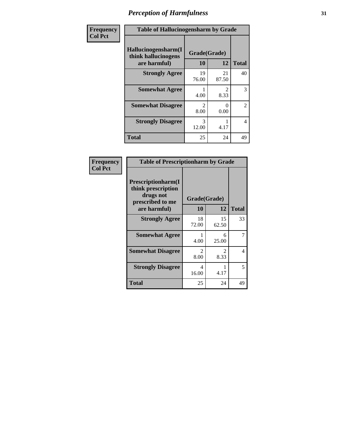| Frequency | <b>Table of Hallucinogensharm by Grade</b>                 |                       |                       |                |
|-----------|------------------------------------------------------------|-----------------------|-----------------------|----------------|
| Col Pct   | Hallucinogensharm(I<br>think hallucinogens<br>are harmful) | Grade(Grade)<br>10    | 12                    | <b>Total</b>   |
|           | <b>Strongly Agree</b>                                      | 19<br>76.00           | 21<br>87.50           | 40             |
|           | <b>Somewhat Agree</b>                                      | 4.00                  | $\mathcal{L}$<br>8.33 | 3              |
|           | <b>Somewhat Disagree</b>                                   | $\mathcal{L}$<br>8.00 | 0<br>0.00             | $\overline{c}$ |
|           | <b>Strongly Disagree</b>                                   | 3<br>12.00            | 4.17                  | 4              |
|           | <b>Total</b>                                               | 25                    | 24                    | 49             |

| <b>Table of Prescriptionharm by Grade</b>                                 |                        |                                     |              |  |  |
|---------------------------------------------------------------------------|------------------------|-------------------------------------|--------------|--|--|
| Prescriptionharm(I<br>think prescription<br>drugs not<br>prescribed to me | Grade(Grade)           |                                     |              |  |  |
| are harmful)                                                              | 10                     | 12                                  | <b>Total</b> |  |  |
| <b>Strongly Agree</b>                                                     | 18<br>72.00            | 15<br>62.50                         | 33           |  |  |
| <b>Somewhat Agree</b>                                                     | 4.00                   | 6<br>25.00                          | 7            |  |  |
| <b>Somewhat Disagree</b>                                                  | $\mathfrak{D}$<br>8.00 | $\mathcal{D}_{\mathcal{L}}$<br>8.33 | 4            |  |  |
| <b>Strongly Disagree</b>                                                  | 4<br>16.00             | 4.17                                | 5            |  |  |
| <b>Total</b>                                                              | 25                     | 24                                  | 49           |  |  |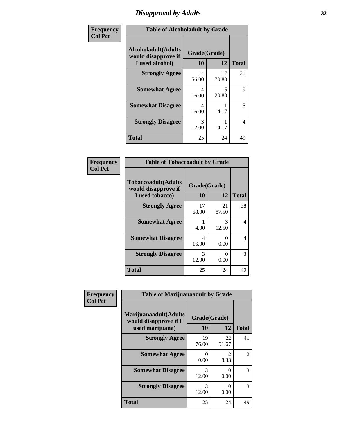# *Disapproval by Adults* **32**

| Frequency      |                                                                       | <b>Table of Alcoholadult by Grade</b> |             |              |  |
|----------------|-----------------------------------------------------------------------|---------------------------------------|-------------|--------------|--|
| <b>Col Pct</b> | <b>Alcoholadult</b> (Adults<br>would disapprove if<br>I used alcohol) | Grade(Grade)<br>10                    | 12          | <b>Total</b> |  |
|                | <b>Strongly Agree</b>                                                 | 14<br>56.00                           | 17<br>70.83 | 31           |  |
|                | <b>Somewhat Agree</b>                                                 | 4<br>16.00                            | 5<br>20.83  | 9            |  |
|                | <b>Somewhat Disagree</b>                                              | 4<br>16.00                            | 4.17        | 5            |  |
|                | <b>Strongly Disagree</b>                                              | 3<br>12.00                            | 4.17        | 4            |  |
|                | <b>Total</b>                                                          | 25                                    | 24          | 49           |  |

| <b>Table of Tobaccoadult by Grade</b>                                 |                    |              |    |  |
|-----------------------------------------------------------------------|--------------------|--------------|----|--|
| <b>Tobaccoadult</b> (Adults<br>would disapprove if<br>I used tobacco) | Grade(Grade)<br>10 | <b>Total</b> |    |  |
| <b>Strongly Agree</b>                                                 | 17<br>68.00        | 21<br>87.50  | 38 |  |
| <b>Somewhat Agree</b>                                                 | 4.00               | 3<br>12.50   | 4  |  |
| <b>Somewhat Disagree</b>                                              | 4<br>16.00         | 0<br>0.00    | 4  |  |
| <b>Strongly Disagree</b>                                              | 3<br>12.00         | $0.00\,$     | 3  |  |
| <b>Total</b>                                                          | 25                 | 24           | 49 |  |

| Frequency      | <b>Table of Marijuanaadult by Grade</b>                           |                      |                  |               |
|----------------|-------------------------------------------------------------------|----------------------|------------------|---------------|
| <b>Col Pct</b> | Marijuanaadult(Adults<br>would disapprove if I<br>used marijuana) | Grade(Grade)<br>10   | 12               | <b>Total</b>  |
|                | <b>Strongly Agree</b>                                             | 19<br>76.00          | 22<br>91.67      | 41            |
|                | <b>Somewhat Agree</b>                                             | $\mathbf{0}$<br>0.00 | 2<br>8.33        | 2             |
|                | <b>Somewhat Disagree</b>                                          | 3<br>12.00           | $\Omega$<br>0.00 | $\mathcal{R}$ |
|                | <b>Strongly Disagree</b>                                          | 3<br>12.00           | $\Omega$<br>0.00 | 3             |
|                | <b>Total</b>                                                      | 25                   | 24               | 49            |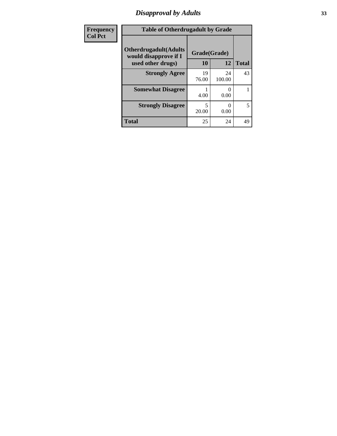# *Disapproval by Adults* **33**

| Frequency      | <b>Table of Otherdrugadult by Grade</b>                                     |                    |              |              |  |
|----------------|-----------------------------------------------------------------------------|--------------------|--------------|--------------|--|
| <b>Col Pct</b> | <b>Otherdrugadult</b> (Adults<br>would disapprove if I<br>used other drugs) | Grade(Grade)<br>10 | 12           | <b>Total</b> |  |
|                | <b>Strongly Agree</b>                                                       | 19<br>76.00        | 24<br>100.00 | 43           |  |
|                | <b>Somewhat Disagree</b>                                                    | 4.00               | 0.00         |              |  |
|                | <b>Strongly Disagree</b>                                                    | 5<br>20.00         | 0.00         | 5            |  |
|                | <b>Total</b>                                                                | 25                 | 24           | 49           |  |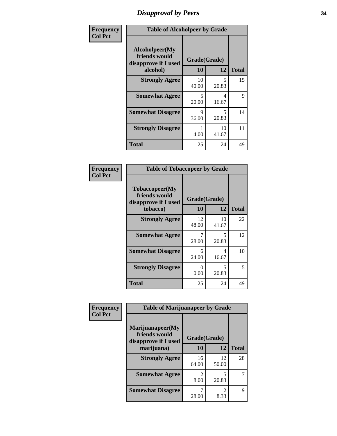# *Disapproval by Peers* **34**

| Frequency      | <b>Table of Alcoholpeer by Grade</b>                    |                    |             |              |  |
|----------------|---------------------------------------------------------|--------------------|-------------|--------------|--|
| <b>Col Pct</b> | Alcoholpeer(My<br>friends would<br>disapprove if I used | Grade(Grade)<br>10 | 12          | <b>Total</b> |  |
|                | alcohol)                                                |                    |             |              |  |
|                | <b>Strongly Agree</b>                                   | 10<br>40.00        | 5<br>20.83  | 15           |  |
|                | <b>Somewhat Agree</b>                                   | 5<br>20.00         | 4<br>16.67  | 9            |  |
|                | <b>Somewhat Disagree</b>                                | 9<br>36.00         | 5<br>20.83  | 14           |  |
|                | <b>Strongly Disagree</b>                                | 4.00               | 10<br>41.67 | 11           |  |
|                | Total                                                   | 25                 | 24          | 49           |  |

| Frequency      | <b>Table of Tobaccopeer by Grade</b>                                |                    |             |              |  |
|----------------|---------------------------------------------------------------------|--------------------|-------------|--------------|--|
| <b>Col Pct</b> | Tobaccopeer(My<br>friends would<br>disapprove if I used<br>tobacco) | Grade(Grade)<br>10 | 12          | <b>Total</b> |  |
|                | <b>Strongly Agree</b>                                               | 12<br>48.00        | 10<br>41.67 | 22           |  |
|                | <b>Somewhat Agree</b>                                               | 7<br>28.00         | 5<br>20.83  | 12           |  |
|                | <b>Somewhat Disagree</b>                                            | 6<br>24.00         | 4<br>16.67  | 10           |  |
|                | <b>Strongly Disagree</b>                                            | 0<br>0.00          | 5<br>20.83  | 5            |  |
|                | <b>Total</b>                                                        | 25                 | 24          | 49           |  |

| Frequency      | <b>Table of Marijuanapeer by Grade</b>                    |                                     |             |              |
|----------------|-----------------------------------------------------------|-------------------------------------|-------------|--------------|
| <b>Col Pct</b> | Marijuanapeer(My<br>friends would<br>disapprove if I used | Grade(Grade)                        |             |              |
|                | marijuana)                                                | <b>10</b>                           | 12          | <b>Total</b> |
|                | <b>Strongly Agree</b>                                     | 16<br>64.00                         | 12<br>50.00 | 28           |
|                | <b>Somewhat Agree</b>                                     | $\mathcal{D}_{\mathcal{L}}$<br>8.00 | 5<br>20.83  | 7            |
|                | <b>Somewhat Disagree</b>                                  | 28.00                               | 8.33        | $\mathbf Q$  |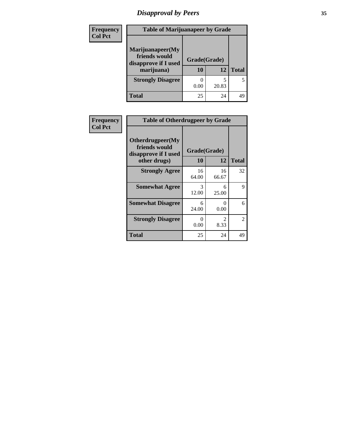# *Disapproval by Peers* **35**

| Frequency<br><b>Col Pct</b> | <b>Table of Marijuanapeer by Grade</b>                                  |                    |       |              |  |
|-----------------------------|-------------------------------------------------------------------------|--------------------|-------|--------------|--|
|                             | Marijuanapeer(My<br>friends would<br>disapprove if I used<br>marijuana) | Grade(Grade)<br>10 | 12    | <b>Total</b> |  |
|                             | <b>Strongly Disagree</b>                                                | 0.00               | 20.83 | 5            |  |
|                             | Total                                                                   | 25                 | 24    | 49           |  |

| Frequency      | <b>Table of Otherdrugpeer by Grade</b>                                    |                    |                  |              |
|----------------|---------------------------------------------------------------------------|--------------------|------------------|--------------|
| <b>Col Pct</b> | Otherdrugpeer(My<br>friends would<br>disapprove if I used<br>other drugs) | Grade(Grade)<br>10 | 12               | <b>Total</b> |
|                | <b>Strongly Agree</b>                                                     | 16<br>64.00        | 16<br>66.67      | 32           |
|                | <b>Somewhat Agree</b>                                                     | 3<br>12.00         | 6<br>25.00       | 9            |
|                | <b>Somewhat Disagree</b>                                                  | 6<br>24.00         | $\Omega$<br>0.00 | 6            |
|                | <b>Strongly Disagree</b>                                                  | 0<br>0.00          | 2<br>8.33        | 2            |
|                | <b>Total</b>                                                              | 25                 | 24               | 49           |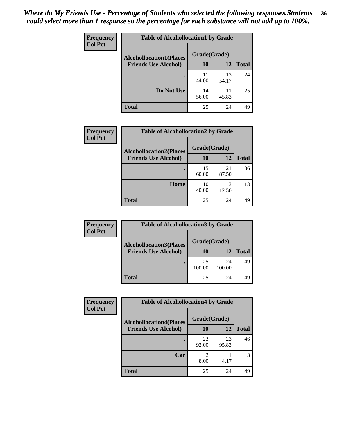#### *Where do My Friends Use - Percentage of Students who selected the following responses.Students could select more than 1 response so the percentage for each substance will not add up to 100%.* **36**

| <b>Frequency</b><br><b>Col Pct</b> | <b>Table of Alcohollocation1 by Grade</b> |              |             |              |  |
|------------------------------------|-------------------------------------------|--------------|-------------|--------------|--|
|                                    | <b>Alcohollocation1(Places</b>            | Grade(Grade) |             |              |  |
|                                    | <b>Friends Use Alcohol)</b>               | 10           | 12          | <b>Total</b> |  |
|                                    |                                           | 11<br>44.00  | 13<br>54.17 | 24           |  |
|                                    | Do Not Use                                | 14<br>56.00  | 11<br>45.83 | 25           |  |
|                                    | <b>Total</b>                              | 25           | 24          | 49           |  |

| Frequency      | <b>Table of Alcohollocation2 by Grade</b>                     |                           |             |              |
|----------------|---------------------------------------------------------------|---------------------------|-------------|--------------|
| <b>Col Pct</b> | <b>Alcohollocation2(Places</b><br><b>Friends Use Alcohol)</b> | Grade(Grade)<br><b>10</b> | 12          | <b>Total</b> |
|                |                                                               | 15<br>60.00               | 21<br>87.50 | 36           |
|                | Home                                                          | 10<br>40.00               | 3<br>12.50  | 13           |
|                | <b>Total</b>                                                  | 25                        | 24          | 49           |

| Frequency      | <b>Table of Alcohollocation3 by Grade</b> |              |              |              |  |
|----------------|-------------------------------------------|--------------|--------------|--------------|--|
| <b>Col Pct</b> | <b>Alcohollocation3(Places</b>            | Grade(Grade) |              |              |  |
|                | <b>Friends Use Alcohol)</b>               | 10           | 12           | <b>Total</b> |  |
|                |                                           | 25<br>100.00 | 24<br>100.00 | 49           |  |
|                | <b>Total</b>                              | 25           | 24           | 49           |  |

| <b>Frequency</b> | <b>Table of Alcohollocation4 by Grade</b> |              |             |              |  |
|------------------|-------------------------------------------|--------------|-------------|--------------|--|
| <b>Col Pct</b>   | <b>Alcohollocation4(Places</b>            | Grade(Grade) |             |              |  |
|                  | <b>Friends Use Alcohol)</b>               | <b>10</b>    | 12          | <b>Total</b> |  |
|                  |                                           | 23<br>92.00  | 23<br>95.83 | 46           |  |
|                  | Car                                       | 2<br>8.00    | 4.17        | 3            |  |
|                  | <b>Total</b>                              | 25           | 24          | 49           |  |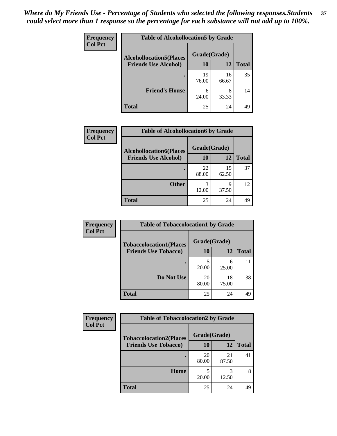| Frequency<br><b>Col Pct</b> | <b>Table of Alcohollocation5 by Grade</b>      |             |             |              |  |
|-----------------------------|------------------------------------------------|-------------|-------------|--------------|--|
|                             | Grade(Grade)<br><b>Alcohollocation5(Places</b> |             |             |              |  |
|                             | <b>Friends Use Alcohol)</b>                    | 10          | 12          | <b>Total</b> |  |
|                             |                                                | 19<br>76.00 | 16<br>66.67 | 35           |  |
|                             | <b>Friend's House</b>                          | 6<br>24.00  | 8<br>33.33  | 14           |  |
|                             | <b>Total</b>                                   | 25          | 24          | 49           |  |

| <b>Frequency</b> | <b>Table of Alcohollocation6 by Grade</b> |              |             |              |
|------------------|-------------------------------------------|--------------|-------------|--------------|
| <b>Col Pct</b>   | <b>Alcohollocation6(Places</b>            | Grade(Grade) |             |              |
|                  | <b>Friends Use Alcohol)</b>               | 10           | 12          | <b>Total</b> |
|                  |                                           | 22<br>88.00  | 15<br>62.50 | 37           |
|                  | <b>Other</b>                              | 3<br>12.00   | Q<br>37.50  | 12           |
|                  | <b>Total</b>                              | 25           | 24          | 49           |

| Frequency      | <b>Table of Tobaccolocation1 by Grade</b> |              |             |              |
|----------------|-------------------------------------------|--------------|-------------|--------------|
| <b>Col Pct</b> | <b>Tobaccolocation1(Places</b>            | Grade(Grade) |             |              |
|                | <b>Friends Use Tobacco)</b>               | 10           | <b>12</b>   | <b>Total</b> |
|                |                                           | 20.00        | 6<br>25.00  | 11           |
|                | Do Not Use                                | 20<br>80.00  | 18<br>75.00 | 38           |
|                | <b>Total</b>                              | 25           | 24          | 49           |

| <b>Frequency</b> | <b>Table of Tobaccolocation2 by Grade</b> |              |             |              |  |
|------------------|-------------------------------------------|--------------|-------------|--------------|--|
| <b>Col Pct</b>   | <b>Tobaccolocation2(Places</b>            | Grade(Grade) |             |              |  |
|                  | <b>Friends Use Tobacco)</b>               | <b>10</b>    | 12          | <b>Total</b> |  |
|                  |                                           | 20<br>80.00  | 21<br>87.50 | 41           |  |
|                  | Home                                      | 20.00        | 3<br>12.50  | 8            |  |
|                  | <b>Total</b>                              | 25           | 24          | 49           |  |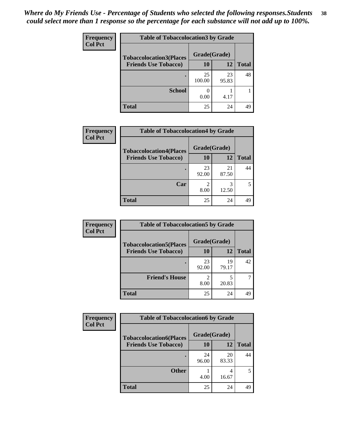| Frequency      | <b>Table of Tobaccolocation 3 by Grade</b> |              |             |              |  |
|----------------|--------------------------------------------|--------------|-------------|--------------|--|
| <b>Col Pct</b> | <b>Tobaccolocation3(Places</b>             | Grade(Grade) |             |              |  |
|                | <b>Friends Use Tobacco)</b>                | 10           | <b>12</b>   | <b>Total</b> |  |
|                | ٠                                          | 25<br>100.00 | 23<br>95.83 | 48           |  |
|                | <b>School</b>                              | 0.00         | 4.17        |              |  |
|                | <b>Total</b>                               | 25           | 24          | 49           |  |

| <b>Frequency</b> | <b>Table of Tobaccolocation4 by Grade</b> |              |             |              |
|------------------|-------------------------------------------|--------------|-------------|--------------|
| <b>Col Pct</b>   | <b>Tobaccolocation4(Places</b>            | Grade(Grade) |             |              |
|                  | <b>Friends Use Tobacco)</b>               | 10           | 12          | <b>Total</b> |
|                  |                                           | 23<br>92.00  | 21<br>87.50 | 44           |
|                  | Car                                       | 8.00         | 3<br>12.50  |              |
|                  | <b>Total</b>                              | 25           | 24          | 49           |

| Frequency      | <b>Table of Tobaccolocation5 by Grade</b> |              |             |              |
|----------------|-------------------------------------------|--------------|-------------|--------------|
| <b>Col Pct</b> | <b>Tobaccolocation5(Places</b>            | Grade(Grade) |             |              |
|                | <b>Friends Use Tobacco)</b>               | 10           | 12          | <b>Total</b> |
|                |                                           | 23<br>92.00  | 19<br>79.17 | 42           |
|                | <b>Friend's House</b>                     | 2<br>8.00    | 20.83       |              |
|                | <b>Total</b>                              | 25           | 24          | 49           |

| <b>Frequency</b> | <b>Table of Tobaccolocation6 by Grade</b> |              |             |              |  |
|------------------|-------------------------------------------|--------------|-------------|--------------|--|
| <b>Col Pct</b>   | <b>Tobaccolocation6(Places</b>            | Grade(Grade) |             |              |  |
|                  | <b>Friends Use Tobacco)</b>               | 10           | <b>12</b>   | <b>Total</b> |  |
|                  |                                           | 24<br>96.00  | 20<br>83.33 | 44           |  |
|                  | <b>Other</b>                              | 4.00         | 4<br>16.67  | 5            |  |
|                  | <b>Total</b>                              | 25           | 24          | 49           |  |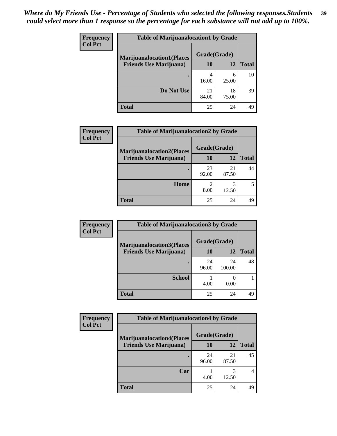| <b>Frequency</b> | <b>Table of Marijuanalocation1 by Grade</b> |              |             |              |
|------------------|---------------------------------------------|--------------|-------------|--------------|
| <b>Col Pct</b>   | <b>Marijuanalocation1(Places</b>            | Grade(Grade) |             |              |
|                  | <b>Friends Use Marijuana</b> )              | <b>10</b>    | 12          | <b>Total</b> |
|                  |                                             | 4<br>16.00   | 6<br>25.00  | 10           |
|                  | Do Not Use                                  | 21<br>84.00  | 18<br>75.00 | 39           |
|                  | <b>Total</b>                                | 25           | 24          | 49           |

| <b>Frequency</b> | <b>Table of Marijuanalocation2 by Grade</b>                        |                    |             |              |
|------------------|--------------------------------------------------------------------|--------------------|-------------|--------------|
| <b>Col Pct</b>   | <b>Marijuanalocation2(Places</b><br><b>Friends Use Marijuana</b> ) | Grade(Grade)<br>10 | 12          | <b>Total</b> |
|                  |                                                                    | 23<br>92.00        | 21<br>87.50 | 44           |
|                  | Home                                                               | 8.00               | 12.50       |              |
|                  | <b>Total</b>                                                       | 25                 | 24          | 49           |

| Frequency<br><b>Col Pct</b> | <b>Table of Marijuanalocation3 by Grade</b> |              |              |              |
|-----------------------------|---------------------------------------------|--------------|--------------|--------------|
|                             | <b>Marijuanalocation3</b> (Places           | Grade(Grade) |              |              |
|                             | <b>Friends Use Marijuana</b> )              | 10           | 12           | <b>Total</b> |
|                             |                                             | 24<br>96.00  | 24<br>100.00 | 48           |
|                             | <b>School</b>                               | 4.00         | 0.00         |              |
|                             | <b>Total</b>                                | 25           | 24           | 49           |

| Frequency<br><b>Col Pct</b> | <b>Table of Marijuanalocation4 by Grade</b> |              |             |              |
|-----------------------------|---------------------------------------------|--------------|-------------|--------------|
|                             | <b>Marijuanalocation4(Places</b>            | Grade(Grade) |             |              |
|                             | <b>Friends Use Marijuana</b> )              | <b>10</b>    | 12          | <b>Total</b> |
|                             |                                             | 24<br>96.00  | 21<br>87.50 | 45           |
|                             | Car                                         | 4.00         | 3<br>12.50  | 4            |
|                             | <b>Total</b>                                | 25           | 24          | 49           |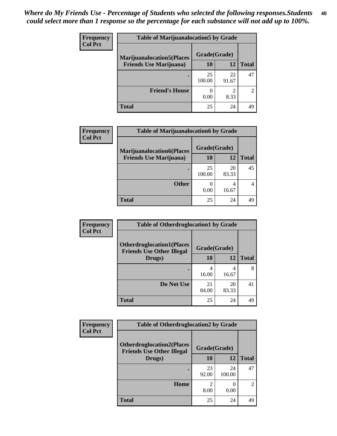| <b>Frequency</b> | <b>Table of Marijuanalocation5 by Grade</b> |              |             |                             |
|------------------|---------------------------------------------|--------------|-------------|-----------------------------|
| <b>Col Pct</b>   | <b>Marijuanalocation5</b> (Places           | Grade(Grade) |             |                             |
|                  | <b>Friends Use Marijuana</b> )              | 10           | 12          | <b>Total</b>                |
|                  |                                             | 25<br>100.00 | 22<br>91.67 | 47                          |
|                  | <b>Friend's House</b>                       | 0.00         | ∍<br>8.33   | $\mathcal{D}_{\mathcal{A}}$ |
|                  | <b>Total</b>                                | 25           | 24          | 49                          |

| <b>Frequency</b> | <b>Table of Marijuanalocation6 by Grade</b>                        |                    |       |              |
|------------------|--------------------------------------------------------------------|--------------------|-------|--------------|
| <b>Col Pct</b>   | <b>Marijuanalocation6(Places</b><br><b>Friends Use Marijuana</b> ) | Grade(Grade)<br>10 | 12    | <b>Total</b> |
|                  |                                                                    |                    |       |              |
|                  |                                                                    | 25                 | 20    | 45           |
|                  |                                                                    | 100.00             | 83.33 |              |
|                  | <b>Other</b>                                                       |                    | 4     |              |
|                  |                                                                    | 0.00               | 16.67 |              |
|                  | <b>Total</b>                                                       | 25                 | 24    | 49           |

| <b>Frequency</b> | <b>Table of Otherdruglocation1 by Grade</b>                          |              |             |              |
|------------------|----------------------------------------------------------------------|--------------|-------------|--------------|
| <b>Col Pct</b>   | <b>Otherdruglocation1(Places</b><br><b>Friends Use Other Illegal</b> | Grade(Grade) |             |              |
|                  | Drugs)                                                               | 10           | 12          | <b>Total</b> |
|                  |                                                                      | 4<br>16.00   | 4<br>16.67  | 8            |
|                  | Do Not Use                                                           | 21<br>84.00  | 20<br>83.33 | 41           |
|                  | <b>Total</b>                                                         | 25           | 24          | 49           |

| <b>Frequency</b> | <b>Table of Otherdruglocation2 by Grade</b>                           |                        |              |                |
|------------------|-----------------------------------------------------------------------|------------------------|--------------|----------------|
| <b>Col Pct</b>   | <b>Otherdruglocation2(Places)</b><br><b>Friends Use Other Illegal</b> | Grade(Grade)           |              |                |
|                  | Drugs)                                                                | 10                     | 12           | <b>Total</b>   |
|                  |                                                                       | 23<br>92.00            | 24<br>100.00 | 47             |
|                  | Home                                                                  | $\mathfrak{D}$<br>8.00 | 0<br>0.00    | $\overline{c}$ |
|                  | <b>Total</b>                                                          | 25                     | 24           | 49             |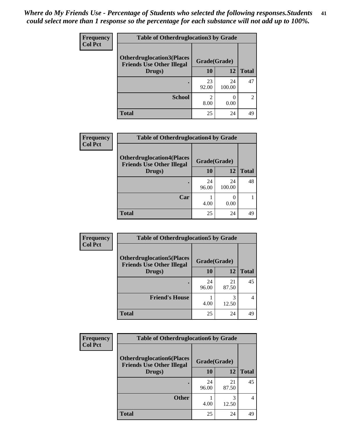| <b>Frequency</b> | <b>Table of Otherdruglocation3 by Grade</b> |              |              |                |
|------------------|---------------------------------------------|--------------|--------------|----------------|
| <b>Col Pct</b>   | <b>Otherdruglocation3(Places</b>            | Grade(Grade) |              |                |
|                  | <b>Friends Use Other Illegal</b><br>Drugs)  | 10           | 12           | <b>Total</b>   |
|                  |                                             | 23<br>92.00  | 24<br>100.00 | 47             |
|                  | <b>School</b>                               | 8.00         | 0.00         | $\mathfrak{D}$ |
|                  | Total                                       | 25           | 24           | 49             |

| Frequency      | <b>Table of Otherdruglocation4 by Grade</b>                          |              |              |              |
|----------------|----------------------------------------------------------------------|--------------|--------------|--------------|
| <b>Col Pct</b> | <b>Otherdruglocation4(Places</b><br><b>Friends Use Other Illegal</b> | Grade(Grade) |              |              |
|                | Drugs)                                                               | 10           | 12           | <b>Total</b> |
|                |                                                                      | 24<br>96.00  | 24<br>100.00 | 48           |
|                | Car                                                                  | 4.00         | 0.00         |              |
|                | <b>Total</b>                                                         | 25           | 24           | 49           |

| <b>Frequency</b> | <b>Table of Otherdruglocation5 by Grade</b>                          |              |             |                |
|------------------|----------------------------------------------------------------------|--------------|-------------|----------------|
| <b>Col Pct</b>   | <b>Otherdruglocation5(Places</b><br><b>Friends Use Other Illegal</b> | Grade(Grade) |             |                |
|                  | Drugs)                                                               | 10           | 12          | <b>Total</b>   |
|                  |                                                                      | 24<br>96.00  | 21<br>87.50 | 45             |
|                  | <b>Friend's House</b>                                                | 4.00         | 3<br>12.50  | $\overline{4}$ |
|                  | <b>Total</b>                                                         | 25           | 24          | 49             |

| <b>Frequency</b> | <b>Table of Otherdruglocation6 by Grade</b>                          |              |             |              |
|------------------|----------------------------------------------------------------------|--------------|-------------|--------------|
| <b>Col Pct</b>   | <b>Otherdruglocation6(Places</b><br><b>Friends Use Other Illegal</b> | Grade(Grade) |             |              |
|                  | Drugs)                                                               | <b>10</b>    | 12          | <b>Total</b> |
|                  |                                                                      | 24<br>96.00  | 21<br>87.50 | 45           |
|                  | <b>Other</b>                                                         | 4.00         | 3<br>12.50  | 4            |
|                  | <b>Total</b>                                                         | 25           | 24          | 49           |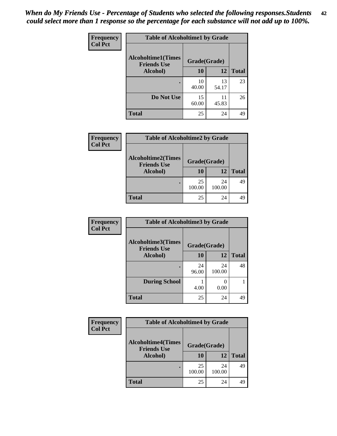| Frequency      | <b>Table of Alcoholtime1 by Grade</b>           |              |             |              |
|----------------|-------------------------------------------------|--------------|-------------|--------------|
| <b>Col Pct</b> | <b>Alcoholtime1(Times</b><br><b>Friends Use</b> | Grade(Grade) |             |              |
|                | Alcohol)                                        | 10           | 12          | <b>Total</b> |
|                |                                                 | 10<br>40.00  | 13<br>54.17 | 23           |
|                | Do Not Use                                      | 15<br>60.00  | 11<br>45.83 | 26           |
|                | <b>Total</b>                                    | 25           | 24          | 49           |

| Frequency      | <b>Table of Alcoholtime2 by Grade</b>           |              |              |              |
|----------------|-------------------------------------------------|--------------|--------------|--------------|
| <b>Col Pct</b> | <b>Alcoholtime2(Times</b><br><b>Friends Use</b> | Grade(Grade) |              |              |
|                | Alcohol)                                        | 10           | 12           | <b>Total</b> |
|                |                                                 | 25<br>100.00 | 24<br>100.00 | 49           |
|                | <b>Total</b>                                    | 25           | 24           | 49           |

| Frequency      | <b>Table of Alcoholtime3 by Grade</b>           |              |              |              |
|----------------|-------------------------------------------------|--------------|--------------|--------------|
| <b>Col Pct</b> | <b>Alcoholtime3(Times</b><br><b>Friends Use</b> | Grade(Grade) |              |              |
|                | <b>Alcohol</b> )                                | 10           | 12           | <b>Total</b> |
|                |                                                 | 24<br>96.00  | 24<br>100.00 | 48           |
|                | <b>During School</b>                            | 4.00         | 0.00         |              |
|                | <b>Total</b>                                    | 25           | 24           | 49           |

| <b>Frequency</b> | <b>Table of Alcoholtime4 by Grade</b>                       |              |              |              |
|------------------|-------------------------------------------------------------|--------------|--------------|--------------|
| <b>Col Pct</b>   |                                                             |              |              |              |
|                  | <b>Alcoholtime4(Times</b><br><b>Friends Use</b><br>Alcohol) | Grade(Grade) |              |              |
|                  |                                                             | 10           | 12           | <b>Total</b> |
|                  |                                                             | 25<br>100.00 | 24<br>100.00 | 49           |
|                  | <b>Total</b>                                                | 25           | 24           | 49           |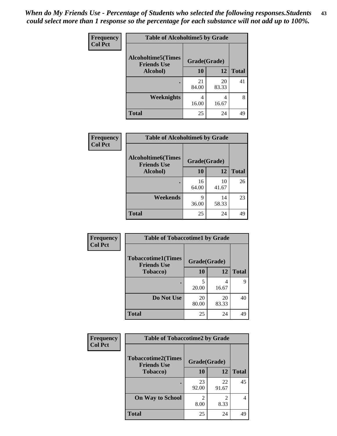*When do My Friends Use - Percentage of Students who selected the following responses.Students could select more than 1 response so the percentage for each substance will not add up to 100%.* **43**

| Frequency      | <b>Table of Alcoholtime5 by Grade</b>           |              |             |              |
|----------------|-------------------------------------------------|--------------|-------------|--------------|
| <b>Col Pct</b> | <b>Alcoholtime5(Times</b><br><b>Friends Use</b> | Grade(Grade) |             |              |
|                | Alcohol)                                        | 10           | <b>12</b>   | <b>Total</b> |
|                |                                                 | 21<br>84.00  | 20<br>83.33 | 41           |
|                | <b>Weeknights</b>                               | 4<br>16.00   | 4<br>16.67  | 8            |
|                | <b>Total</b>                                    | 25           | 24          | 49           |

| Frequency      | <b>Table of Alcoholtime6 by Grade</b>           |              |             |              |
|----------------|-------------------------------------------------|--------------|-------------|--------------|
| <b>Col Pct</b> | <b>Alcoholtime6(Times</b><br><b>Friends Use</b> | Grade(Grade) |             |              |
|                | Alcohol)                                        | 10           | 12          | <b>Total</b> |
|                |                                                 | 16<br>64.00  | 10<br>41.67 | 26           |
|                | Weekends                                        | q<br>36.00   | 14<br>58.33 | 23           |
|                | <b>Total</b>                                    | 25           | 24          | 49           |

| Frequency<br><b>Col Pct</b> | <b>Table of Tobaccotime1 by Grade</b>                           |             |             |              |
|-----------------------------|-----------------------------------------------------------------|-------------|-------------|--------------|
|                             | <b>Tobaccotime1(Times</b><br>Grade(Grade)<br><b>Friends Use</b> |             |             |              |
|                             | <b>Tobacco</b> )                                                | 10          | 12          | <b>Total</b> |
|                             |                                                                 | 5<br>20.00  | 4<br>16.67  | 9            |
|                             | Do Not Use                                                      | 20<br>80.00 | 20<br>83.33 | 40           |
|                             | <b>Total</b>                                                    | 25          | 24          | 49           |

| Frequency      | <b>Table of Tobaccotime2 by Grade</b>           |                        |             |              |
|----------------|-------------------------------------------------|------------------------|-------------|--------------|
| <b>Col Pct</b> | <b>Tobaccotime2(Times</b><br><b>Friends Use</b> | Grade(Grade)           |             |              |
|                | Tobacco)                                        | 10                     | 12          | <b>Total</b> |
|                |                                                 | 23<br>92.00            | 22<br>91.67 | 45           |
|                | <b>On Way to School</b>                         | $\mathfrak{D}$<br>8.00 | 2<br>8.33   | 4            |
|                | <b>Total</b>                                    | 25                     | 24          | 49           |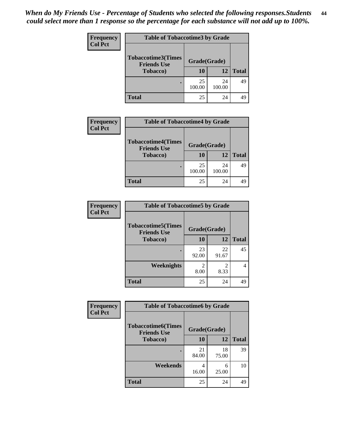| <b>Frequency</b> | <b>Table of Tobaccotime3 by Grade</b>           |              |              |              |
|------------------|-------------------------------------------------|--------------|--------------|--------------|
| <b>Col Pct</b>   | <b>Tobaccotime3(Times</b><br><b>Friends Use</b> | Grade(Grade) |              |              |
|                  | <b>Tobacco</b> )                                | 10           | 12           | <b>Total</b> |
|                  |                                                 | 25<br>100.00 | 24<br>100.00 | 49           |
|                  | <b>Total</b>                                    | 25           | 24           | 49           |

| <b>Frequency</b> | <b>Table of Tobaccotime4 by Grade</b>           |              |              |              |
|------------------|-------------------------------------------------|--------------|--------------|--------------|
| <b>Col Pct</b>   | <b>Tobaccotime4(Times</b><br><b>Friends Use</b> | Grade(Grade) |              |              |
|                  | <b>Tobacco</b> )                                | 10           | 12           | <b>Total</b> |
|                  |                                                 | 25<br>100.00 | 24<br>100.00 | 49           |
|                  | <b>Total</b>                                    | 25           | 24           |              |

| Frequency      | <b>Table of Tobaccotime5 by Grade</b>           |              |             |              |
|----------------|-------------------------------------------------|--------------|-------------|--------------|
| <b>Col Pct</b> | <b>Tobaccotime5(Times</b><br><b>Friends Use</b> | Grade(Grade) |             |              |
|                | <b>Tobacco</b> )                                | <b>10</b>    | 12          | <b>Total</b> |
|                |                                                 | 23<br>92.00  | 22<br>91.67 | 45           |
|                | Weeknights                                      | 8.00         | 2<br>8.33   | 4            |
|                | <b>Total</b>                                    | 25           | 24          | 49           |

| <b>Frequency</b> | <b>Table of Tobaccotime6 by Grade</b>           |              |             |              |
|------------------|-------------------------------------------------|--------------|-------------|--------------|
| <b>Col Pct</b>   | <b>Tobaccotime6(Times</b><br><b>Friends Use</b> | Grade(Grade) |             |              |
|                  | <b>Tobacco</b> )                                | 10           | 12          | <b>Total</b> |
|                  |                                                 | 21<br>84.00  | 18<br>75.00 | 39           |
|                  | Weekends                                        | 4<br>16.00   | 6<br>25.00  | 10           |
|                  | <b>Total</b>                                    | 25           | 24          | 49           |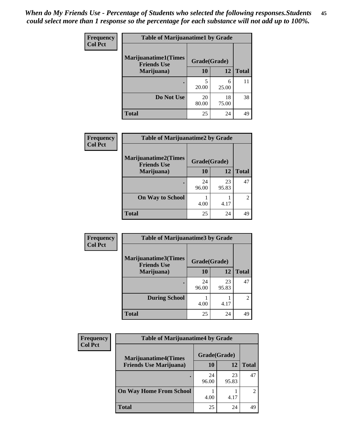| Frequency<br><b>Col Pct</b> | <b>Table of Marijuanatime1 by Grade</b>           |              |             |              |
|-----------------------------|---------------------------------------------------|--------------|-------------|--------------|
|                             | <b>Marijuanatime1(Times</b><br><b>Friends Use</b> | Grade(Grade) |             |              |
|                             | Marijuana)                                        | 10           | 12          | <b>Total</b> |
|                             |                                                   | 5<br>20.00   | 6<br>25.00  | 11           |
|                             | Do Not Use                                        | 20<br>80.00  | 18<br>75.00 | 38           |
|                             | <b>Total</b>                                      | 25           | 24          | 49           |

| Frequency      | <b>Table of Marijuanatime2 by Grade</b>    |              |             |                |
|----------------|--------------------------------------------|--------------|-------------|----------------|
| <b>Col Pct</b> | Marijuanatime2(Times<br><b>Friends Use</b> | Grade(Grade) |             |                |
|                | Marijuana)                                 | 10           | 12          | <b>Total</b>   |
|                | ٠                                          | 24<br>96.00  | 23<br>95.83 | 47             |
|                | <b>On Way to School</b>                    | 4.00         | 4.17        | $\overline{2}$ |
|                | <b>Total</b>                               | 25           | 24          | 49             |

| Frequency      | <b>Table of Marijuanatime3 by Grade</b>    |              |             |                             |
|----------------|--------------------------------------------|--------------|-------------|-----------------------------|
| <b>Col Pct</b> | Marijuanatime3(Times<br><b>Friends Use</b> | Grade(Grade) |             |                             |
|                | Marijuana)                                 | 10           | 12          | <b>Total</b>                |
|                |                                            | 24<br>96.00  | 23<br>95.83 | 47                          |
|                | <b>During School</b>                       | 4.00         | 4.17        | $\mathcal{D}_{\mathcal{L}}$ |
|                | <b>Total</b>                               | 25           | 24          | 49                          |

| <b>Frequency</b> | <b>Table of Marijuanatime4 by Grade</b> |              |             |               |
|------------------|-----------------------------------------|--------------|-------------|---------------|
| <b>Col Pct</b>   | <b>Marijuanatime4(Times</b>             | Grade(Grade) |             |               |
|                  | <b>Friends Use Marijuana</b> )          | 10           | 12          | <b>Total</b>  |
|                  |                                         | 24<br>96.00  | 23<br>95.83 | 47            |
|                  | <b>On Way Home From School</b>          | 4.00         | 4.17        | $\mathcal{D}$ |
|                  | <b>Total</b>                            | 25           | 24          | 49            |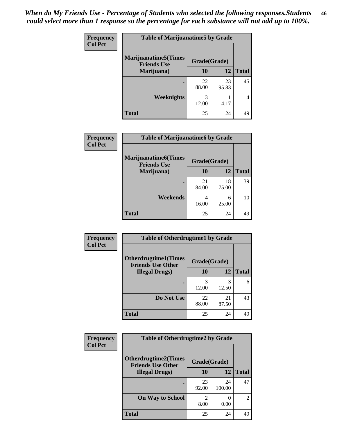| Frequency      | <b>Table of Marijuanatime5 by Grade</b>            |              |             |              |
|----------------|----------------------------------------------------|--------------|-------------|--------------|
| <b>Col Pct</b> | <b>Marijuanatime5</b> (Times<br><b>Friends Use</b> | Grade(Grade) |             |              |
|                | Marijuana)                                         | 10           | 12          | <b>Total</b> |
|                |                                                    | 22<br>88.00  | 23<br>95.83 | 45           |
|                | Weeknights                                         | 3<br>12.00   | 4.17        | 4            |
|                | <b>Total</b>                                       | 25           | 24          | 49           |

| Frequency      | <b>Table of Marijuanatime6 by Grade</b>           |              |             |              |
|----------------|---------------------------------------------------|--------------|-------------|--------------|
| <b>Col Pct</b> | <b>Marijuanatime6(Times</b><br><b>Friends Use</b> | Grade(Grade) |             |              |
|                | Marijuana)                                        | 10           | 12          | <b>Total</b> |
|                |                                                   | 21<br>84.00  | 18<br>75.00 | 39           |
|                | Weekends                                          | 4<br>16.00   | 6<br>25.00  | 10           |
|                | <b>Total</b>                                      | 25           | 24          | 49           |

| Frequency      | <b>Table of Otherdrugtime1 by Grade</b>                 |              |             |              |
|----------------|---------------------------------------------------------|--------------|-------------|--------------|
| <b>Col Pct</b> | <b>Otherdrugtime1(Times</b><br><b>Friends Use Other</b> | Grade(Grade) |             |              |
|                | <b>Illegal Drugs)</b>                                   | 10           | 12          | <b>Total</b> |
|                |                                                         | 3<br>12.00   | 3<br>12.50  | 6            |
|                | Do Not Use                                              | 22<br>88.00  | 21<br>87.50 | 43           |
|                | <b>Total</b>                                            | 25           | 24          | 49           |

| <b>Frequency</b><br><b>Col Pct</b> | <b>Table of Otherdrugtime2 by Grade</b>                 |              |              |              |
|------------------------------------|---------------------------------------------------------|--------------|--------------|--------------|
|                                    | <b>Otherdrugtime2(Times</b><br><b>Friends Use Other</b> | Grade(Grade) |              |              |
|                                    | <b>Illegal Drugs)</b>                                   | 10           | 12           | <b>Total</b> |
|                                    |                                                         | 23<br>92.00  | 24<br>100.00 | 47           |
|                                    | <b>On Way to School</b>                                 | 2<br>8.00    | 0.00         | 2            |
|                                    | <b>Total</b>                                            | 25           | 24           | 49           |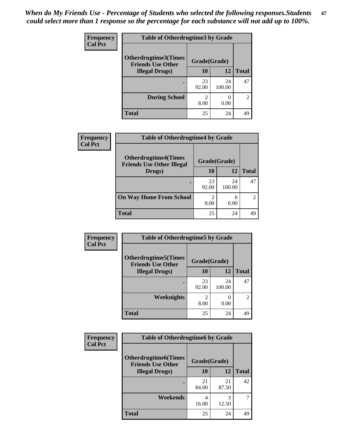| <b>Frequency</b> | <b>Table of Otherdrugtime3 by Grade</b>          |                        |                       |               |
|------------------|--------------------------------------------------|------------------------|-----------------------|---------------|
| <b>Col Pct</b>   | Otherdrugtime3(Times<br><b>Friends Use Other</b> | Grade(Grade)           |                       |               |
|                  | <b>Illegal Drugs</b> )                           | 10                     | 12                    | <b>Total</b>  |
|                  |                                                  | 23<br>92.00            | 24<br>100.00          | 47            |
|                  | <b>During School</b>                             | $\mathfrak{D}$<br>8.00 | $\mathcal{O}$<br>0.00 | $\mathcal{D}$ |
|                  | <b>Total</b>                                     | 25                     | 24                    | 49            |

| Frequency      | <b>Table of Otherdrugtime4 by Grade</b>                         |                                  |              |              |
|----------------|-----------------------------------------------------------------|----------------------------------|--------------|--------------|
| <b>Col Pct</b> | <b>Otherdrugtime4(Times</b><br><b>Friends Use Other Illegal</b> | Grade(Grade)                     |              |              |
|                | Drugs)                                                          | 10                               | 12           | <b>Total</b> |
|                | ٠                                                               | 23<br>92.00                      | 24<br>100.00 | 47           |
|                | <b>On Way Home From School</b>                                  | $\overline{\mathcal{L}}$<br>8.00 | 0.00         | 2            |
|                | <b>Total</b>                                                    | 25                               | 24           | 49           |

| <b>Frequency</b> | <b>Table of Otherdrugtime5 by Grade</b>                  |              |              |                |
|------------------|----------------------------------------------------------|--------------|--------------|----------------|
| <b>Col Pct</b>   | <b>Otherdrugtime5</b> (Times<br><b>Friends Use Other</b> | Grade(Grade) |              |                |
|                  | <b>Illegal Drugs</b> )                                   | 10           | 12           | <b>Total</b>   |
|                  |                                                          | 23<br>92.00  | 24<br>100.00 | 47             |
|                  | Weeknights                                               | 2<br>8.00    | 0.00         | $\overline{2}$ |
|                  | Total                                                    | 25           | 24           | 49             |

| Frequency      | <b>Table of Otherdrugtime6 by Grade</b>                  |              |             |              |
|----------------|----------------------------------------------------------|--------------|-------------|--------------|
| <b>Col Pct</b> | <b>Otherdrugtime6</b> (Times<br><b>Friends Use Other</b> | Grade(Grade) |             |              |
|                | <b>Illegal Drugs</b> )                                   | 10           | 12          | <b>Total</b> |
|                |                                                          | 21<br>84.00  | 21<br>87.50 | 42           |
|                | Weekends                                                 | 4<br>16.00   | 3<br>12.50  | 7            |
|                | Total                                                    | 25           | 24          | 49           |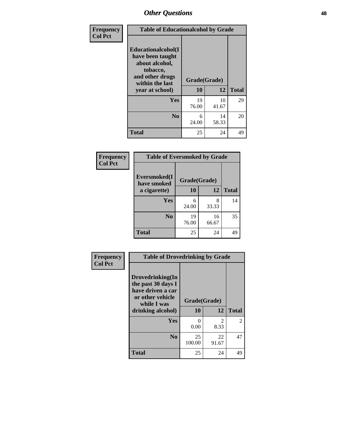| Frequency      | <b>Table of Educationalcohol by Grade</b>                                                                  |              |             |              |
|----------------|------------------------------------------------------------------------------------------------------------|--------------|-------------|--------------|
| <b>Col Pct</b> | Educationalcohol(I<br>have been taught<br>about alcohol,<br>tobacco,<br>and other drugs<br>within the last | Grade(Grade) |             |              |
|                | year at school)                                                                                            | 10           | 12          | <b>Total</b> |
|                | Yes                                                                                                        | 19<br>76.00  | 10<br>41.67 | 29           |
|                | N <sub>0</sub>                                                                                             | 6<br>24.00   | 14<br>58.33 | 20           |
|                | <b>Total</b>                                                                                               | 25           | 24          | 49           |

| Frequency      | <b>Table of Eversmoked by Grade</b> |              |             |              |  |
|----------------|-------------------------------------|--------------|-------------|--------------|--|
| <b>Col Pct</b> | Eversmoked(I<br>have smoked         | Grade(Grade) |             |              |  |
|                | a cigarette)                        | 10           | 12          | <b>Total</b> |  |
|                | Yes                                 | 6<br>24.00   | 8<br>33.33  | 14           |  |
|                | N <sub>0</sub>                      | 19<br>76.00  | 16<br>66.67 | 35           |  |
|                | <b>Total</b>                        | 25           | 24          | 49           |  |

| Frequency      | <b>Table of Drovedrinking by Grade</b>                                                                              |                      |                        |              |
|----------------|---------------------------------------------------------------------------------------------------------------------|----------------------|------------------------|--------------|
| <b>Col Pct</b> | Drovedrinking(In<br>the past 30 days I<br>have driven a car<br>or other vehicle<br>while I was<br>drinking alcohol) | Grade(Grade)<br>10   | 12                     | <b>Total</b> |
|                | Yes                                                                                                                 | $\mathbf{0}$<br>0.00 | $\mathfrak{D}$<br>8.33 | 2            |
|                | N <sub>0</sub>                                                                                                      | 25<br>100.00         | 22<br>91.67            | 47           |
|                | <b>Total</b>                                                                                                        | 25                   | 24                     | 49           |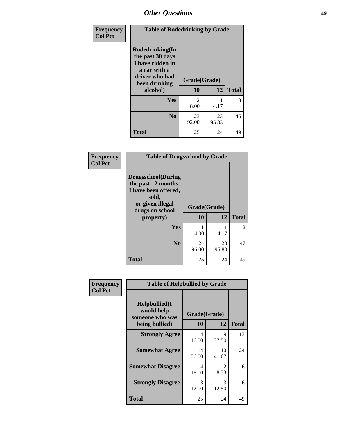| <b>Frequency</b> |                                                                                                                        | <b>Table of Rodedrinking by Grade</b> |             |              |  |
|------------------|------------------------------------------------------------------------------------------------------------------------|---------------------------------------|-------------|--------------|--|
| <b>Col Pct</b>   | Rodedrinking(In<br>the past 30 days<br>I have ridden in<br>a car with a<br>driver who had<br>been drinking<br>alcohol) | Grade(Grade)<br>10                    | 12          | <b>Total</b> |  |
|                  |                                                                                                                        |                                       |             |              |  |
|                  | <b>Yes</b>                                                                                                             | $\mathfrak{D}$<br>8.00                | 4.17        | 3            |  |
|                  | $\bf N_0$                                                                                                              | 23<br>92.00                           | 23<br>95.83 | 46           |  |
|                  | <b>Total</b>                                                                                                           | 25                                    | 24          | 49           |  |

### **Frequency Col Pct**

| <b>Table of Drugsschool by Grade</b>                                                                                      |              |             |                       |  |
|---------------------------------------------------------------------------------------------------------------------------|--------------|-------------|-----------------------|--|
| <b>Drugsschool</b> (During<br>the past 12 months,<br>I have been offered,<br>sold,<br>or given illegal<br>drugs on school | Grade(Grade) |             |                       |  |
| property)                                                                                                                 | 10           | 12          | <b>Total</b>          |  |
| Yes                                                                                                                       | 4.00         | 4.17        | $\mathcal{D}_{\cdot}$ |  |
| N <sub>0</sub>                                                                                                            | 24<br>96.00  | 23<br>95.83 | 47                    |  |
| <b>Total</b>                                                                                                              | 25           | 24          |                       |  |

| Frequency      | <b>Table of Helpbullied by Grade</b>                 |              |             |              |  |  |
|----------------|------------------------------------------------------|--------------|-------------|--------------|--|--|
| <b>Col Pct</b> | $Helpb$ ullied $(I$<br>would help<br>someone who was | Grade(Grade) |             |              |  |  |
|                | being bullied)                                       | 10           | 12          | <b>Total</b> |  |  |
|                | <b>Strongly Agree</b>                                | 4<br>16.00   | 9<br>37.50  | 13           |  |  |
|                | <b>Somewhat Agree</b>                                | 14<br>56.00  | 10<br>41.67 | 24           |  |  |
|                | <b>Somewhat Disagree</b>                             | 4<br>16.00   | 2<br>8.33   | 6            |  |  |
|                | <b>Strongly Disagree</b>                             | 3<br>12.00   | 3<br>12.50  | 6            |  |  |
|                | <b>Total</b>                                         | 25           | 24          | 49           |  |  |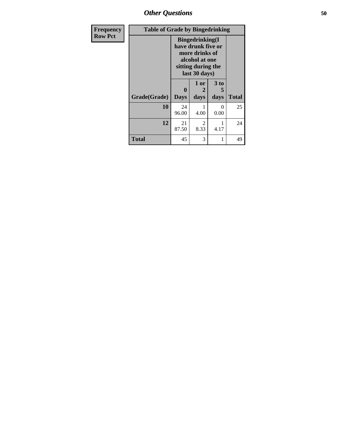*Other Questions* **50**

| <b>Frequency</b> |              | <b>Table of Grade by Bingedrinking</b> |                                                                                                                          |              |              |
|------------------|--------------|----------------------------------------|--------------------------------------------------------------------------------------------------------------------------|--------------|--------------|
| <b>Row Pct</b>   |              |                                        | <b>Bingedrinking</b> (I<br>have drunk five or<br>more drinks of<br>alcohol at one<br>sitting during the<br>last 30 days) |              |              |
|                  | Grade(Grade) | 0<br><b>Days</b>                       | 1 or<br>2<br>days                                                                                                        | 3 to<br>days | <b>Total</b> |
|                  | 10           | 24<br>96.00                            | 4.00                                                                                                                     | ∩<br>0.00    | 25           |
|                  | 12           | 21<br>87.50                            | 2<br>8.33                                                                                                                | 4.17         | 24           |
|                  | <b>Total</b> | 45                                     | 3                                                                                                                        |              | 49           |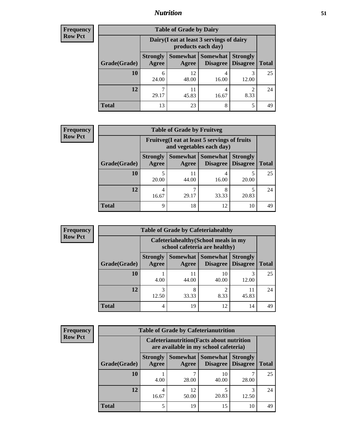## *Nutrition* **51**

| Frequency      |  |
|----------------|--|
| <b>Row Pct</b> |  |

| <b>Table of Grade by Dairy</b> |                                                                                                                          |                                                                 |            |           |    |  |
|--------------------------------|--------------------------------------------------------------------------------------------------------------------------|-----------------------------------------------------------------|------------|-----------|----|--|
|                                |                                                                                                                          | Dairy (I eat at least 3 servings of dairy<br>products each day) |            |           |    |  |
| Grade(Grade)                   | Somewhat Somewhat<br><b>Strongly</b><br><b>Strongly</b><br><b>Disagree</b><br><b>Total</b><br>Agree<br>Disagree<br>Agree |                                                                 |            |           |    |  |
| 10                             | 6<br>24.00                                                                                                               | 12<br>48.00                                                     | 16.00      | 12.00     | 25 |  |
| 12                             | ┑<br>29.17                                                                                                               | 11<br>45.83                                                     | 4<br>16.67 | 2<br>8.33 | 24 |  |
| <b>Total</b>                   | 13                                                                                                                       | 23                                                              | 8          | 5         | 49 |  |

| <b>Frequency</b> |  |
|------------------|--|
| <b>Row Pct</b>   |  |

| $\overline{\mathbf{y}}$ | <b>Table of Grade by Fruitveg</b> |                          |                                                                                                          |            |            |    |  |  |
|-------------------------|-----------------------------------|--------------------------|----------------------------------------------------------------------------------------------------------|------------|------------|----|--|--|
|                         |                                   |                          | Fruitveg(I eat at least 5 servings of fruits<br>and vegetables each day)                                 |            |            |    |  |  |
|                         | Grade(Grade)                      | <b>Strongly</b><br>Agree | Somewhat  <br><b>Somewhat</b><br><b>Strongly</b><br><b>Disagree</b><br>Disagree<br><b>Total</b><br>Agree |            |            |    |  |  |
|                         | <b>10</b>                         | 20.00                    | 11<br>44.00                                                                                              | 16.00      | 20.00      | 25 |  |  |
|                         | 12                                | 4<br>16.67               | 29.17                                                                                                    | 8<br>33.33 | 5<br>20.83 | 24 |  |  |
|                         | <b>Total</b>                      | 9                        | 18                                                                                                       | 12         | 10         | 49 |  |  |

| <b>Frequency</b> | <b>Table of Grade by Cafeteriahealthy</b> |                          |                                                                       |                                      |                                    |              |
|------------------|-------------------------------------------|--------------------------|-----------------------------------------------------------------------|--------------------------------------|------------------------------------|--------------|
| <b>Row Pct</b>   |                                           |                          | Cafeteriahealthy (School meals in my<br>school cafeteria are healthy) |                                      |                                    |              |
|                  | Grade(Grade)                              | <b>Strongly</b><br>Agree | Agree                                                                 | Somewhat Somewhat<br><b>Disagree</b> | <b>Strongly</b><br><b>Disagree</b> | <b>Total</b> |
|                  | 10                                        | 4.00                     | 11<br>44.00                                                           | 10<br>40.00                          | 3<br>12.00                         | 25           |
|                  | 12                                        | 3<br>12.50               | 8<br>33.33                                                            | 8.33                                 | 11<br>45.83                        | 24           |
|                  | Total                                     | 4                        | 19                                                                    | 12                                   | 14                                 | 49           |

| <b>Frequency</b> | <b>Table of Grade by Cafeterianutrition</b> |                          |                                                                                           |                                    |                                    |              |  |
|------------------|---------------------------------------------|--------------------------|-------------------------------------------------------------------------------------------|------------------------------------|------------------------------------|--------------|--|
| <b>Row Pct</b>   |                                             |                          | <b>Cafeterianutrition</b> (Facts about nutrition<br>are available in my school cafeteria) |                                    |                                    |              |  |
|                  | Grade(Grade)                                | <b>Strongly</b><br>Agree | <b>Somewhat</b><br>Agree                                                                  | <b>Somewhat</b><br><b>Disagree</b> | <b>Strongly</b><br><b>Disagree</b> | <b>Total</b> |  |
|                  | 10                                          | 4.00                     | 7<br>28.00                                                                                | 10<br>40.00                        | 28.00                              | 25           |  |
|                  | 12                                          | 4<br>16.67               | 12<br>50.00                                                                               | 20.83                              | 3<br>12.50                         | 24           |  |
|                  | <b>Total</b>                                |                          | 19                                                                                        | 15                                 | 10                                 | 49           |  |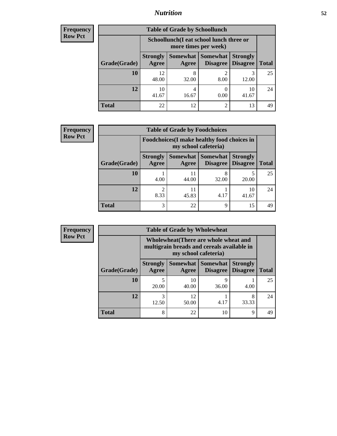## *Nutrition* **52**

| <b>Frequency</b> |
|------------------|
| Row Pct          |

| <b>Table of Grade by Schoollunch</b> |                                                                                                                              |                                                                 |           |             |    |  |
|--------------------------------------|------------------------------------------------------------------------------------------------------------------------------|-----------------------------------------------------------------|-----------|-------------|----|--|
|                                      |                                                                                                                              | Schoollunch(I eat school lunch three or<br>more times per week) |           |             |    |  |
| Grade(Grade)                         | Somewhat   Somewhat  <br><b>Strongly</b><br><b>Strongly</b><br><b>Disagree</b><br>Agree<br><b>Total</b><br>Disagree<br>Agree |                                                                 |           |             |    |  |
| 10                                   | 12<br>48.00                                                                                                                  | 8<br>32.00                                                      | ി<br>8.00 | 12.00       | 25 |  |
| 12                                   | 10<br>41.67                                                                                                                  | 16.67                                                           | 0.00      | 10<br>41.67 | 24 |  |
| <b>Total</b>                         | 22                                                                                                                           | 12                                                              | 2         | 13          | 49 |  |

| <b>Frequency</b> |
|------------------|
| <b>Row Pct</b>   |

| <b>Table of Grade by Foodchoices</b> |                          |                                                                            |                                               |                                    |              |  |
|--------------------------------------|--------------------------|----------------------------------------------------------------------------|-----------------------------------------------|------------------------------------|--------------|--|
|                                      |                          | <b>Foodchoices</b> (I make healthy food choices in<br>my school cafeteria) |                                               |                                    |              |  |
| Grade(Grade)                         | <b>Strongly</b><br>Agree | Agree                                                                      | <b>Somewhat   Somewhat</b><br><b>Disagree</b> | <b>Strongly</b><br><b>Disagree</b> | <b>Total</b> |  |
| 10                                   | 4.00                     | 11<br>44.00                                                                | 8<br>32.00                                    | 20.00                              | 25           |  |
| 12                                   | 8.33                     | 11<br>45.83                                                                | 4.17                                          | 10<br>41.67                        | 24           |  |
| <b>Total</b>                         | 3                        | 22                                                                         | Q                                             | 15                                 | 49           |  |

| <b>Table of Grade by Wholewheat</b> |                                                                                                             |             |            |                                    |                                   |  |  |  |
|-------------------------------------|-------------------------------------------------------------------------------------------------------------|-------------|------------|------------------------------------|-----------------------------------|--|--|--|
|                                     | Wholewheat (There are whole wheat and<br>multigrain breads and cereals available in<br>my school cafeteria) |             |            |                                    |                                   |  |  |  |
| Grade(Grade)                        | <b>Strongly</b><br>Agree                                                                                    | Agree       |            | <b>Strongly</b><br><b>Disagree</b> | <b>Total</b>                      |  |  |  |
| 10                                  | 20.00                                                                                                       | 10<br>40.00 | Q<br>36.00 | 4.00                               | 25                                |  |  |  |
| 12                                  | 3<br>12.50                                                                                                  | 12<br>50.00 | 4.17       | 8<br>33.33                         | 24                                |  |  |  |
| <b>Total</b>                        | 8                                                                                                           | 22          | 10         | 9                                  | 49                                |  |  |  |
|                                     |                                                                                                             |             |            |                                    | Somewhat   Somewhat  <br>Disagree |  |  |  |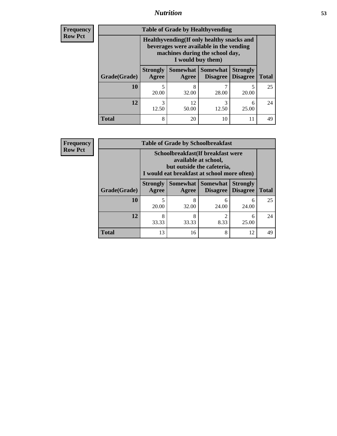## *Nutrition* **53**

**Frequency Row Pct**

| <b>Table of Grade by Healthyvending</b> |                                                                                                                                               |                   |                             |                                    |              |  |  |
|-----------------------------------------|-----------------------------------------------------------------------------------------------------------------------------------------------|-------------------|-----------------------------|------------------------------------|--------------|--|--|
|                                         | Healthyvending (If only healthy snacks and<br>beverages were available in the vending<br>machines during the school day,<br>I would buy them) |                   |                             |                                    |              |  |  |
| Grade(Grade)                            | <b>Strongly</b><br>Agree                                                                                                                      | Somewhat<br>Agree | <b>Somewhat</b><br>Disagree | <b>Strongly</b><br><b>Disagree</b> | <b>Total</b> |  |  |
| 10                                      | 5<br>20.00                                                                                                                                    | 8<br>32.00        | 28.00                       | 20.00                              | 25           |  |  |
| 12                                      | 3<br>12.50                                                                                                                                    | 12<br>50.00       | 3<br>12.50                  | 6<br>25.00                         | 24           |  |  |
| <b>Total</b>                            | 8                                                                                                                                             | 20                | 10                          | 11                                 | 49           |  |  |

**Frequency Row Pct**

| <b>Table of Grade by Schoolbreakfast</b> |                                                                                                                                         |            |                                 |                                    |              |  |  |
|------------------------------------------|-----------------------------------------------------------------------------------------------------------------------------------------|------------|---------------------------------|------------------------------------|--------------|--|--|
|                                          | Schoolbreakfast (If breakfast were<br>available at school,<br>but outside the cafeteria,<br>I would eat breakfast at school more often) |            |                                 |                                    |              |  |  |
| Grade(Grade)                             | <b>Strongly</b><br>Agree                                                                                                                | Agree      | Somewhat   Somewhat<br>Disagree | <b>Strongly</b><br><b>Disagree</b> | <b>Total</b> |  |  |
| 10                                       | 5<br>20.00                                                                                                                              | 8<br>32.00 | 6<br>24.00                      | 6<br>24.00                         | 25           |  |  |
| 12                                       | 8<br>33.33                                                                                                                              | 8<br>33.33 | 2<br>8.33                       | 6<br>25.00                         | 24           |  |  |
| <b>Total</b>                             | 13                                                                                                                                      | 16         | 8                               | 12                                 | 49           |  |  |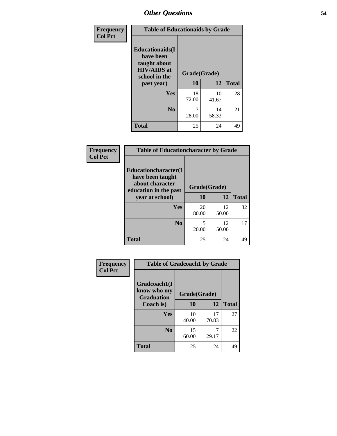| Frequency<br><b>Col Pct</b> | <b>Table of Educationaids by Grade</b>                                                                    |                    |             |              |  |
|-----------------------------|-----------------------------------------------------------------------------------------------------------|--------------------|-------------|--------------|--|
|                             | <b>Educationaids</b> (I<br>have been<br>taught about<br><b>HIV/AIDS</b> at<br>school in the<br>past year) | Grade(Grade)<br>10 | 12          | <b>Total</b> |  |
|                             | Yes                                                                                                       | 18<br>72.00        | 10<br>41.67 | 28           |  |
|                             | N <sub>0</sub>                                                                                            | 28.00              | 14<br>58.33 | 21           |  |
|                             | <b>Total</b>                                                                                              | 25                 | 24          | 49           |  |

| Frequency      | <b>Table of Educationcharacter by Grade</b>                 |              |             |              |  |  |
|----------------|-------------------------------------------------------------|--------------|-------------|--------------|--|--|
| <b>Col Pct</b> | Educationcharacter(I<br>have been taught<br>about character |              |             |              |  |  |
|                | education in the past                                       | Grade(Grade) |             |              |  |  |
|                | year at school)                                             | 10           | 12          | <b>Total</b> |  |  |
|                | Yes                                                         | 20<br>80.00  | 12<br>50.00 | 32           |  |  |
|                | N <sub>0</sub>                                              | 5<br>20.00   | 12<br>50.00 | 17           |  |  |
|                | <b>Total</b>                                                | 25           | 24          | 49           |  |  |

| <b>Frequency</b><br><b>Col Pct</b> |                                | <b>Table of Gradcoach1 by Grade</b> |       |              |  |
|------------------------------------|--------------------------------|-------------------------------------|-------|--------------|--|
|                                    | Gradcoach1(I<br>know who my    |                                     |       |              |  |
|                                    | <b>Graduation</b><br>Coach is) | Grade(Grade)<br>10                  | 12    | <b>Total</b> |  |
|                                    | Yes                            | 10                                  | 17    | 27           |  |
|                                    |                                | 40.00                               | 70.83 |              |  |
|                                    | N <sub>0</sub>                 | 15<br>60.00                         | 29.17 | 22           |  |
|                                    | <b>Total</b>                   | 25                                  | 24    | 49           |  |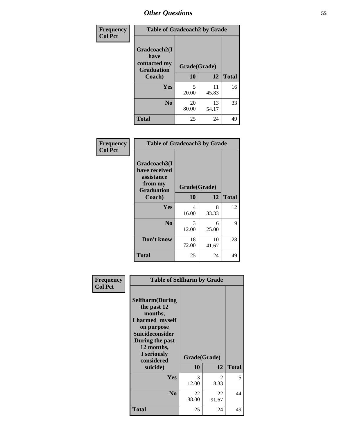| Frequency      | <b>Table of Gradcoach2 by Grade</b>       |              |             |              |  |
|----------------|-------------------------------------------|--------------|-------------|--------------|--|
| <b>Col Pct</b> | Gradcoach2(I                              |              |             |              |  |
|                | have<br>contacted my<br><b>Graduation</b> | Grade(Grade) |             |              |  |
|                | Coach)                                    | 10           | 12          | <b>Total</b> |  |
|                | Yes                                       | 5<br>20.00   | 11<br>45.83 | 16           |  |
|                | N <sub>0</sub>                            | 20<br>80.00  | 13<br>54.17 | 33           |  |
|                | <b>Total</b>                              | 25           | 24          | 49           |  |

| Frequency<br><b>Col Pct</b> | <b>Table of Gradcoach3 by Grade</b>                                         |              |             |              |
|-----------------------------|-----------------------------------------------------------------------------|--------------|-------------|--------------|
|                             | Gradcoach3(I<br>have received<br>assistance<br>from my<br><b>Graduation</b> | Grade(Grade) |             |              |
|                             | Coach)                                                                      | 10           | 12          | <b>Total</b> |
|                             | Yes                                                                         | 4<br>16.00   | 8<br>33.33  | 12           |
|                             | N <sub>0</sub>                                                              | 3<br>12.00   | 6<br>25.00  | 9            |
|                             | Don't know                                                                  | 18<br>72.00  | 10<br>41.67 | 28           |
|                             | <b>Total</b>                                                                | 25           | 24          | 49           |

| Frequency<br><b>Col Pct</b> | <b>Table of Selfharm by Grade</b>                                                                                                                                                      |                    |                       |              |
|-----------------------------|----------------------------------------------------------------------------------------------------------------------------------------------------------------------------------------|--------------------|-----------------------|--------------|
|                             | <b>Selfharm</b> (During<br>the past 12<br>months,<br>I harmed myself<br>on purpose<br><b>Suicideconsider</b><br>During the past<br>12 months,<br>I seriously<br>considered<br>suicide) | Grade(Grade)<br>10 | 12                    | <b>Total</b> |
|                             | Yes                                                                                                                                                                                    | 3<br>12.00         | $\mathcal{L}$<br>8.33 | 5            |
|                             | N <sub>0</sub>                                                                                                                                                                         | 22<br>88.00        | 22<br>91.67           | 44           |
|                             | <b>Total</b>                                                                                                                                                                           | 25                 | 24                    | 49           |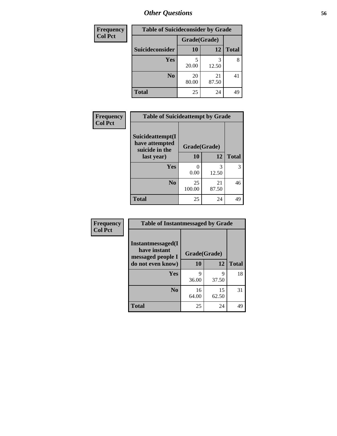| <b>Frequency</b> |                 |              | <b>Table of Suicideconsider by Grade</b> |              |
|------------------|-----------------|--------------|------------------------------------------|--------------|
| <b>Col Pct</b>   |                 | Grade(Grade) |                                          |              |
|                  | Suicideconsider | <b>10</b>    | 12                                       | <b>Total</b> |
|                  | Yes             | 5<br>20.00   | 3<br>12.50                               | 8            |
|                  | N <sub>0</sub>  | 20<br>80.00  | 21<br>87.50                              | 41           |
|                  | <b>Total</b>    | 25           | 24                                       | 49           |

| Frequency      | <b>Table of Suicideattempt by Grade</b>              |              |             |              |
|----------------|------------------------------------------------------|--------------|-------------|--------------|
| <b>Col Pct</b> | Suicideattempt(I<br>have attempted<br>suicide in the | Grade(Grade) |             |              |
|                | last year)                                           | <b>10</b>    | 12          | <b>Total</b> |
|                | Yes                                                  | 0<br>0.00    | 3<br>12.50  | 3            |
|                | N <sub>0</sub>                                       | 25<br>100.00 | 21<br>87.50 | 46           |
|                | <b>Total</b>                                         | 25           | 24          | 49           |

| Frequency      | <b>Table of Instantmessaged by Grade</b>                       |              |             |              |  |  |  |  |
|----------------|----------------------------------------------------------------|--------------|-------------|--------------|--|--|--|--|
| <b>Col Pct</b> | <b>Instantmessaged</b> (I<br>have instant<br>messaged people I | Grade(Grade) |             |              |  |  |  |  |
|                | do not even know)                                              | 10           | 12          | <b>Total</b> |  |  |  |  |
|                | Yes                                                            | q<br>36.00   | 9<br>37.50  | 18           |  |  |  |  |
|                | N <sub>0</sub>                                                 | 16<br>64.00  | 15<br>62.50 | 31           |  |  |  |  |
|                | <b>Total</b>                                                   | 25           | 24          | 49           |  |  |  |  |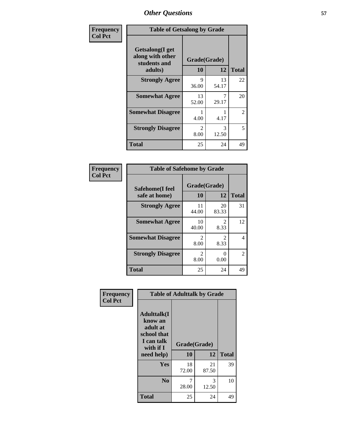| Frequency      | <b>Table of Getsalong by Grade</b>                          |                       |             |                |  |  |  |  |
|----------------|-------------------------------------------------------------|-----------------------|-------------|----------------|--|--|--|--|
| <b>Col Pct</b> | <b>Getsalong</b> (I get<br>along with other<br>students and | Grade(Grade)          |             |                |  |  |  |  |
|                | adults)                                                     | 10                    | 12          | <b>Total</b>   |  |  |  |  |
|                | <b>Strongly Agree</b>                                       | 9<br>36.00            | 13<br>54.17 | 22             |  |  |  |  |
|                | <b>Somewhat Agree</b>                                       | 13<br>52.00           | 7<br>29.17  | 20             |  |  |  |  |
|                | <b>Somewhat Disagree</b>                                    | 4.00                  | 4.17        | $\overline{2}$ |  |  |  |  |
|                | <b>Strongly Disagree</b>                                    | $\mathcal{L}$<br>8.00 | 3<br>12.50  | 5              |  |  |  |  |
|                | <b>Total</b>                                                | 25                    | 24          | 49             |  |  |  |  |

| Frequency<br>Col Pct |
|----------------------|
|                      |

| <b>Table of Safehome by Grade</b> |                        |                        |    |  |  |  |  |
|-----------------------------------|------------------------|------------------------|----|--|--|--|--|
| Safehome(I feel<br>safe at home)  | Grade(Grade)<br>10     | <b>Total</b>           |    |  |  |  |  |
| <b>Strongly Agree</b>             | 11<br>44.00            | 20<br>83.33            | 31 |  |  |  |  |
| <b>Somewhat Agree</b>             | 10<br>40.00            | $\mathfrak{D}$<br>8.33 | 12 |  |  |  |  |
| <b>Somewhat Disagree</b>          | $\mathfrak{D}$<br>8.00 | $\mathfrak{D}$<br>8.33 | 4  |  |  |  |  |
| <b>Strongly Disagree</b>          | $\mathcal{L}$<br>8.00  | 0<br>0.00              | 2  |  |  |  |  |
| <b>Total</b>                      | 25                     | 24                     | 49 |  |  |  |  |

| Frequency      | <b>Table of Adulttalk by Grade</b>                                                  |              |             |              |  |  |  |
|----------------|-------------------------------------------------------------------------------------|--------------|-------------|--------------|--|--|--|
| <b>Col Pct</b> | <b>Adulttalk(I</b><br>know an<br>adult at<br>school that<br>I can talk<br>with if I | Grade(Grade) |             |              |  |  |  |
|                | need help)                                                                          | 10           | 12          | <b>Total</b> |  |  |  |
|                | <b>Yes</b>                                                                          | 18<br>72.00  | 21<br>87.50 | 39           |  |  |  |
|                | N <sub>0</sub>                                                                      | 7<br>28.00   | 3<br>12.50  | 10           |  |  |  |
|                | <b>Total</b>                                                                        | 25           | 24          | 49           |  |  |  |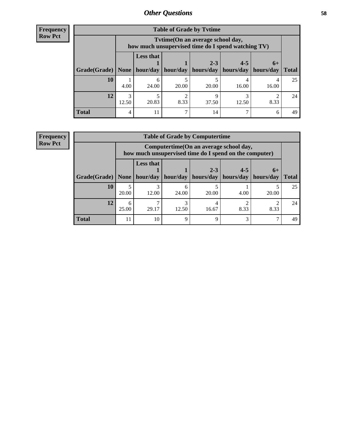**Frequency Row Pct**

| <b>Table of Grade by Tytime</b> |       |                                                                                         |       |                                                                      |         |       |              |  |  |
|---------------------------------|-------|-----------------------------------------------------------------------------------------|-------|----------------------------------------------------------------------|---------|-------|--------------|--|--|
|                                 |       | Tytime (On an average school day,<br>how much unsupervised time do I spend watching TV) |       |                                                                      |         |       |              |  |  |
| Grade(Grade)   None             |       | <b>Less that</b>                                                                        |       | $2 - 3$<br>$hour/day$   hour/day   hours/day   hours/day   hours/day | $4 - 5$ | $6+$  | <b>Total</b> |  |  |
| 10                              | 4.00  | 6<br>24.00                                                                              | 20.00 | 20.00                                                                | 16.00   | 16.00 | 25           |  |  |
| 12                              | 12.50 | 20.83                                                                                   | 8.33  | 37.50                                                                | 12.50   | 8.33  | 24           |  |  |
| <b>Total</b>                    | 4     | 11                                                                                      |       | 14                                                                   |         | 6     | 49           |  |  |

**Frequency Row Pct**

| <b>Table of Grade by Computertime</b> |            |                                                                                                   |                     |                      |                      |                   |              |  |  |
|---------------------------------------|------------|---------------------------------------------------------------------------------------------------|---------------------|----------------------|----------------------|-------------------|--------------|--|--|
|                                       |            | Computertime (On an average school day,<br>how much unsupervised time do I spend on the computer) |                     |                      |                      |                   |              |  |  |
| Grade(Grade)                          | None       | <b>Less that</b>                                                                                  | hour/day   hour/day | $2 - 3$<br>hours/day | $4 - 5$<br>hours/day | $6+$<br>hours/day | <b>Total</b> |  |  |
| 10                                    | 20.00      | 3<br>12.00                                                                                        | 24.00               | 20.00                | 4.00                 | 20.00             | 25           |  |  |
| 12                                    | 6<br>25.00 | 29.17                                                                                             | 12.50               | 16.67                | 8.33                 | 8.33              | 24           |  |  |
| <b>Total</b>                          | 11         | 10                                                                                                | Q                   | Q                    | 3                    |                   | 49           |  |  |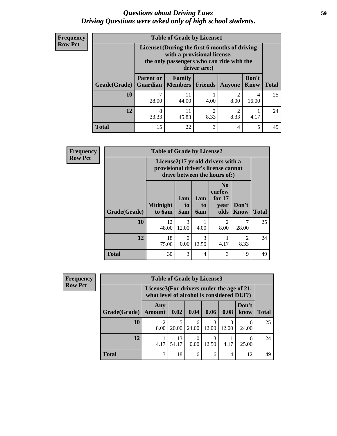## *Questions about Driving Laws* **59** *Driving Questions were asked only of high school students.*

| <b>Frequency</b> |
|------------------|
| <b>Row Pct</b>   |

| <b>Table of Grade by License1</b> |                                                                                                                                           |                                       |                        |                        |                      |              |  |  |
|-----------------------------------|-------------------------------------------------------------------------------------------------------------------------------------------|---------------------------------------|------------------------|------------------------|----------------------|--------------|--|--|
|                                   | License1(During the first 6 months of driving<br>with a provisional license,<br>the only passengers who can ride with the<br>driver are:) |                                       |                        |                        |                      |              |  |  |
| <b>Grade</b> (Grade)              | <b>Parent or</b>                                                                                                                          | Family<br><b>Guardian   Members  </b> | <b>Friends</b>         | Anyone                 | Don't<br><b>Know</b> | <b>Total</b> |  |  |
| 10                                | 28.00                                                                                                                                     | 11<br>44.00                           | 4.00                   | 2<br>8.00              | 4<br>16.00           | 25           |  |  |
| 12                                | 8<br>33.33                                                                                                                                | 11<br>45.83                           | $\overline{c}$<br>8.33 | $\mathfrak{D}$<br>8.33 | 4.17                 | 24           |  |  |
| <b>Total</b>                      | 15                                                                                                                                        | 22                                    | 3                      | 4                      | 5                    | 49           |  |  |

| <b>Frequency</b> | <b>Table of Grade by License2</b> |                                                                                                                      |                  |                  |                                                      |                        |              |  |  |
|------------------|-----------------------------------|----------------------------------------------------------------------------------------------------------------------|------------------|------------------|------------------------------------------------------|------------------------|--------------|--|--|
| <b>Row Pct</b>   |                                   | License $2(17 \text{ yr})$ old drivers with a<br>provisional driver's license cannot<br>drive between the hours of:) |                  |                  |                                                      |                        |              |  |  |
|                  | Grade(Grade)                      | <b>Midnight</b><br>to 6am                                                                                            | 1am<br>to<br>5am | 1am<br>to<br>6am | N <sub>0</sub><br>curfew<br>for $17$<br>year<br>olds | Don't<br>Know          | <b>Total</b> |  |  |
|                  | 10                                | 12<br>48.00                                                                                                          | 3<br>12.00       | 4.00             | $\mathfrak{D}$<br>8.00                               | 7<br>28.00             | 25           |  |  |
|                  | 12                                | 18<br>75.00                                                                                                          | $\Omega$<br>0.00 | 3<br>12.50       | 4.17                                                 | $\mathfrak{D}$<br>8.33 | 24           |  |  |
|                  | <b>Total</b>                      | 30                                                                                                                   | 3                | $\overline{4}$   | 3                                                    | 9                      | 49           |  |  |

| <b>Frequency</b> | <b>Table of Grade by License3</b> |                                                                                        |             |            |       |       |               |              |
|------------------|-----------------------------------|----------------------------------------------------------------------------------------|-------------|------------|-------|-------|---------------|--------------|
| <b>Row Pct</b>   |                                   | License3(For drivers under the age of 21,<br>what level of alcohol is considered DUI?) |             |            |       |       |               |              |
|                  | Grade(Grade)                      | Any<br><b>Amount</b>                                                                   | 0.02        | 0.04       | 0.06  | 0.08  | Don't<br>know | <b>Total</b> |
|                  | 10                                | っ<br>8.00                                                                              | 20.00       | 6<br>24.00 | 12.00 | 12.00 | 6<br>24.00    | 25           |
|                  | 12                                | 4.17                                                                                   | 13<br>54.17 | 0.00       | 12.50 | 4.17  | 6<br>25.00    | 24           |
|                  | <b>Total</b>                      | 3                                                                                      | 18          | 6          | 6     | 4     | 12            | 49           |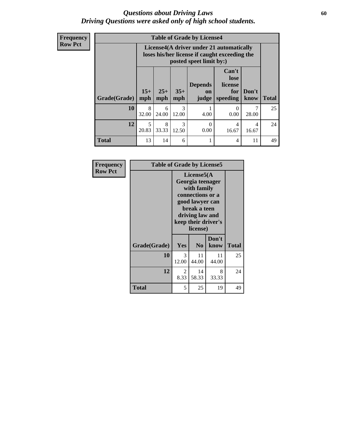## *Questions about Driving Laws* **60** *Driving Questions were asked only of high school students.*

**Frequency Row Pct**

| <b>Table of Grade by License4</b> |              |                                                                                                                      |                        |                               |                                             |               |              |  |
|-----------------------------------|--------------|----------------------------------------------------------------------------------------------------------------------|------------------------|-------------------------------|---------------------------------------------|---------------|--------------|--|
|                                   |              | License4(A driver under 21 automatically<br>loses his/her license if caught exceeding the<br>posted speet limit by:) |                        |                               |                                             |               |              |  |
| <b>Grade(Grade)</b>               | $15+$<br>mph | $25+$<br>mph                                                                                                         | $35+$<br>mph           | <b>Depends</b><br>on<br>judge | Can't<br>lose<br>license<br>for<br>speeding | Don't<br>know | <b>Total</b> |  |
| 10                                | 8<br>32.00   | 6<br>24.00                                                                                                           | $\mathcal{R}$<br>12.00 | 4.00                          | 0<br>0.00                                   | 28.00         | 25           |  |
| 12                                | 5<br>20.83   | 8<br>33.33                                                                                                           | $\mathcal{R}$<br>12.50 | $\Omega$<br>0.00              | 4<br>16.67                                  | 4<br>16.67    | 24           |  |
| <b>Total</b>                      | 13           | 14                                                                                                                   | 6                      |                               | 4                                           | 11            | 49           |  |

| <b>Frequency</b> | <b>Table of Grade by License5</b> |                                                                                                                                                             |                |               |              |
|------------------|-----------------------------------|-------------------------------------------------------------------------------------------------------------------------------------------------------------|----------------|---------------|--------------|
| <b>Row Pct</b>   |                                   | License5(A)<br>Georgia teenager<br>with family<br>connections or a<br>good lawyer can<br>break a teen<br>driving law and<br>keep their driver's<br>license) |                |               |              |
|                  | Grade(Grade)                      | Yes                                                                                                                                                         | N <sub>0</sub> | Don't<br>know | <b>Total</b> |
|                  | 10                                | 3<br>12.00                                                                                                                                                  | 11<br>44.00    | 11<br>44.00   | 25           |
|                  | 12                                | 2<br>8.33                                                                                                                                                   | 14<br>58.33    | 8<br>33.33    | 24           |
|                  | Total                             | 5                                                                                                                                                           | 25             | 19            | 49           |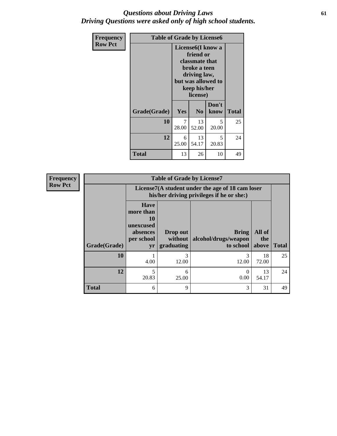## *Questions about Driving Laws* **61** *Driving Questions were asked only of high school students.*

| <b>Frequency</b> | <b>Table of Grade by License6</b> |                                                                                                                                                 |                |               |              |
|------------------|-----------------------------------|-------------------------------------------------------------------------------------------------------------------------------------------------|----------------|---------------|--------------|
| <b>Row Pct</b>   |                                   | License <sub>6</sub> (I know a<br>friend or<br>classmate that<br>broke a teen<br>driving law,<br>but was allowed to<br>keep his/her<br>license) |                |               |              |
|                  | Grade(Grade)                      | <b>Yes</b>                                                                                                                                      | N <sub>0</sub> | Don't<br>know | <b>Total</b> |
|                  | 10                                | 7<br>28.00                                                                                                                                      | 13<br>52.00    | 5<br>20.00    | 25           |
|                  | 12                                | 6<br>25.00                                                                                                                                      | 13<br>54.17    | 5<br>20.83    | 24           |
|                  | <b>Total</b>                      | 13                                                                                                                                              | 26             | 10            | 49           |

| <b>Frequency</b> | <b>Table of Grade by License7</b> |                                                                             |                                   |                                                                                               |                        |              |
|------------------|-----------------------------------|-----------------------------------------------------------------------------|-----------------------------------|-----------------------------------------------------------------------------------------------|------------------------|--------------|
| <b>Row Pct</b>   |                                   |                                                                             |                                   | License7(A student under the age of 18 cam loser<br>his/her driving privileges if he or she:) |                        |              |
|                  | Grade(Grade)                      | <b>Have</b><br>more than<br>10<br>unexcused<br>absences<br>per school<br>yr | Drop out<br>without<br>graduating | Bring<br>alcohol/drugs/weapon<br>to school                                                    | All of<br>the<br>above | <b>Total</b> |
|                  | 10                                | 4.00                                                                        | 3<br>12.00                        | 12.00                                                                                         | 18<br>72.00            | 25           |
|                  | 12                                | 5<br>20.83                                                                  | 6<br>25.00                        | $\Omega$<br>0.00                                                                              | 13<br>54.17            | 24           |
|                  | <b>Total</b>                      | 6                                                                           | 9                                 | 3                                                                                             | 31                     | 49           |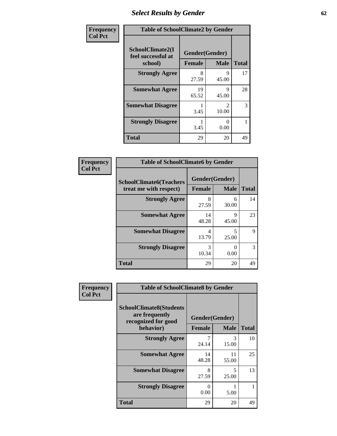# *Select Results by Gender* **62**

| Frequency      | <b>Table of SchoolClimate2 by Gender</b> |                    |                        |                    |  |
|----------------|------------------------------------------|--------------------|------------------------|--------------------|--|
| <b>Col Pct</b> | SchoolClimate2(I<br>feel successful at   | Gender(Gender)     |                        |                    |  |
|                | school)<br><b>Strongly Agree</b>         | <b>Female</b><br>8 | <b>Male</b><br>9       | <b>Total</b><br>17 |  |
|                |                                          | 27.59              | 45.00                  |                    |  |
|                | <b>Somewhat Agree</b>                    | 19<br>65.52        | Q<br>45.00             | 28                 |  |
|                | <b>Somewhat Disagree</b>                 | 3.45               | $\mathcal{D}$<br>10.00 | 3                  |  |
|                | <b>Strongly Disagree</b>                 | 3.45               | 0<br>0.00              |                    |  |
|                | <b>Total</b>                             | 29                 | 20                     | 49                 |  |

| <b>Frequency</b> | <b>Table of SchoolClimate6 by Gender</b>                 |                |                           |              |
|------------------|----------------------------------------------------------|----------------|---------------------------|--------------|
| <b>Col Pct</b>   | <b>SchoolClimate6(Teachers</b><br>treat me with respect) | Gender(Gender) |                           |              |
|                  |                                                          | Female         | <b>Male</b>               | <b>Total</b> |
|                  | <b>Strongly Agree</b>                                    | 8<br>27.59     | 6<br>30.00                | 14           |
|                  | <b>Somewhat Agree</b>                                    | 14<br>48.28    | Q<br>45.00                | 23           |
|                  | <b>Somewhat Disagree</b>                                 | 4<br>13.79     | 5<br>25.00                | 9            |
|                  | <b>Strongly Disagree</b>                                 | 3<br>10.34     | $\mathbf{\Omega}$<br>0.00 | 3            |
|                  | <b>Total</b>                                             | 29             | 20                        | 49           |

| <b>Frequency</b> | <b>Table of SchoolClimate8 by Gender</b>                                             |                                 |              |    |  |  |
|------------------|--------------------------------------------------------------------------------------|---------------------------------|--------------|----|--|--|
| <b>Col Pct</b>   | <b>SchoolClimate8(Students</b><br>are frequently<br>recognized for good<br>behavior) | Gender(Gender)<br><b>Female</b> | <b>Total</b> |    |  |  |
|                  |                                                                                      |                                 | <b>Male</b>  |    |  |  |
|                  | <b>Strongly Agree</b>                                                                | 7<br>24.14                      | 3<br>15.00   | 10 |  |  |
|                  | <b>Somewhat Agree</b>                                                                | 14<br>48.28                     | 11<br>55.00  | 25 |  |  |
|                  | <b>Somewhat Disagree</b>                                                             | 8<br>27.59                      | 5<br>25.00   | 13 |  |  |
|                  | <b>Strongly Disagree</b>                                                             | 0<br>0.00                       | 5.00         | 1  |  |  |
|                  | Total                                                                                | 29                              | 20           | 49 |  |  |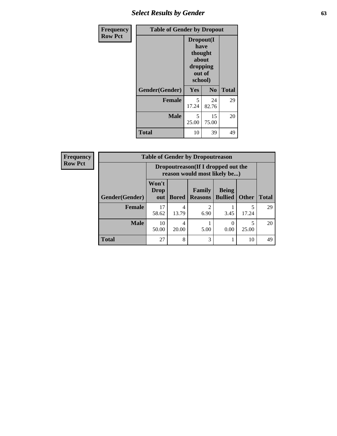# *Select Results by Gender* **63**

| <b>Frequency</b> | <b>Table of Gender by Dropout</b> |                                                                        |                |              |
|------------------|-----------------------------------|------------------------------------------------------------------------|----------------|--------------|
| <b>Row Pct</b>   |                                   | Dropout(I<br>have<br>thought<br>about<br>dropping<br>out of<br>school) |                |              |
|                  | Gender(Gender)                    | Yes                                                                    | N <sub>0</sub> | <b>Total</b> |
|                  | <b>Female</b>                     | 5<br>17.24                                                             | 24<br>82.76    | 29           |
|                  | <b>Male</b>                       | 5<br>25.00                                                             | 15<br>75.00    | 20           |
|                  | <b>Total</b>                      | 10                                                                     | 39             | 49           |

| <b>Frequency</b> | <b>Table of Gender by Dropoutreason</b> |                                                                     |              |                          |                                |              |              |
|------------------|-----------------------------------------|---------------------------------------------------------------------|--------------|--------------------------|--------------------------------|--------------|--------------|
| <b>Row Pct</b>   |                                         | Dropoutreason (If I dropped out the<br>reason would most likely be) |              |                          |                                |              |              |
|                  | <b>Gender</b> (Gender)                  | Won't<br><b>Drop</b><br>out                                         | <b>Bored</b> | Family<br><b>Reasons</b> | <b>Being</b><br><b>Bullied</b> | <b>Other</b> | <b>Total</b> |
|                  | <b>Female</b>                           | 17<br>58.62                                                         | 4<br>13.79   | っ<br>6.90                | 3.45                           | 5<br>17.24   | 29           |
|                  | <b>Male</b>                             | 10<br>50.00                                                         | 4<br>20.00   | 5.00                     | 0.00                           | 5<br>25.00   | 20           |
|                  | <b>Total</b>                            | 27                                                                  | 8            | 3                        |                                | 10           | 49           |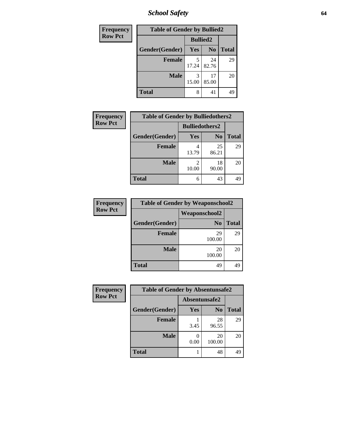*School Safety* **64**

| Frequency      | <b>Table of Gender by Bullied2</b> |                 |                |              |  |
|----------------|------------------------------------|-----------------|----------------|--------------|--|
| <b>Row Pct</b> |                                    | <b>Bullied2</b> |                |              |  |
|                | Gender(Gender)                     | Yes             | N <sub>0</sub> | <b>Total</b> |  |
|                | <b>Female</b>                      | 5<br>17.24      | 24<br>82.76    | 29           |  |
|                | <b>Male</b>                        | 15.00           | 17<br>85.00    | 20           |  |
|                | Total                              | 8               | 41             | 49           |  |

| Frequency      | <b>Table of Gender by Bulliedothers2</b> |                       |                |              |
|----------------|------------------------------------------|-----------------------|----------------|--------------|
| <b>Row Pct</b> |                                          | <b>Bulliedothers2</b> |                |              |
|                | Gender(Gender)                           | Yes                   | N <sub>0</sub> | <b>Total</b> |
|                | <b>Female</b>                            | 13.79                 | 25<br>86.21    | 29           |
|                | <b>Male</b>                              | 10.00                 | 18<br>90.00    | 20           |
|                | Total                                    | 6                     | 43             | 49           |

| Frequency      | <b>Table of Gender by Weaponschool2</b> |                      |              |  |
|----------------|-----------------------------------------|----------------------|--------------|--|
| <b>Row Pct</b> |                                         | <b>Weaponschool2</b> |              |  |
|                | Gender(Gender)                          | N <sub>0</sub>       | <b>Total</b> |  |
|                | <b>Female</b>                           | 29<br>100.00         | 29           |  |
|                | <b>Male</b>                             | 20<br>100.00         | 20           |  |
|                | <b>Total</b>                            | 49                   | 49           |  |

| <b>Frequency</b> | <b>Table of Gender by Absentunsafe2</b> |               |                |              |  |
|------------------|-----------------------------------------|---------------|----------------|--------------|--|
| <b>Row Pct</b>   |                                         | Absentunsafe2 |                |              |  |
|                  | Gender(Gender)                          | Yes           | N <sub>0</sub> | <b>Total</b> |  |
|                  | <b>Female</b>                           | 3.45          | 28<br>96.55    | 29           |  |
|                  | <b>Male</b>                             | 0.00          | 20<br>100.00   | 20           |  |
|                  | <b>Total</b>                            |               | 48             | 49           |  |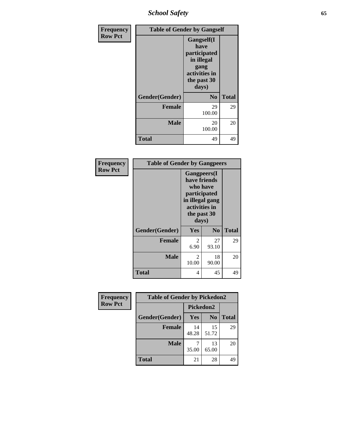*School Safety* **65**

| Frequency      |                | <b>Table of Gender by Gangself</b>                                                                        |              |
|----------------|----------------|-----------------------------------------------------------------------------------------------------------|--------------|
| <b>Row Pct</b> |                | <b>Gangself</b> (I<br>have<br>participated<br>in illegal<br>gang<br>activities in<br>the past 30<br>days) |              |
|                | Gender(Gender) | N <sub>0</sub>                                                                                            | <b>Total</b> |
|                | <b>Female</b>  | 29<br>100.00                                                                                              | 29           |
|                | <b>Male</b>    | 20<br>100.00                                                                                              | 20           |
|                | <b>Total</b>   | 49                                                                                                        | 49           |

| Frequency      | <b>Table of Gender by Gangpeers</b> |                                                                                                                             |                |              |
|----------------|-------------------------------------|-----------------------------------------------------------------------------------------------------------------------------|----------------|--------------|
| <b>Row Pct</b> |                                     | <b>Gangpeers</b> (I<br>have friends<br>who have<br>participated<br>in illegal gang<br>activities in<br>the past 30<br>days) |                |              |
|                | Gender(Gender)                      | <b>Yes</b>                                                                                                                  | N <sub>0</sub> | <b>Total</b> |
|                | <b>Female</b>                       | 2<br>6.90                                                                                                                   | 27<br>93.10    | 29           |
|                | <b>Male</b>                         | 2<br>10.00                                                                                                                  | 18<br>90.00    | 20           |
|                | Total                               | 4                                                                                                                           | 45             | 49           |

| Frequency      | <b>Table of Gender by Pickedon2</b> |             |                |              |
|----------------|-------------------------------------|-------------|----------------|--------------|
| <b>Row Pct</b> |                                     | Pickedon2   |                |              |
|                | Gender(Gender)                      | Yes         | N <sub>0</sub> | <b>Total</b> |
|                | <b>Female</b>                       | 14<br>48.28 | 15<br>51.72    | 29           |
|                | <b>Male</b>                         | 35.00       | 13<br>65.00    | 20           |
|                | <b>Total</b>                        | 21          | 28             | 49           |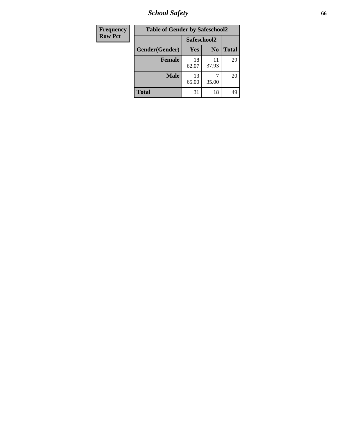*School Safety* **66**

| Frequency      | <b>Table of Gender by Safeschool2</b> |             |                |              |
|----------------|---------------------------------------|-------------|----------------|--------------|
| <b>Row Pct</b> |                                       | Safeschool2 |                |              |
|                | Gender(Gender)                        | Yes         | N <sub>0</sub> | <b>Total</b> |
|                | <b>Female</b>                         | 18<br>62.07 | 11<br>37.93    | 29           |
|                | <b>Male</b>                           | 13<br>65.00 | 35.00          | 20           |
|                | <b>Total</b>                          | 31          | 18             | 49           |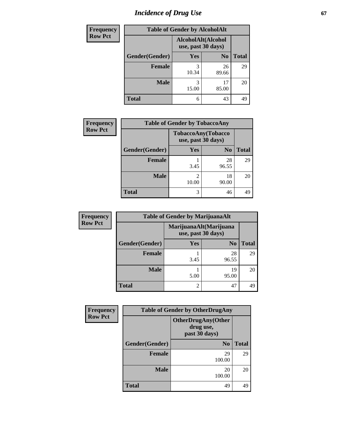# *Incidence of Drug Use* 67

| <b>Frequency</b> | <b>Table of Gender by AlcoholAlt</b> |            |                                          |              |  |
|------------------|--------------------------------------|------------|------------------------------------------|--------------|--|
| <b>Row Pct</b>   |                                      |            | AlcoholAlt(Alcohol<br>use, past 30 days) |              |  |
|                  | Gender(Gender)                       | Yes        | N <sub>0</sub>                           | <b>Total</b> |  |
|                  | <b>Female</b>                        | 3<br>10.34 | 26<br>89.66                              | 29           |  |
|                  | <b>Male</b>                          | 3<br>15.00 | 17<br>85.00                              | 20           |  |
|                  | <b>Total</b>                         | 6          | 43                                       | 49           |  |

| <b>Frequency</b> | <b>Table of Gender by TobaccoAny</b> |            |                                          |              |
|------------------|--------------------------------------|------------|------------------------------------------|--------------|
| <b>Row Pct</b>   |                                      |            | TobaccoAny(Tobacco<br>use, past 30 days) |              |
|                  | Gender(Gender)                       | Yes        | N <sub>0</sub>                           | <b>Total</b> |
|                  | <b>Female</b>                        | 3.45       | 28<br>96.55                              | 29           |
|                  | <b>Male</b>                          | 2<br>10.00 | 18<br>90.00                              | 20           |
|                  | <b>Total</b>                         | 3          | 46                                       | 49           |

| <b>Frequency</b> | <b>Table of Gender by MarijuanaAlt</b> |      |                                              |              |
|------------------|----------------------------------------|------|----------------------------------------------|--------------|
| <b>Row Pct</b>   |                                        |      | MarijuanaAlt(Marijuana<br>use, past 30 days) |              |
|                  | Gender(Gender)                         | Yes  | N <sub>0</sub>                               | <b>Total</b> |
|                  | <b>Female</b>                          | 3.45 | 28<br>96.55                                  | 29           |
|                  | <b>Male</b>                            | 5.00 | 19<br>95.00                                  | 20           |
|                  | <b>Total</b>                           | 2    | 47                                           | 49           |

| <b>Frequency</b> | <b>Table of Gender by OtherDrugAny</b> |                                                         |              |  |  |
|------------------|----------------------------------------|---------------------------------------------------------|--------------|--|--|
| <b>Row Pct</b>   |                                        | <b>OtherDrugAny(Other</b><br>drug use,<br>past 30 days) |              |  |  |
|                  | Gender(Gender)                         | N <sub>0</sub>                                          | <b>Total</b> |  |  |
|                  | <b>Female</b>                          | 29<br>100.00                                            | 29           |  |  |
|                  | <b>Male</b>                            | 20<br>100.00                                            | 20           |  |  |
|                  | <b>Total</b>                           | 49                                                      | 49           |  |  |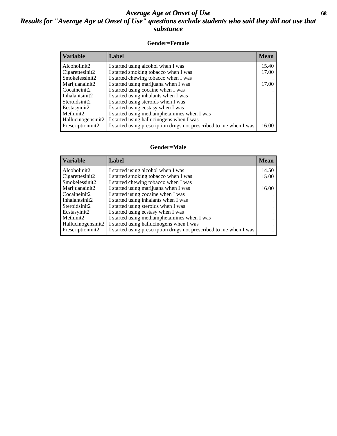## *Average Age at Onset of Use* **68** *Results for "Average Age at Onset of Use" questions exclude students who said they did not use that substance*

## **Gender=Female**

| Variable           | <b>Label</b>                                                       | <b>Mean</b> |
|--------------------|--------------------------------------------------------------------|-------------|
| Alcoholinit2       | I started using alcohol when I was                                 | 15.40       |
| Cigarettesinit2    | I started smoking tobacco when I was                               | 17.00       |
| Smokelessinit2     | I started chewing tobacco when I was                               |             |
| Marijuanainit2     | I started using marijuana when I was                               | 17.00       |
| Cocaineinit2       | I started using cocaine when I was                                 |             |
| Inhalantsinit2     | I started using inhalants when I was                               |             |
| Steroidsinit2      | I started using steroids when I was                                |             |
| Ecstasyinit2       | I started using ecstasy when I was                                 |             |
| Methinit2          | I started using methamphetamines when I was                        |             |
| Hallucinogensinit2 | I started using hallucinogens when I was                           |             |
| Prescription in t2 | I started using prescription drugs not prescribed to me when I was | 16.00       |

### **Gender=Male**

| <b>Variable</b>    | Label                                                              | <b>Mean</b> |
|--------------------|--------------------------------------------------------------------|-------------|
| Alcoholinit2       | I started using alcohol when I was                                 | 14.50       |
| Cigarettesinit2    | I started smoking tobacco when I was                               | 15.00       |
| Smokelessinit2     | I started chewing tobacco when I was                               |             |
| Marijuanainit2     | I started using marijuana when I was                               | 16.00       |
| Cocaineinit2       | I started using cocaine when I was                                 |             |
| Inhalantsinit2     | I started using inhalants when I was                               |             |
| Steroidsinit2      | I started using steroids when I was                                |             |
| Ecstasyinit2       | I started using ecstasy when I was                                 |             |
| Methinit2          | I started using methamphetamines when I was                        |             |
| Hallucinogensinit2 | I started using hallucinogens when I was                           |             |
| Prescription in t2 | I started using prescription drugs not prescribed to me when I was |             |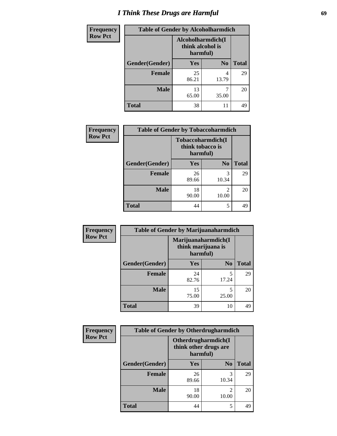# *I Think These Drugs are Harmful* **69**

| <b>Frequency</b> | <b>Table of Gender by Alcoholharmdich</b> |                                                   |                |              |
|------------------|-------------------------------------------|---------------------------------------------------|----------------|--------------|
| <b>Row Pct</b>   |                                           | Alcoholharmdich(I<br>think alcohol is<br>harmful) |                |              |
|                  | Gender(Gender)                            | <b>Yes</b>                                        | N <sub>0</sub> | <b>Total</b> |
|                  | <b>Female</b>                             | 25<br>86.21                                       | 4<br>13.79     | 29           |
|                  | <b>Male</b>                               | 13<br>65.00                                       | 35.00          | 20           |
|                  | <b>Total</b>                              | 38                                                | 11             | 49           |

| Frequency      | <b>Table of Gender by Tobaccoharmdich</b> |                  |                               |              |
|----------------|-------------------------------------------|------------------|-------------------------------|--------------|
| <b>Row Pct</b> |                                           | think tobacco is | Tobaccoharmdich(I<br>harmful) |              |
|                | Gender(Gender)                            | Yes              | N <sub>0</sub>                | <b>Total</b> |
|                | <b>Female</b>                             | 26<br>89.66      | 3<br>10.34                    | 29           |
|                | <b>Male</b>                               | 18<br>90.00      | $\mathfrak{D}$<br>10.00       | 20           |
|                | <b>Total</b>                              | 44               | 5                             | 49           |

| Frequency      | <b>Table of Gender by Marijuanaharmdich</b> |                                |                     |              |
|----------------|---------------------------------------------|--------------------------------|---------------------|--------------|
| <b>Row Pct</b> |                                             | think marijuana is<br>harmful) | Marijuanaharmdich(I |              |
|                | Gender(Gender)                              | <b>Yes</b>                     | N <sub>0</sub>      | <b>Total</b> |
|                | <b>Female</b>                               | 24<br>82.76                    | 5<br>17.24          | 29           |
|                | <b>Male</b>                                 | 15<br>75.00                    | 5<br>25.00          | 20           |
|                | <b>Total</b>                                | 39                             | 10                  | 49           |

| Frequency      | <b>Table of Gender by Otherdrugharmdich</b> |                                   |                     |              |
|----------------|---------------------------------------------|-----------------------------------|---------------------|--------------|
| <b>Row Pct</b> |                                             | think other drugs are<br>harmful) | Otherdrugharmdich(I |              |
|                | Gender(Gender)                              | <b>Yes</b>                        | N <sub>0</sub>      | <b>Total</b> |
|                | <b>Female</b>                               | 26<br>89.66                       | 3<br>10.34          | 29           |
|                | <b>Male</b>                                 | 18<br>90.00                       | 2<br>10.00          | 20           |
|                | <b>Total</b>                                | 44                                | 5                   | 49           |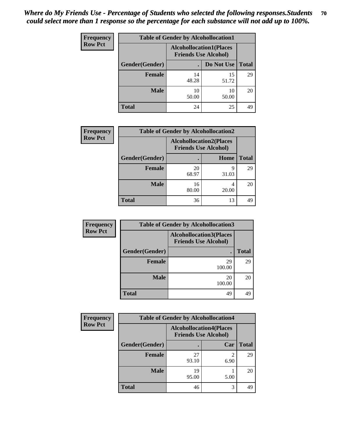| <b>Frequency</b> | <b>Table of Gender by Alcohollocation1</b> |                                                               |             |              |
|------------------|--------------------------------------------|---------------------------------------------------------------|-------------|--------------|
| <b>Row Pct</b>   |                                            | <b>Alcohollocation1(Places</b><br><b>Friends Use Alcohol)</b> |             |              |
|                  | Gender(Gender)                             |                                                               | Do Not Use  | <b>Total</b> |
|                  | <b>Female</b>                              | 14<br>48.28                                                   | 15<br>51.72 | 29           |
|                  | <b>Male</b>                                | 10<br>50.00                                                   | 10<br>50.00 | 20           |
|                  | <b>Total</b>                               | 24                                                            | 25          | 49           |

| <b>Frequency</b> | <b>Table of Gender by Alcohollocation2</b> |                                                               |            |              |
|------------------|--------------------------------------------|---------------------------------------------------------------|------------|--------------|
| <b>Row Pct</b>   |                                            | <b>Alcohollocation2(Places</b><br><b>Friends Use Alcohol)</b> |            |              |
|                  | Gender(Gender)                             |                                                               | Home       | <b>Total</b> |
|                  | <b>Female</b>                              | 20<br>68.97                                                   | q<br>31.03 | 29           |
|                  | <b>Male</b>                                | 16<br>80.00                                                   | 20.00      | 20           |
|                  | <b>Total</b>                               | 36                                                            | 13         | 49           |

| Frequency      | <b>Table of Gender by Alcohollocation3</b> |                                                               |              |  |
|----------------|--------------------------------------------|---------------------------------------------------------------|--------------|--|
| <b>Row Pct</b> |                                            | <b>Alcohollocation3(Places</b><br><b>Friends Use Alcohol)</b> |              |  |
|                | Gender(Gender)                             | ٠                                                             | <b>Total</b> |  |
|                | <b>Female</b>                              | 29<br>100.00                                                  | 29           |  |
|                | <b>Male</b>                                | 20<br>100.00                                                  | 20           |  |
|                | <b>Total</b>                               | 49                                                            | 49           |  |

| <b>Frequency</b> | <b>Table of Gender by Alcohollocation4</b> |             |                                                               |              |
|------------------|--------------------------------------------|-------------|---------------------------------------------------------------|--------------|
| <b>Row Pct</b>   |                                            |             | <b>Alcohollocation4(Places</b><br><b>Friends Use Alcohol)</b> |              |
|                  | Gender(Gender)                             |             | Car                                                           | <b>Total</b> |
|                  | Female                                     | 27<br>93.10 | $\mathfrak{D}$<br>6.90                                        | 29           |
|                  | <b>Male</b>                                | 19<br>95.00 | 5.00                                                          | 20           |
|                  | <b>Total</b>                               | 46          | 3                                                             | 49           |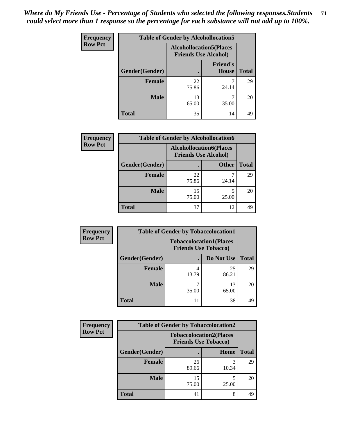| <b>Frequency</b> | <b>Table of Gender by Alcohollocation5</b> |                                                                |                                 |              |
|------------------|--------------------------------------------|----------------------------------------------------------------|---------------------------------|--------------|
| <b>Row Pct</b>   |                                            | <b>Alcohollocation5</b> (Places<br><b>Friends Use Alcohol)</b> |                                 |              |
|                  | Gender(Gender)                             |                                                                | <b>Friend's</b><br><b>House</b> | <b>Total</b> |
|                  | <b>Female</b>                              | 22<br>75.86                                                    | 24.14                           | 29           |
|                  | <b>Male</b>                                | 13<br>65.00                                                    | 35.00                           | 20           |
|                  | <b>Total</b>                               | 35                                                             | 14                              | 49           |

| <b>Frequency</b> | <b>Table of Gender by Alcohollocation6</b> |                                                               |              |              |
|------------------|--------------------------------------------|---------------------------------------------------------------|--------------|--------------|
| <b>Row Pct</b>   |                                            | <b>Alcohollocation6(Places</b><br><b>Friends Use Alcohol)</b> |              |              |
|                  | Gender(Gender)                             |                                                               | <b>Other</b> | <b>Total</b> |
|                  | <b>Female</b>                              | 22<br>75.86                                                   | 24.14        | 29           |
|                  | <b>Male</b>                                | 15<br>75.00                                                   | 25.00        | 20           |
|                  | <b>Total</b>                               | 37                                                            | 12           | 49           |

| Frequency      | <b>Table of Gender by Tobaccolocation1</b> |                                                               |             |              |  |
|----------------|--------------------------------------------|---------------------------------------------------------------|-------------|--------------|--|
| <b>Row Pct</b> |                                            | <b>Tobaccolocation1(Places</b><br><b>Friends Use Tobacco)</b> |             |              |  |
|                | <b>Gender</b> (Gender)                     |                                                               | Do Not Use  | <b>Total</b> |  |
|                | Female                                     | 13.79                                                         | 25<br>86.21 | 29           |  |
|                | <b>Male</b>                                | 35.00                                                         | 13<br>65.00 | 20           |  |
|                | <b>Total</b>                               | 11                                                            | 38          | 49           |  |

| <b>Frequency</b> | <b>Table of Gender by Tobaccolocation2</b> |                             |                                |              |
|------------------|--------------------------------------------|-----------------------------|--------------------------------|--------------|
| <b>Row Pct</b>   |                                            | <b>Friends Use Tobacco)</b> | <b>Tobaccolocation2(Places</b> |              |
|                  | Gender(Gender)                             |                             | Home                           | <b>Total</b> |
|                  | Female                                     | 26<br>89.66                 | 3<br>10.34                     | 29           |
|                  | <b>Male</b>                                | 15<br>75.00                 | 25.00                          | 20           |
|                  | <b>Total</b>                               | 41                          | 8                              | 49           |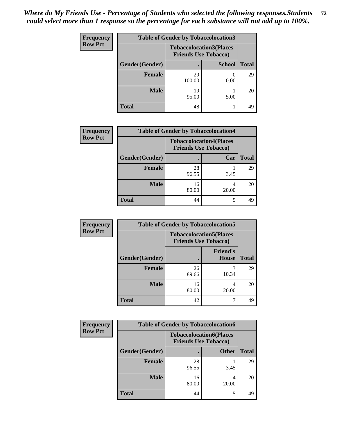| <b>Frequency</b> | <b>Table of Gender by Tobaccolocation3</b> |                                |                             |              |
|------------------|--------------------------------------------|--------------------------------|-----------------------------|--------------|
| <b>Row Pct</b>   |                                            | <b>Tobaccolocation3(Places</b> | <b>Friends Use Tobacco)</b> |              |
|                  | <b>Gender</b> (Gender)                     |                                | <b>School</b>               | <b>Total</b> |
|                  | <b>Female</b>                              | 29<br>100.00                   | 0.00                        | 29           |
|                  | <b>Male</b>                                | 19<br>95.00                    | 5.00                        | 20           |
|                  | <b>Total</b>                               | 48                             |                             | 49           |

| <b>Frequency</b> | <b>Table of Gender by Tobaccolocation4</b> |                             |                                |              |
|------------------|--------------------------------------------|-----------------------------|--------------------------------|--------------|
| <b>Row Pct</b>   |                                            | <b>Friends Use Tobacco)</b> | <b>Tobaccolocation4(Places</b> |              |
|                  | Gender(Gender)                             |                             | Car                            | <b>Total</b> |
|                  | Female                                     | 28<br>96.55                 | 3.45                           | 29           |
|                  | <b>Male</b>                                | 16<br>80.00                 | 20.00                          | 20           |
|                  | <b>Total</b>                               | 44                          | 5                              | 49           |

| Frequency      | <b>Table of Gender by Tobaccolocation5</b> |                                                               |                          |              |  |
|----------------|--------------------------------------------|---------------------------------------------------------------|--------------------------|--------------|--|
| <b>Row Pct</b> |                                            | <b>Tobaccolocation5(Places</b><br><b>Friends Use Tobacco)</b> |                          |              |  |
|                | Gender(Gender)                             |                                                               | <b>Friend's</b><br>House | <b>Total</b> |  |
|                | Female                                     | 26<br>89.66                                                   | 3<br>10.34               | 29           |  |
|                | <b>Male</b>                                | 16<br>80.00                                                   | 4<br>20.00               | 20           |  |
|                | <b>Total</b>                               | 42                                                            |                          | 49           |  |

| <b>Frequency</b> | <b>Table of Gender by Tobaccolocation6</b> |                                                               |              |              |  |
|------------------|--------------------------------------------|---------------------------------------------------------------|--------------|--------------|--|
| <b>Row Pct</b>   |                                            | <b>Tobaccolocation6(Places</b><br><b>Friends Use Tobacco)</b> |              |              |  |
|                  | Gender(Gender)                             |                                                               | <b>Other</b> | <b>Total</b> |  |
|                  | Female                                     | 28<br>96.55                                                   | 3.45         | 29           |  |
|                  | <b>Male</b>                                | 16<br>80.00                                                   | 20.00        | 20           |  |
|                  | <b>Total</b>                               | 44                                                            |              | 49           |  |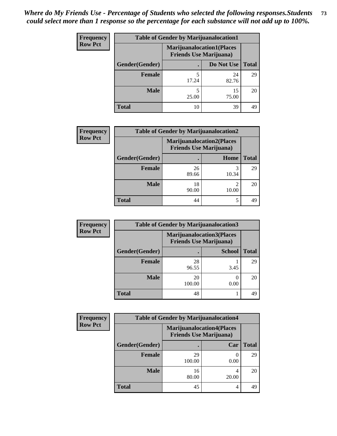| <b>Frequency</b> | <b>Table of Gender by Marijuanalocation1</b> |                                                                    |             |              |
|------------------|----------------------------------------------|--------------------------------------------------------------------|-------------|--------------|
| <b>Row Pct</b>   |                                              | <b>Marijuanalocation1(Places</b><br><b>Friends Use Marijuana</b> ) |             |              |
|                  | Gender(Gender)                               |                                                                    | Do Not Use  | <b>Total</b> |
|                  | <b>Female</b>                                | 17.24                                                              | 24<br>82.76 | 29           |
|                  | <b>Male</b>                                  | 25.00                                                              | 15<br>75.00 | 20           |
|                  | Total                                        | 10                                                                 | 39          | 49           |

| <b>Frequency</b> | <b>Table of Gender by Marijuanalocation2</b> |             |                                                                    |              |
|------------------|----------------------------------------------|-------------|--------------------------------------------------------------------|--------------|
| <b>Row Pct</b>   |                                              |             | <b>Marijuanalocation2(Places</b><br><b>Friends Use Marijuana</b> ) |              |
|                  | Gender(Gender)                               |             | Home                                                               | <b>Total</b> |
|                  | <b>Female</b>                                | 26<br>89.66 | 10.34                                                              | 29           |
|                  | <b>Male</b>                                  | 18<br>90.00 | 10.00                                                              | 20           |
|                  | <b>Total</b>                                 | 44          | 5                                                                  | 49           |

| Frequency      | <b>Table of Gender by Marijuanalocation3</b> |                                                                    |               |              |
|----------------|----------------------------------------------|--------------------------------------------------------------------|---------------|--------------|
| <b>Row Pct</b> |                                              | <b>Marijuanalocation3(Places</b><br><b>Friends Use Marijuana</b> ) |               |              |
|                | Gender(Gender)                               |                                                                    | <b>School</b> | <b>Total</b> |
|                | <b>Female</b>                                | 28<br>96.55                                                        | 3.45          | 29           |
|                | <b>Male</b>                                  | 20<br>100.00                                                       | 0.00          | 20           |
|                | <b>Total</b>                                 | 48                                                                 |               | 49           |

| Frequency      | <b>Table of Gender by Marijuanalocation4</b> |                                |                                  |              |
|----------------|----------------------------------------------|--------------------------------|----------------------------------|--------------|
| <b>Row Pct</b> |                                              | <b>Friends Use Marijuana</b> ) | <b>Marijuanalocation4(Places</b> |              |
|                | Gender(Gender)                               |                                | Car                              | <b>Total</b> |
|                | <b>Female</b>                                | 29<br>100.00                   | 0.00                             | 29           |
|                | <b>Male</b>                                  | 16<br>80.00                    | 20.00                            | 20           |
|                | <b>Total</b>                                 | 45                             |                                  | 49           |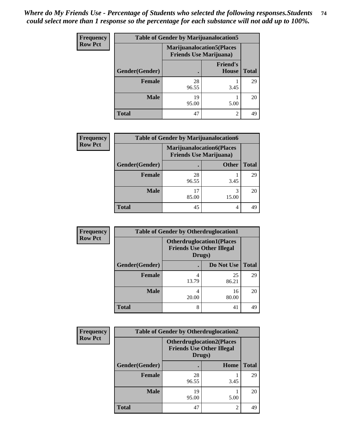| <b>Frequency</b> | <b>Table of Gender by Marijuanalocation5</b> |                                                                     |                                 |              |
|------------------|----------------------------------------------|---------------------------------------------------------------------|---------------------------------|--------------|
| <b>Row Pct</b>   |                                              | <b>Marijuanalocation5</b> (Places<br><b>Friends Use Marijuana</b> ) |                                 |              |
|                  | Gender(Gender)                               |                                                                     | <b>Friend's</b><br><b>House</b> | <b>Total</b> |
|                  | <b>Female</b>                                | 28<br>96.55                                                         | 3.45                            | 29           |
|                  | <b>Male</b>                                  | 19<br>95.00                                                         | 5.00                            | 20           |
|                  | <b>Total</b>                                 | 47                                                                  | $\mathfrak{D}$                  | 49           |

| <b>Frequency</b> | <b>Table of Gender by Marijuanalocation6</b> |                                                                    |              |              |  |
|------------------|----------------------------------------------|--------------------------------------------------------------------|--------------|--------------|--|
| <b>Row Pct</b>   |                                              | <b>Marijuanalocation6(Places</b><br><b>Friends Use Marijuana</b> ) |              |              |  |
|                  | Gender(Gender)                               |                                                                    | <b>Other</b> | <b>Total</b> |  |
|                  | <b>Female</b>                                | 28<br>96.55                                                        | 3.45         | 29           |  |
|                  | <b>Male</b>                                  | 85.00                                                              | 3<br>15.00   | 20           |  |
|                  | <b>Total</b>                                 | 45                                                                 | 4            | 49           |  |

| <b>Frequency</b> | <b>Table of Gender by Otherdruglocation1</b> |                                                                                |             |              |
|------------------|----------------------------------------------|--------------------------------------------------------------------------------|-------------|--------------|
| <b>Row Pct</b>   |                                              | <b>Otherdruglocation1(Places</b><br><b>Friends Use Other Illegal</b><br>Drugs) |             |              |
|                  | Gender(Gender)                               |                                                                                | Do Not Use  | <b>Total</b> |
|                  | <b>Female</b>                                | 13.79                                                                          | 25<br>86.21 | 29           |
|                  | <b>Male</b>                                  | 20.00                                                                          | 16<br>80.00 | 20           |
|                  | <b>Total</b>                                 | 8                                                                              | 41          | 49           |

| Frequency      | <b>Table of Gender by Otherdruglocation2</b> |                                            |                                  |              |
|----------------|----------------------------------------------|--------------------------------------------|----------------------------------|--------------|
| <b>Row Pct</b> |                                              | <b>Friends Use Other Illegal</b><br>Drugs) | <b>Otherdruglocation2(Places</b> |              |
|                | Gender(Gender)                               |                                            | Home                             | <b>Total</b> |
|                | <b>Female</b>                                | 28<br>96.55                                | 3.45                             | 29           |
|                | <b>Male</b>                                  | 19<br>95.00                                | 5.00                             | 20           |
|                | <b>Total</b>                                 | 47                                         | 2                                | 49           |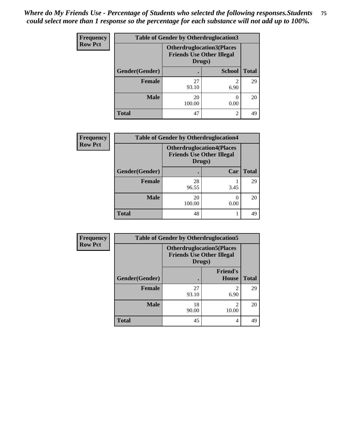| <b>Frequency</b> | <b>Table of Gender by Otherdruglocation3</b> |                                                                                |                |              |
|------------------|----------------------------------------------|--------------------------------------------------------------------------------|----------------|--------------|
| <b>Row Pct</b>   |                                              | <b>Otherdruglocation3(Places</b><br><b>Friends Use Other Illegal</b><br>Drugs) |                |              |
|                  | Gender(Gender)                               |                                                                                | <b>School</b>  | <b>Total</b> |
|                  | <b>Female</b>                                | 27<br>93.10                                                                    | 2<br>6.90      | 29           |
|                  | <b>Male</b>                                  | 20<br>100.00                                                                   | 0.00           | 20           |
|                  | <b>Total</b>                                 | 47                                                                             | $\mathfrak{D}$ | 49           |

| Frequency      | <b>Table of Gender by Otherdruglocation4</b> |              |                                                                      |              |
|----------------|----------------------------------------------|--------------|----------------------------------------------------------------------|--------------|
| <b>Row Pct</b> |                                              | Drugs)       | <b>Otherdruglocation4(Places</b><br><b>Friends Use Other Illegal</b> |              |
|                | Gender(Gender)                               |              | Car                                                                  | <b>Total</b> |
|                | <b>Female</b>                                | 28<br>96.55  | 3.45                                                                 | 29           |
|                | <b>Male</b>                                  | 20<br>100.00 | 0.00                                                                 | 20           |
|                | <b>Total</b>                                 | 48           |                                                                      | 49           |

| Frequency      | <b>Table of Gender by Otherdruglocation5</b> |                                            |                                  |              |
|----------------|----------------------------------------------|--------------------------------------------|----------------------------------|--------------|
| <b>Row Pct</b> |                                              | <b>Friends Use Other Illegal</b><br>Drugs) | <b>Otherdruglocation5(Places</b> |              |
|                | Gender(Gender)                               |                                            | <b>Friend's</b><br><b>House</b>  | <b>Total</b> |
|                | <b>Female</b>                                | 27<br>93.10                                | 2<br>6.90                        | 29           |
|                | <b>Male</b>                                  | 18<br>90.00                                | っ<br>10.00                       | 20           |
|                | <b>Total</b>                                 | 45                                         | 4                                | 49           |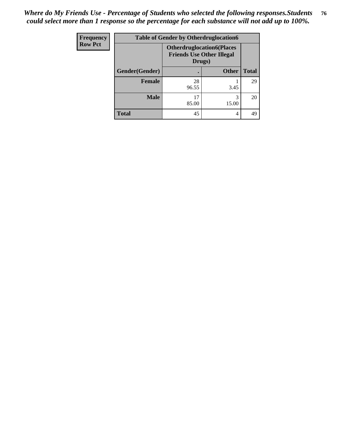| <b>Frequency</b> | <b>Table of Gender by Otherdruglocation6</b> |                                                                                |              |              |
|------------------|----------------------------------------------|--------------------------------------------------------------------------------|--------------|--------------|
| <b>Row Pct</b>   |                                              | <b>Otherdruglocation6(Places</b><br><b>Friends Use Other Illegal</b><br>Drugs) |              |              |
|                  | Gender(Gender)                               |                                                                                | <b>Other</b> | <b>Total</b> |
|                  | Female                                       | 28<br>96.55                                                                    | 3.45         | 29           |
|                  | <b>Male</b>                                  | 17<br>85.00                                                                    | 3<br>15.00   | 20           |
|                  | <b>Total</b>                                 | 45                                                                             | 4            | 49           |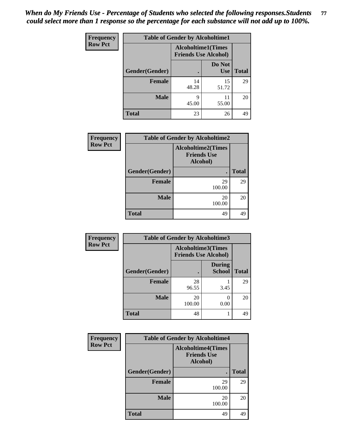| Frequency      | <b>Table of Gender by Alcoholtime1</b> |                                                          |                      |              |
|----------------|----------------------------------------|----------------------------------------------------------|----------------------|--------------|
| <b>Row Pct</b> |                                        | <b>Alcoholtime1(Times</b><br><b>Friends Use Alcohol)</b> |                      |              |
|                | Gender(Gender)                         |                                                          | Do Not<br><b>Use</b> | <b>Total</b> |
|                | <b>Female</b>                          | 14<br>48.28                                              | 15<br>51.72          | 29           |
|                | <b>Male</b>                            | 9<br>45.00                                               | 11<br>55.00          | 20           |
|                | <b>Total</b>                           | 23                                                       | 26                   | 49           |

| <b>Frequency</b> | <b>Table of Gender by Alcoholtime2</b>                      |              |              |
|------------------|-------------------------------------------------------------|--------------|--------------|
| <b>Row Pct</b>   | <b>Alcoholtime2(Times</b><br><b>Friends Use</b><br>Alcohol) |              |              |
|                  | Gender(Gender)                                              | $\bullet$    | <b>Total</b> |
|                  | <b>Female</b>                                               | 29<br>100.00 | 29           |
|                  | <b>Male</b>                                                 | 20<br>100.00 | 20           |
|                  | <b>Total</b>                                                | 49           | 49           |

| Frequency      | <b>Table of Gender by Alcoholtime3</b> |                                                   |                                |              |
|----------------|----------------------------------------|---------------------------------------------------|--------------------------------|--------------|
| <b>Row Pct</b> |                                        | Alcoholtime3(Times<br><b>Friends Use Alcohol)</b> |                                |              |
|                | Gender(Gender)                         |                                                   | <b>During</b><br><b>School</b> | <b>Total</b> |
|                | <b>Female</b>                          | 28<br>96.55                                       | 3.45                           | 29           |
|                | <b>Male</b>                            | 20<br>100.00                                      | 0.00                           | 20           |
|                | <b>Total</b>                           | 48                                                |                                | 49           |

| Frequency      | <b>Table of Gender by Alcoholtime4</b>                      |              |              |  |
|----------------|-------------------------------------------------------------|--------------|--------------|--|
| <b>Row Pct</b> | <b>Alcoholtime4(Times</b><br><b>Friends Use</b><br>Alcohol) |              |              |  |
|                | Gender(Gender)                                              |              | <b>Total</b> |  |
|                | <b>Female</b>                                               | 29<br>100.00 | 29           |  |
|                | <b>Male</b>                                                 | 20<br>100.00 | 20           |  |
|                | <b>Total</b>                                                | 49           | 49           |  |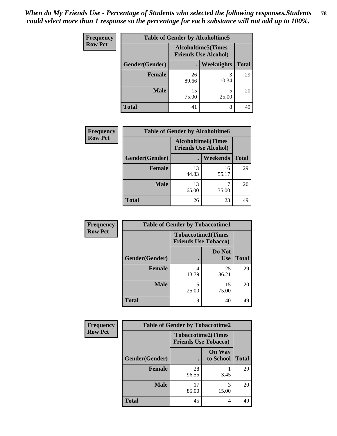| Frequency      | <b>Table of Gender by Alcoholtime5</b> |             |                                                           |              |  |
|----------------|----------------------------------------|-------------|-----------------------------------------------------------|--------------|--|
| <b>Row Pct</b> |                                        |             | <b>Alcoholtime5</b> (Times<br><b>Friends Use Alcohol)</b> |              |  |
|                | Gender(Gender)                         |             | Weeknights                                                | <b>Total</b> |  |
|                | <b>Female</b>                          | 26<br>89.66 | 3<br>10.34                                                | 29           |  |
|                | <b>Male</b>                            | 15<br>75.00 | 5<br>25.00                                                | 20           |  |
|                | <b>Total</b>                           | 41          | 8                                                         | 49           |  |

| <b>Frequency</b> | <b>Table of Gender by Alcoholtime6</b> |             |                                                           |              |
|------------------|----------------------------------------|-------------|-----------------------------------------------------------|--------------|
| <b>Row Pct</b>   |                                        |             | <b>Alcoholtime6</b> (Times<br><b>Friends Use Alcohol)</b> |              |
|                  | Gender(Gender)                         |             | <b>Weekends</b>                                           | <b>Total</b> |
|                  | <b>Female</b>                          | 13<br>44.83 | 16<br>55.17                                               | 29           |
|                  | <b>Male</b>                            | 13<br>65.00 | 35.00                                                     | 20           |
|                  | <b>Total</b>                           | 26          | 23                                                        | 49           |

| Frequency      | <b>Table of Gender by Tobaccotime1</b> |                                                          |                      |              |
|----------------|----------------------------------------|----------------------------------------------------------|----------------------|--------------|
| <b>Row Pct</b> |                                        | <b>Tobaccotime1(Times</b><br><b>Friends Use Tobacco)</b> |                      |              |
|                | Gender(Gender)                         |                                                          | Do Not<br><b>Use</b> | <b>Total</b> |
|                | <b>Female</b>                          | 4<br>13.79                                               | 25<br>86.21          | 29           |
|                | <b>Male</b>                            | 5<br>25.00                                               | 15<br>75.00          | 20           |
|                | <b>Total</b>                           | 9                                                        | 40                   | 49           |

| <b>Frequency</b> | <b>Table of Gender by Tobaccotime2</b> |                                                          |                            |              |
|------------------|----------------------------------------|----------------------------------------------------------|----------------------------|--------------|
| <b>Row Pct</b>   |                                        | <b>Tobaccotime2(Times</b><br><b>Friends Use Tobacco)</b> |                            |              |
|                  | Gender(Gender)                         |                                                          | <b>On Way</b><br>to School | <b>Total</b> |
|                  | Female                                 | 28<br>96.55                                              | 3.45                       | 29           |
|                  | <b>Male</b>                            | 17<br>85.00                                              | 3<br>15.00                 | 20           |
|                  | <b>Total</b>                           | 45                                                       | 4                          | 49           |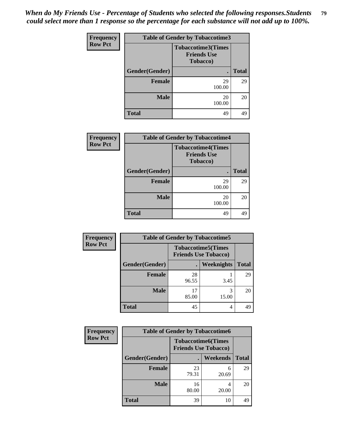*When do My Friends Use - Percentage of Students who selected the following responses.Students could select more than 1 response so the percentage for each substance will not add up to 100%.* **79**

| Frequency      | <b>Table of Gender by Tobaccotime3</b> |                                                                     |              |  |
|----------------|----------------------------------------|---------------------------------------------------------------------|--------------|--|
| <b>Row Pct</b> |                                        | <b>Tobaccotime3(Times</b><br><b>Friends Use</b><br><b>Tobacco</b> ) |              |  |
|                | Gender(Gender)                         |                                                                     | <b>Total</b> |  |
|                | <b>Female</b>                          | 29<br>100.00                                                        | 29           |  |
|                | <b>Male</b>                            | 20<br>100.00                                                        | 20           |  |
|                | <b>Total</b>                           | 49                                                                  | 49           |  |

| <b>Frequency</b> | <b>Table of Gender by Tobaccotime4</b> |                                                             |              |
|------------------|----------------------------------------|-------------------------------------------------------------|--------------|
| <b>Row Pct</b>   |                                        | <b>Tobaccotime4(Times</b><br><b>Friends Use</b><br>Tobacco) |              |
|                  | Gender(Gender)                         |                                                             | <b>Total</b> |
|                  | <b>Female</b>                          | 29<br>100.00                                                | 29           |
|                  | <b>Male</b>                            | 20<br>100.00                                                | 20           |
|                  | <b>Total</b>                           | 49                                                          | 49           |

| Frequency      | <b>Table of Gender by Tobaccotime5</b> |                                                          |                   |              |  |
|----------------|----------------------------------------|----------------------------------------------------------|-------------------|--------------|--|
| <b>Row Pct</b> |                                        | <b>Tobaccotime5(Times</b><br><b>Friends Use Tobacco)</b> |                   |              |  |
|                | Gender(Gender)                         |                                                          | <b>Weeknights</b> | <b>Total</b> |  |
|                | Female                                 | 28<br>96.55                                              | 3.45              | 29           |  |
|                | <b>Male</b>                            | 17<br>85.00                                              | 3<br>15.00        | 20           |  |
|                | <b>Total</b>                           | 45                                                       | 4                 | 49           |  |

| <b>Frequency</b> | <b>Table of Gender by Tobaccotime6</b> |                                                          |            |              |
|------------------|----------------------------------------|----------------------------------------------------------|------------|--------------|
| <b>Row Pct</b>   |                                        | <b>Tobaccotime6(Times</b><br><b>Friends Use Tobacco)</b> |            |              |
|                  | Gender(Gender)                         |                                                          | Weekends   | <b>Total</b> |
|                  | <b>Female</b>                          | 23<br>79.31                                              | 6<br>20.69 | 29           |
|                  | <b>Male</b>                            | 16<br>80.00                                              | 4<br>20.00 | 20           |
|                  | <b>Total</b>                           | 39                                                       | 10         | 49           |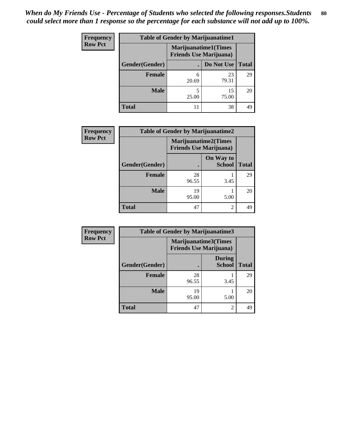| <b>Frequency</b> |                | <b>Table of Gender by Marijuanatime1</b>                      |             |              |
|------------------|----------------|---------------------------------------------------------------|-------------|--------------|
| <b>Row Pct</b>   |                | <b>Marijuanatime1(Times</b><br><b>Friends Use Marijuana</b> ) |             |              |
|                  | Gender(Gender) |                                                               | Do Not Use  | <b>Total</b> |
|                  | <b>Female</b>  | 6<br>20.69                                                    | 23<br>79.31 | 29           |
|                  | <b>Male</b>    | 5<br>25.00                                                    | 15<br>75.00 | 20           |
|                  | Total          | 11                                                            | 38          | 49           |

| <b>Frequency</b> | <b>Table of Gender by Marijuanatime2</b> |                                                               |                            |              |
|------------------|------------------------------------------|---------------------------------------------------------------|----------------------------|--------------|
| <b>Row Pct</b>   |                                          | <b>Marijuanatime2(Times</b><br><b>Friends Use Marijuana</b> ) |                            |              |
|                  | Gender(Gender)                           |                                                               | On Way to<br><b>School</b> | <b>Total</b> |
|                  | Female                                   | 28<br>96.55                                                   | 3.45                       | 29           |
|                  | <b>Male</b>                              | 19<br>95.00                                                   | 5.00                       | 20           |
|                  | <b>Total</b>                             | 47                                                            | $\overline{2}$             | 49           |

| <b>Frequency</b> | <b>Table of Gender by Marijuanatime3</b> |                                |                                |              |
|------------------|------------------------------------------|--------------------------------|--------------------------------|--------------|
| <b>Row Pct</b>   |                                          | <b>Friends Use Marijuana</b> ) | Marijuanatime3(Times           |              |
|                  | Gender(Gender)                           |                                | <b>During</b><br><b>School</b> | <b>Total</b> |
|                  | <b>Female</b>                            | 28<br>96.55                    | 3.45                           | 29           |
|                  | <b>Male</b>                              | 19<br>95.00                    | 5.00                           | 20           |
|                  | <b>Total</b>                             | 47                             | $\overline{2}$                 | 49           |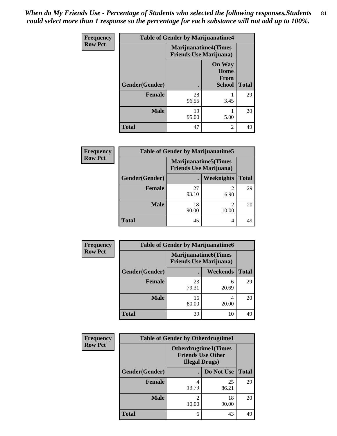*When do My Friends Use - Percentage of Students who selected the following responses.Students could select more than 1 response so the percentage for each substance will not add up to 100%.* **81**

| Frequency      | <b>Table of Gender by Marijuanatime4</b> |                                                               |                                                       |              |
|----------------|------------------------------------------|---------------------------------------------------------------|-------------------------------------------------------|--------------|
| <b>Row Pct</b> |                                          | <b>Marijuanatime4(Times</b><br><b>Friends Use Marijuana</b> ) |                                                       |              |
|                | Gender(Gender)                           |                                                               | <b>On Way</b><br>Home<br><b>From</b><br><b>School</b> | <b>Total</b> |
|                | <b>Female</b>                            | 28<br>96.55                                                   | 3.45                                                  | 29           |
|                | <b>Male</b>                              | 19<br>95.00                                                   | 5.00                                                  | 20           |
|                | <b>Total</b>                             | 47                                                            | $\overline{2}$                                        | 49           |

| <b>Frequency</b> | <b>Table of Gender by Marijuanatime5</b> |                                |                              |              |
|------------------|------------------------------------------|--------------------------------|------------------------------|--------------|
| <b>Row Pct</b>   |                                          | <b>Friends Use Marijuana</b> ) | <b>Marijuanatime5</b> (Times |              |
|                  | Gender(Gender)                           |                                | <b>Weeknights</b>            | <b>Total</b> |
|                  | <b>Female</b>                            | 27<br>93.10                    | 2<br>6.90                    | 29           |
|                  | <b>Male</b>                              | 18<br>90.00                    | $\overline{2}$<br>10.00      | 20           |
|                  | <b>Total</b>                             | 45                             | 4                            | 49           |

| <b>Frequency</b> | <b>Table of Gender by Marijuanatime6</b> |                                                               |                 |              |  |
|------------------|------------------------------------------|---------------------------------------------------------------|-----------------|--------------|--|
| <b>Row Pct</b>   |                                          | <b>Marijuanatime6(Times</b><br><b>Friends Use Marijuana</b> ) |                 |              |  |
|                  | Gender(Gender)                           | $\bullet$                                                     | <b>Weekends</b> | <b>Total</b> |  |
|                  | <b>Female</b>                            | 23<br>79.31                                                   | 6<br>20.69      | 29           |  |
|                  | <b>Male</b>                              | 16<br>80.00                                                   | 4<br>20.00      | 20           |  |
|                  | <b>Total</b>                             | 39                                                            | 10              | 49           |  |

| <b>Frequency</b> | <b>Table of Gender by Otherdrugtime1</b> |                                                                                   |                    |    |
|------------------|------------------------------------------|-----------------------------------------------------------------------------------|--------------------|----|
| <b>Row Pct</b>   |                                          | <b>Otherdrugtime1(Times</b><br><b>Friends Use Other</b><br><b>Illegal Drugs</b> ) |                    |    |
|                  | Gender(Gender)                           |                                                                                   | Do Not Use   Total |    |
|                  | <b>Female</b>                            | 13.79                                                                             | 25<br>86.21        | 29 |
|                  | <b>Male</b>                              | 10.00                                                                             | 18<br>90.00        | 20 |
|                  | <b>Total</b>                             | 6                                                                                 | 43                 | 49 |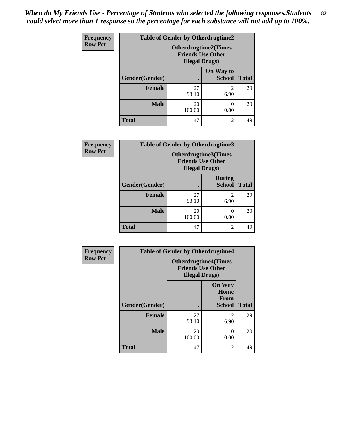*When do My Friends Use - Percentage of Students who selected the following responses.Students could select more than 1 response so the percentage for each substance will not add up to 100%.* **82**

| <b>Frequency</b> | <b>Table of Gender by Otherdrugtime2</b> |                                                                                   |                            |              |
|------------------|------------------------------------------|-----------------------------------------------------------------------------------|----------------------------|--------------|
| <b>Row Pct</b>   |                                          | <b>Otherdrugtime2(Times</b><br><b>Friends Use Other</b><br><b>Illegal Drugs</b> ) |                            |              |
|                  | Gender(Gender)                           | $\bullet$                                                                         | On Way to<br><b>School</b> | <b>Total</b> |
|                  | <b>Female</b>                            | 27<br>93.10                                                                       | $\mathfrak{D}$<br>6.90     | 29           |
|                  | <b>Male</b>                              | 20<br>100.00                                                                      | 0.00                       | 20           |
|                  | <b>Total</b>                             | 47                                                                                | $\overline{2}$             | 49           |

| Frequency      | <b>Table of Gender by Otherdrugtime3</b> |                        |                                                  |              |
|----------------|------------------------------------------|------------------------|--------------------------------------------------|--------------|
| <b>Row Pct</b> |                                          | <b>Illegal Drugs</b> ) | Otherdrugtime3(Times<br><b>Friends Use Other</b> |              |
|                | Gender(Gender)                           |                        | <b>During</b><br><b>School</b>                   | <b>Total</b> |
|                | <b>Female</b>                            | 27<br>93.10            | $\overline{2}$<br>6.90                           | 29           |
|                | <b>Male</b>                              | 20<br>100.00           | 0.00                                             | 20           |
|                | <b>Total</b>                             | 47                     | $\overline{2}$                                   | 49           |

| <b>Frequency</b> | <b>Table of Gender by Otherdrugtime4</b> |                                                                                   |                                                       |              |
|------------------|------------------------------------------|-----------------------------------------------------------------------------------|-------------------------------------------------------|--------------|
| <b>Row Pct</b>   |                                          | <b>Otherdrugtime4(Times</b><br><b>Friends Use Other</b><br><b>Illegal Drugs</b> ) |                                                       |              |
|                  | Gender(Gender)                           |                                                                                   | <b>On Way</b><br>Home<br><b>From</b><br><b>School</b> | <b>Total</b> |
|                  | <b>Female</b>                            | 27<br>93.10                                                                       | 2<br>6.90                                             | 29           |
|                  | <b>Male</b>                              | 20<br>100.00                                                                      | $\mathbf{\Omega}$<br>0.00                             | 20           |
|                  | <b>Total</b>                             | 47                                                                                | $\mathfrak{D}$                                        | 49           |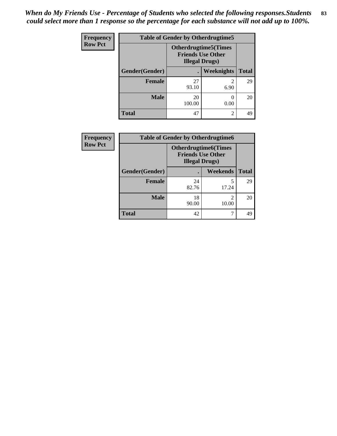| <b>Frequency</b> | <b>Table of Gender by Otherdrugtime5</b> |                                                                                    |                   |              |
|------------------|------------------------------------------|------------------------------------------------------------------------------------|-------------------|--------------|
| <b>Row Pct</b>   |                                          | <b>Otherdrugtime5</b> (Times<br><b>Friends Use Other</b><br><b>Illegal Drugs</b> ) |                   |              |
|                  | Gender(Gender)                           |                                                                                    | <b>Weeknights</b> | <b>Total</b> |
|                  | <b>Female</b>                            | 27<br>93.10                                                                        | 6.90              | 29           |
|                  | <b>Male</b>                              | 20<br>100.00                                                                       | 0.00              | 20           |
|                  | <b>Total</b>                             | 47                                                                                 | $\mathfrak{D}$    | 49           |

| Frequency      | <b>Table of Gender by Otherdrugtime6</b> |                                                                                   |                         |              |
|----------------|------------------------------------------|-----------------------------------------------------------------------------------|-------------------------|--------------|
| <b>Row Pct</b> |                                          | <b>Otherdrugtime6(Times</b><br><b>Friends Use Other</b><br><b>Illegal Drugs</b> ) |                         |              |
|                | Gender(Gender)                           |                                                                                   | Weekends                | <b>Total</b> |
|                | <b>Female</b>                            | 24<br>82.76                                                                       | 17.24                   | 29           |
|                | <b>Male</b>                              | 18<br>90.00                                                                       | $\mathfrak{D}$<br>10.00 | 20           |
|                | <b>Total</b>                             | 42                                                                                |                         | 49           |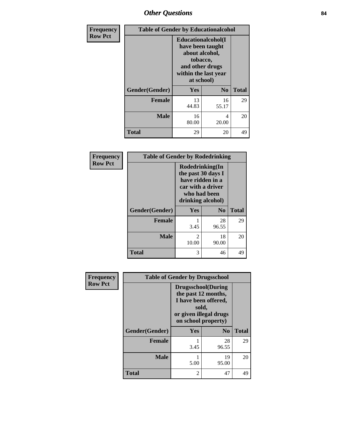## *Other Questions* **84**

| <b>Frequency</b> | <b>Table of Gender by Educationalcohol</b> |                                                                                                                               |                |              |
|------------------|--------------------------------------------|-------------------------------------------------------------------------------------------------------------------------------|----------------|--------------|
| <b>Row Pct</b>   |                                            | Educationalcohol(I<br>have been taught<br>about alcohol,<br>tobacco,<br>and other drugs<br>within the last year<br>at school) |                |              |
|                  | Gender(Gender)                             | <b>Yes</b>                                                                                                                    | N <sub>0</sub> | <b>Total</b> |
|                  | <b>Female</b>                              | 13<br>44.83                                                                                                                   | 16<br>55.17    | 29           |
|                  | <b>Male</b>                                | 16<br>80.00                                                                                                                   | 4<br>20.00     | 20           |
|                  | <b>Total</b>                               | 29                                                                                                                            | 20             | 49           |

| Frequency      | <b>Table of Gender by Rodedrinking</b> |                                                                                                                     |                |              |
|----------------|----------------------------------------|---------------------------------------------------------------------------------------------------------------------|----------------|--------------|
| <b>Row Pct</b> |                                        | Rodedrinking(In<br>the past 30 days I<br>have ridden in a<br>car with a driver<br>who had been<br>drinking alcohol) |                |              |
|                | Gender(Gender)                         | Yes                                                                                                                 | N <sub>0</sub> | <b>Total</b> |
|                | <b>Female</b>                          | 3.45                                                                                                                | 28<br>96.55    | 29           |
|                | <b>Male</b>                            | $\mathfrak{D}$<br>10.00                                                                                             | 18<br>90.00    | 20           |
|                | <b>Total</b>                           | 3                                                                                                                   | 46             | 49           |

| Frequency      | <b>Table of Gender by Drugsschool</b> |                                                                                                                                     |                |              |
|----------------|---------------------------------------|-------------------------------------------------------------------------------------------------------------------------------------|----------------|--------------|
| <b>Row Pct</b> |                                       | <b>Drugsschool</b> (During<br>the past 12 months,<br>I have been offered,<br>sold,<br>or given illegal drugs<br>on school property) |                |              |
|                | Gender(Gender)                        | Yes                                                                                                                                 | N <sub>0</sub> | <b>Total</b> |
|                | <b>Female</b>                         | 3.45                                                                                                                                | 28<br>96.55    | 29           |
|                | <b>Male</b>                           | 5.00                                                                                                                                | 19<br>95.00    | 20           |
|                | <b>Total</b>                          | $\overline{c}$                                                                                                                      | 47             | 49           |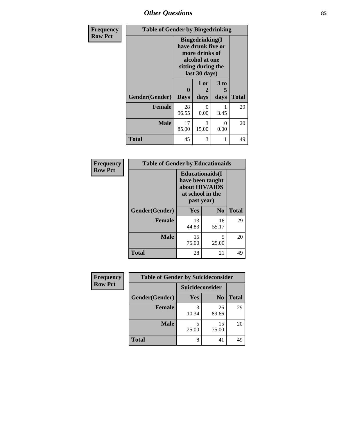# *Other Questions* **85**

| Frequency      | <b>Table of Gender by Bingedrinking</b> |                                                                                                                          |                   |                   |              |
|----------------|-----------------------------------------|--------------------------------------------------------------------------------------------------------------------------|-------------------|-------------------|--------------|
| <b>Row Pct</b> |                                         | <b>Bingedrinking</b> (I<br>have drunk five or<br>more drinks of<br>alcohol at one<br>sitting during the<br>last 30 days) |                   |                   |              |
|                | Gender(Gender)                          | 0<br><b>Days</b>                                                                                                         | 1 or<br>2<br>days | 3 to<br>5<br>days | <b>Total</b> |
|                | <b>Female</b>                           | 28<br>96.55                                                                                                              | $\Omega$<br>0.00  | 3.45              | 29           |
|                | Male                                    | 17<br>85.00                                                                                                              | 3<br>15.00        | 0<br>0.00         | 20           |
|                | <b>Total</b>                            | 45                                                                                                                       | 3                 |                   | 49           |

| Frequency      | <b>Table of Gender by Educationaids</b> |                                                                                                 |                |              |
|----------------|-----------------------------------------|-------------------------------------------------------------------------------------------------|----------------|--------------|
| <b>Row Pct</b> |                                         | <b>Educationaids</b> (I<br>have been taught<br>about HIV/AIDS<br>at school in the<br>past year) |                |              |
|                | Gender(Gender)                          | <b>Yes</b>                                                                                      | $\mathbf{N_0}$ | <b>Total</b> |
|                | <b>Female</b>                           | 13<br>44.83                                                                                     | 16<br>55.17    | 29           |
|                | <b>Male</b>                             | 15<br>75.00                                                                                     | 5<br>25.00     | 20           |
|                | <b>Total</b>                            | 28                                                                                              | 21             | 49           |

| <b>Frequency</b> | <b>Table of Gender by Suicideconsider</b> |                 |                |              |
|------------------|-------------------------------------------|-----------------|----------------|--------------|
| <b>Row Pct</b>   |                                           | Suicideconsider |                |              |
|                  | Gender(Gender)                            | Yes             | N <sub>0</sub> | <b>Total</b> |
|                  | <b>Female</b>                             | 10.34           | 26<br>89.66    | 29           |
|                  | <b>Male</b>                               | 25.00           | 15<br>75.00    | 20           |
|                  | <b>Total</b>                              | 8               | 41             | 49           |